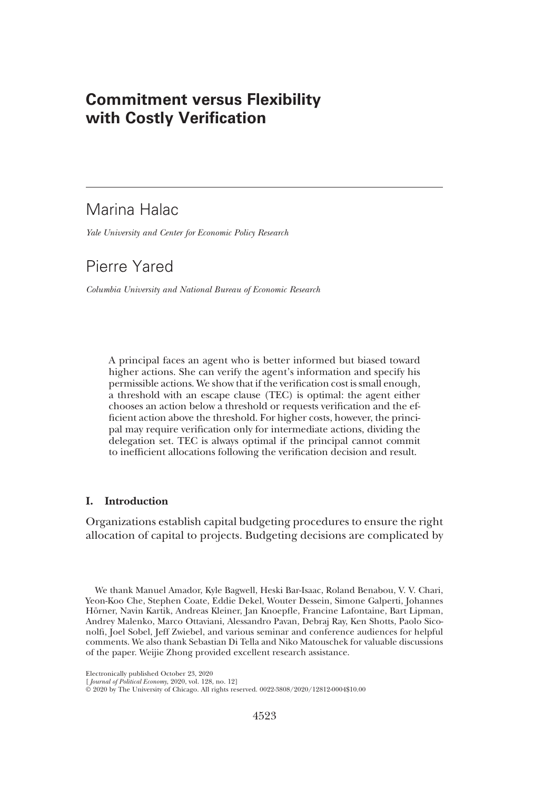# Commitment versus Flexibility with Costly Verification

# Marina Halac

Yale University and Center for Economic Policy Research

# Pierre Yared

Columbia University and National Bureau of Economic Research

A principal faces an agent who is better informed but biased toward higher actions. She can verify the agent's information and specify his permissible actions. We show that if the verification cost is small enough, a threshold with an escape clause (TEC) is optimal: the agent either chooses an action below a threshold or requests verification and the efficient action above the threshold. For higher costs, however, the principal may require verification only for intermediate actions, dividing the delegation set. TEC is always optimal if the principal cannot commit to inefficient allocations following the verification decision and result.

# I. Introduction

Organizations establish capital budgeting procedures to ensure the right allocation of capital to projects. Budgeting decisions are complicated by

We thank Manuel Amador, Kyle Bagwell, Heski Bar-Isaac, Roland Benabou, V. V. Chari, Yeon-Koo Che, Stephen Coate, Eddie Dekel, Wouter Dessein, Simone Galperti, Johannes Hörner, Navin Kartik, Andreas Kleiner, Jan Knoepfle, Francine Lafontaine, Bart Lipman, Andrey Malenko, Marco Ottaviani, Alessandro Pavan, Debraj Ray, Ken Shotts, Paolo Siconolfi, Joel Sobel, Jeff Zwiebel, and various seminar and conference audiences for helpful comments. We also thank Sebastian Di Tella and Niko Matouschek for valuable discussions of the paper. Weijie Zhong provided excellent research assistance.

Electronically published October 23, 2020

[ Journal of Political Economy, 2020, vol. 128, no. 12]

© 2020 by The University of Chicago. All rights reserved. 0022-3808/2020/12812-0004\$10.00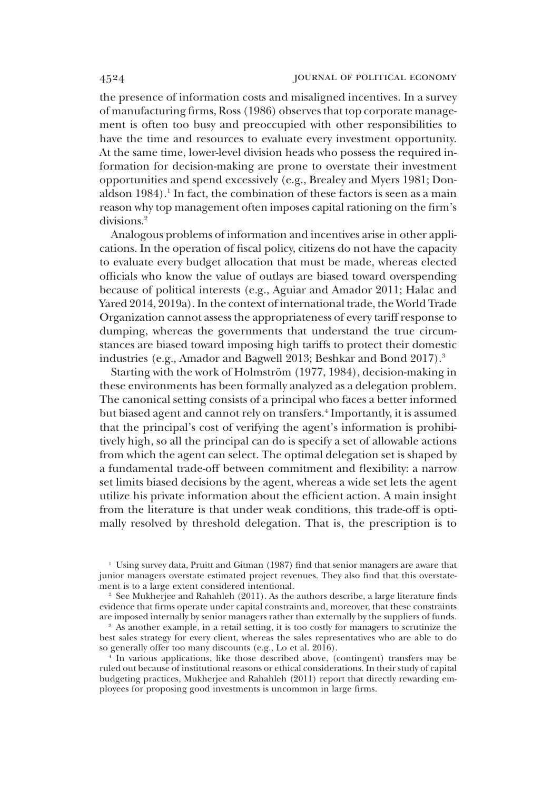the presence of information costs and misaligned incentives. In a survey of manufacturing firms, Ross (1986) observes that top corporate management is often too busy and preoccupied with other responsibilities to have the time and resources to evaluate every investment opportunity. At the same time, lower-level division heads who possess the required information for decision-making are prone to overstate their investment opportunities and spend excessively (e.g., Brealey and Myers 1981; Donaldson 1984).<sup>1</sup> In fact, the combination of these factors is seen as a main reason why top management often imposes capital rationing on the firm's divisions.<sup>2</sup>

Analogous problems of information and incentives arise in other applications. In the operation of fiscal policy, citizens do not have the capacity to evaluate every budget allocation that must be made, whereas elected officials who know the value of outlays are biased toward overspending because of political interests (e.g., Aguiar and Amador 2011; Halac and Yared 2014, 2019a). In the context of international trade, the World Trade Organization cannot assess the appropriateness of every tariff response to dumping, whereas the governments that understand the true circumstances are biased toward imposing high tariffs to protect their domestic industries (e.g., Amador and Bagwell 2013; Beshkar and Bond 2017).<sup>3</sup>

Starting with the work of Holmström (1977, 1984), decision-making in these environments has been formally analyzed as a delegation problem. The canonical setting consists of a principal who faces a better informed but biased agent and cannot rely on transfers.<sup>4</sup> Importantly, it is assumed that the principal's cost of verifying the agent's information is prohibitively high, so all the principal can do is specify a set of allowable actions from which the agent can select. The optimal delegation set is shaped by a fundamental trade-off between commitment and flexibility: a narrow set limits biased decisions by the agent, whereas a wide set lets the agent utilize his private information about the efficient action. A main insight from the literature is that under weak conditions, this trade-off is optimally resolved by threshold delegation. That is, the prescription is to

<sup>1</sup> Using survey data, Pruitt and Gitman (1987) find that senior managers are aware that junior managers overstate estimated project revenues. They also find that this overstatement is to a large extent considered intentional.

<sup>2</sup> See Mukherjee and Rahahleh (2011). As the authors describe, a large literature finds evidence that firms operate under capital constraints and, moreover, that these constraints are imposed internally by senior managers rather than externally by the suppliers of funds.

As another example, in a retail setting, it is too costly for managers to scrutinize the best sales strategy for every client, whereas the sales representatives who are able to do so generally offer too many discounts (e.g., Lo et al. 2016).

<sup>4</sup> In various applications, like those described above, (contingent) transfers may be ruled out because of institutional reasons or ethical considerations. In their study of capital budgeting practices, Mukherjee and Rahahleh (2011) report that directly rewarding employees for proposing good investments is uncommon in large firms.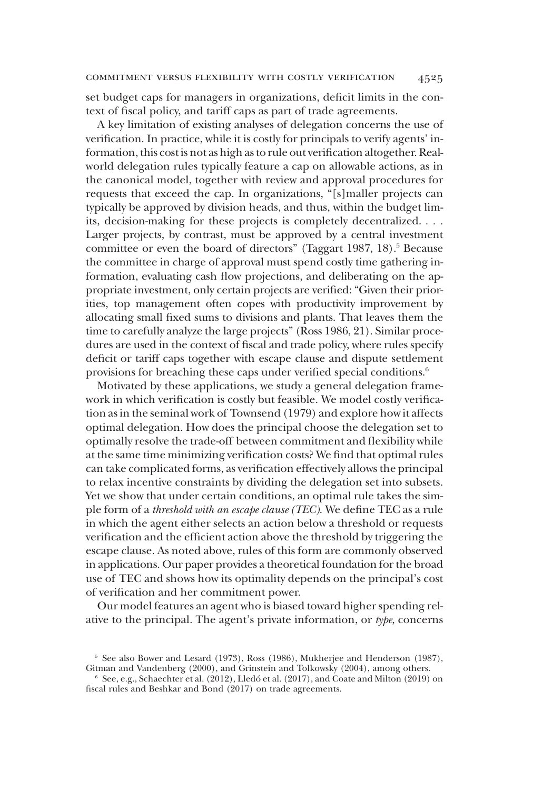set budget caps for managers in organizations, deficit limits in the context of fiscal policy, and tariff caps as part of trade agreements.

A key limitation of existing analyses of delegation concerns the use of verification. In practice, while it is costly for principals to verify agents' information, this cost is not as high as to rule out verification altogether. Realworld delegation rules typically feature a cap on allowable actions, as in the canonical model, together with review and approval procedures for requests that exceed the cap. In organizations, "[s]maller projects can typically be approved by division heads, and thus, within the budget limits, decision-making for these projects is completely decentralized. ... Larger projects, by contrast, must be approved by a central investment committee or even the board of directors" (Taggart 1987, 18).<sup>5</sup> Because the committee in charge of approval must spend costly time gathering information, evaluating cash flow projections, and deliberating on the appropriate investment, only certain projects are verified: "Given their priorities, top management often copes with productivity improvement by allocating small fixed sums to divisions and plants. That leaves them the time to carefully analyze the large projects" (Ross 1986, 21). Similar procedures are used in the context of fiscal and trade policy, where rules specify deficit or tariff caps together with escape clause and dispute settlement provisions for breaching these caps under verified special conditions.<sup>6</sup>

Motivated by these applications, we study a general delegation framework in which verification is costly but feasible. We model costly verification as in the seminal work of Townsend (1979) and explore how it affects optimal delegation. How does the principal choose the delegation set to optimally resolve the trade-off between commitment and flexibility while at the same time minimizing verification costs? We find that optimal rules can take complicated forms, as verification effectively allows the principal to relax incentive constraints by dividing the delegation set into subsets. Yet we show that under certain conditions, an optimal rule takes the simple form of a threshold with an escape clause (TEC). We define TEC as a rule in which the agent either selects an action below a threshold or requests verification and the efficient action above the threshold by triggering the escape clause. As noted above, rules of this form are commonly observed in applications. Our paper provides a theoretical foundation for the broad use of TEC and shows how its optimality depends on the principal's cost of verification and her commitment power.

Our model features an agent who is biased toward higher spending relative to the principal. The agent's private information, or type, concerns

<sup>5</sup> See also Bower and Lesard (1973), Ross (1986), Mukherjee and Henderson (1987), Gitman and Vandenberg (2000), and Grinstein and Tolkowsky (2004), among others.

 $6$  See, e.g., Schaechter et al. (2012), Lledó et al. (2017), and Coate and Milton (2019) on fiscal rules and Beshkar and Bond (2017) on trade agreements.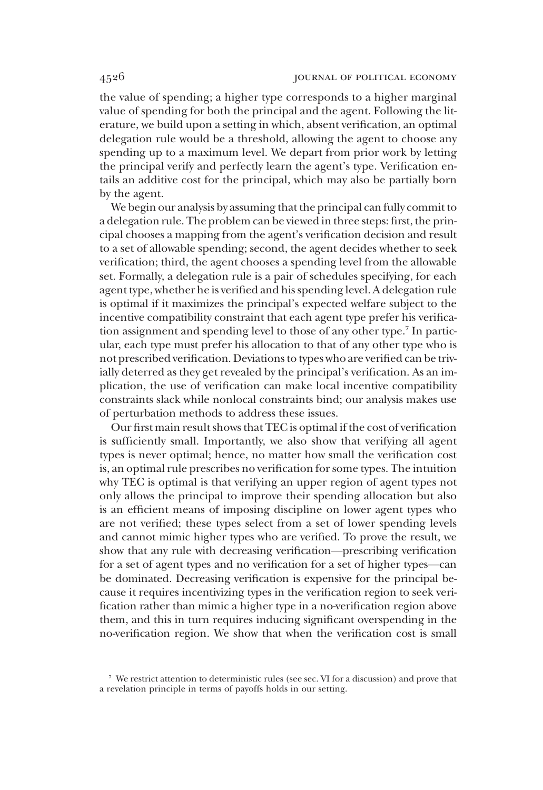the value of spending; a higher type corresponds to a higher marginal value of spending for both the principal and the agent. Following the literature, we build upon a setting in which, absent verification, an optimal delegation rule would be a threshold, allowing the agent to choose any spending up to a maximum level. We depart from prior work by letting the principal verify and perfectly learn the agent's type. Verification entails an additive cost for the principal, which may also be partially born by the agent.

We begin our analysis by assuming that the principal can fully commit to a delegation rule. The problem can be viewed in three steps: first, the principal chooses a mapping from the agent's verification decision and result to a set of allowable spending; second, the agent decides whether to seek verification; third, the agent chooses a spending level from the allowable set. Formally, a delegation rule is a pair of schedules specifying, for each agent type, whether he is verified and his spending level. A delegation rule is optimal if it maximizes the principal's expected welfare subject to the incentive compatibility constraint that each agent type prefer his verification assignment and spending level to those of any other type.7 In particular, each type must prefer his allocation to that of any other type who is not prescribed verification. Deviations to types who are verified can be trivially deterred as they get revealed by the principal's verification. As an implication, the use of verification can make local incentive compatibility constraints slack while nonlocal constraints bind; our analysis makes use of perturbation methods to address these issues.

Our first main result shows that TEC is optimal if the cost of verification is sufficiently small. Importantly, we also show that verifying all agent types is never optimal; hence, no matter how small the verification cost is, an optimal rule prescribes no verification for some types. The intuition why TEC is optimal is that verifying an upper region of agent types not only allows the principal to improve their spending allocation but also is an efficient means of imposing discipline on lower agent types who are not verified; these types select from a set of lower spending levels and cannot mimic higher types who are verified. To prove the result, we show that any rule with decreasing verification—prescribing verification for a set of agent types and no verification for a set of higher types—can be dominated. Decreasing verification is expensive for the principal because it requires incentivizing types in the verification region to seek verification rather than mimic a higher type in a no-verification region above them, and this in turn requires inducing significant overspending in the no-verification region. We show that when the verification cost is small

<sup>7</sup> We restrict attention to deterministic rules (see sec. VI for a discussion) and prove that a revelation principle in terms of payoffs holds in our setting.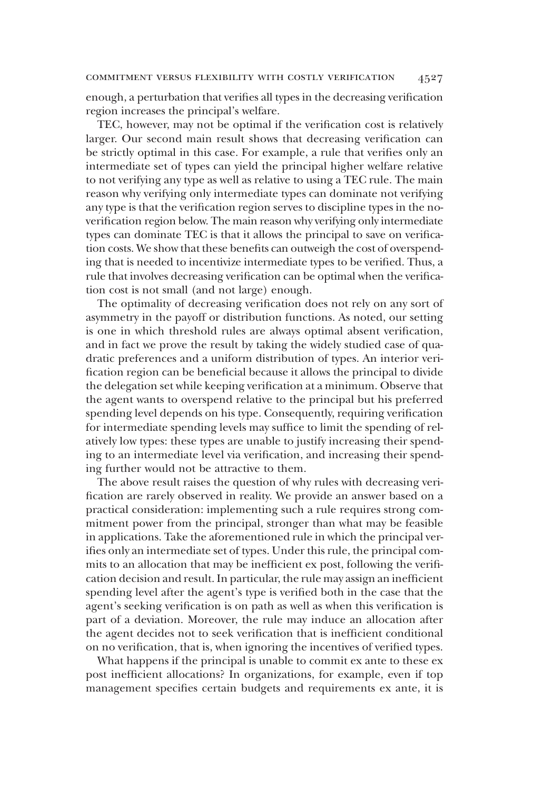enough, a perturbation that verifies all types in the decreasing verification region increases the principal's welfare.

TEC, however, may not be optimal if the verification cost is relatively larger. Our second main result shows that decreasing verification can be strictly optimal in this case. For example, a rule that verifies only an intermediate set of types can yield the principal higher welfare relative to not verifying any type as well as relative to using a TEC rule. The main reason why verifying only intermediate types can dominate not verifying any type is that the verification region serves to discipline types in the noverification region below. The main reason why verifying only intermediate types can dominate TEC is that it allows the principal to save on verification costs. We show that these benefits can outweigh the cost of overspending that is needed to incentivize intermediate types to be verified. Thus, a rule that involves decreasing verification can be optimal when the verification cost is not small (and not large) enough.

The optimality of decreasing verification does not rely on any sort of asymmetry in the payoff or distribution functions. As noted, our setting is one in which threshold rules are always optimal absent verification, and in fact we prove the result by taking the widely studied case of quadratic preferences and a uniform distribution of types. An interior verification region can be beneficial because it allows the principal to divide the delegation set while keeping verification at a minimum. Observe that the agent wants to overspend relative to the principal but his preferred spending level depends on his type. Consequently, requiring verification for intermediate spending levels may suffice to limit the spending of relatively low types: these types are unable to justify increasing their spending to an intermediate level via verification, and increasing their spending further would not be attractive to them.

The above result raises the question of why rules with decreasing verification are rarely observed in reality. We provide an answer based on a practical consideration: implementing such a rule requires strong commitment power from the principal, stronger than what may be feasible in applications. Take the aforementioned rule in which the principal verifies only an intermediate set of types. Under this rule, the principal commits to an allocation that may be inefficient ex post, following the verification decision and result. In particular, the rule may assign an inefficient spending level after the agent's type is verified both in the case that the agent's seeking verification is on path as well as when this verification is part of a deviation. Moreover, the rule may induce an allocation after the agent decides not to seek verification that is inefficient conditional on no verification, that is, when ignoring the incentives of verified types.

What happens if the principal is unable to commit ex ante to these ex post inefficient allocations? In organizations, for example, even if top management specifies certain budgets and requirements ex ante, it is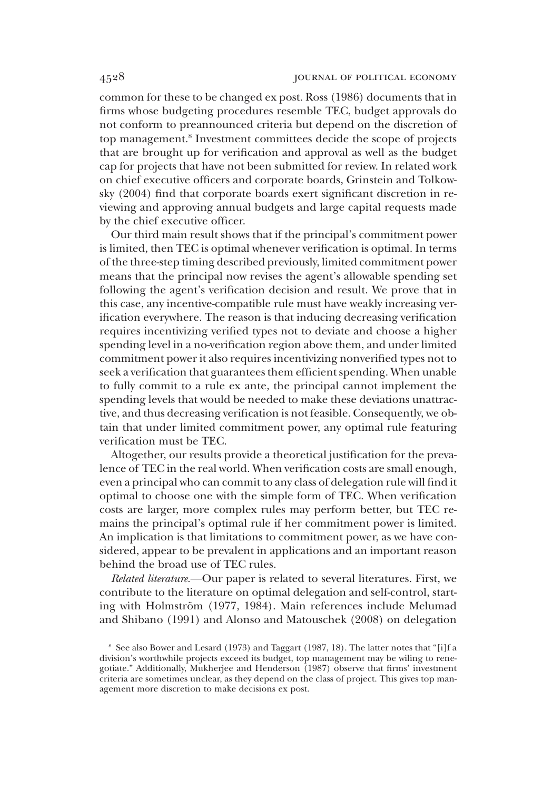common for these to be changed ex post. Ross (1986) documents that in firms whose budgeting procedures resemble TEC, budget approvals do not conform to preannounced criteria but depend on the discretion of top management.8 Investment committees decide the scope of projects that are brought up for verification and approval as well as the budget cap for projects that have not been submitted for review. In related work on chief executive officers and corporate boards, Grinstein and Tolkowsky (2004) find that corporate boards exert significant discretion in reviewing and approving annual budgets and large capital requests made by the chief executive officer.

Our third main result shows that if the principal's commitment power is limited, then TEC is optimal whenever verification is optimal. In terms of the three-step timing described previously, limited commitment power means that the principal now revises the agent's allowable spending set following the agent's verification decision and result. We prove that in this case, any incentive-compatible rule must have weakly increasing verification everywhere. The reason is that inducing decreasing verification requires incentivizing verified types not to deviate and choose a higher spending level in a no-verification region above them, and under limited commitment power it also requires incentivizing nonverified types not to seek a verification that guarantees them efficient spending. When unable to fully commit to a rule ex ante, the principal cannot implement the spending levels that would be needed to make these deviations unattractive, and thus decreasing verification is not feasible. Consequently, we obtain that under limited commitment power, any optimal rule featuring verification must be TEC.

Altogether, our results provide a theoretical justification for the prevalence of TEC in the real world. When verification costs are small enough, even a principal who can commit to any class of delegation rule will find it optimal to choose one with the simple form of TEC. When verification costs are larger, more complex rules may perform better, but TEC remains the principal's optimal rule if her commitment power is limited. An implication is that limitations to commitment power, as we have considered, appear to be prevalent in applications and an important reason behind the broad use of TEC rules.

Related literature.—Our paper is related to several literatures. First, we contribute to the literature on optimal delegation and self-control, starting with Holmström (1977, 1984). Main references include Melumad and Shibano (1991) and Alonso and Matouschek (2008) on delegation

<sup>8</sup> See also Bower and Lesard (1973) and Taggart (1987, 18). The latter notes that "[i]f a division's worthwhile projects exceed its budget, top management may be wiling to renegotiate." Additionally, Mukherjee and Henderson (1987) observe that firms' investment criteria are sometimes unclear, as they depend on the class of project. This gives top management more discretion to make decisions ex post.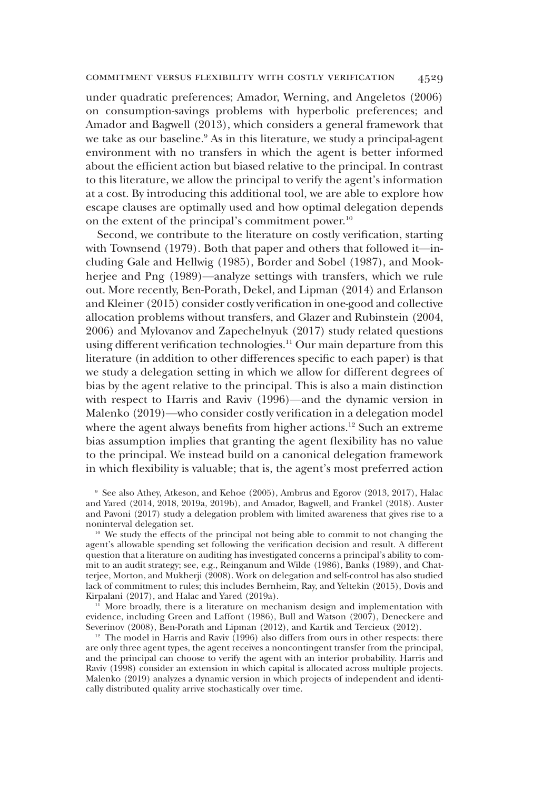under quadratic preferences; Amador, Werning, and Angeletos (2006) on consumption-savings problems with hyperbolic preferences; and Amador and Bagwell (2013), which considers a general framework that we take as our baseline.<sup>9</sup> As in this literature, we study a principal-agent environment with no transfers in which the agent is better informed about the efficient action but biased relative to the principal. In contrast to this literature, we allow the principal to verify the agent's information at a cost. By introducing this additional tool, we are able to explore how escape clauses are optimally used and how optimal delegation depends on the extent of the principal's commitment power.<sup>10</sup>

Second, we contribute to the literature on costly verification, starting with Townsend (1979). Both that paper and others that followed it—including Gale and Hellwig (1985), Border and Sobel (1987), and Mookherjee and Png (1989)—analyze settings with transfers, which we rule out. More recently, Ben-Porath, Dekel, and Lipman (2014) and Erlanson and Kleiner (2015) consider costly verification in one-good and collective allocation problems without transfers, and Glazer and Rubinstein (2004, 2006) and Mylovanov and Zapechelnyuk (2017) study related questions using different verification technologies.<sup>11</sup> Our main departure from this literature (in addition to other differences specific to each paper) is that we study a delegation setting in which we allow for different degrees of bias by the agent relative to the principal. This is also a main distinction with respect to Harris and Raviv (1996)—and the dynamic version in Malenko (2019)—who consider costly verification in a delegation model where the agent always benefits from higher actions.<sup>12</sup> Such an extreme bias assumption implies that granting the agent flexibility has no value to the principal. We instead build on a canonical delegation framework in which flexibility is valuable; that is, the agent's most preferred action

<sup>9</sup> See also Athey, Atkeson, and Kehoe (2005), Ambrus and Egorov (2013, 2017), Halac and Yared (2014, 2018, 2019a, 2019b), and Amador, Bagwell, and Frankel (2018). Auster and Pavoni (2017) study a delegation problem with limited awareness that gives rise to a noninterval delegation set.

<sup>10</sup> We study the effects of the principal not being able to commit to not changing the agent's allowable spending set following the verification decision and result. A different question that a literature on auditing has investigated concerns a principal's ability to commit to an audit strategy; see, e.g., Reinganum and Wilde (1986), Banks (1989), and Chatterjee, Morton, and Mukherji (2008). Work on delegation and self-control has also studied lack of commitment to rules; this includes Bernheim, Ray, and Yeltekin (2015), Dovis and Kirpalani (2017), and Halac and Yared (2019a).

<sup>11</sup> More broadly, there is a literature on mechanism design and implementation with evidence, including Green and Laffont (1986), Bull and Watson (2007), Deneckere and Severinov (2008), Ben-Porath and Lipman (2012), and Kartik and Tercieux (2012).

 $12$  The model in Harris and Raviv (1996) also differs from ours in other respects: there are only three agent types, the agent receives a noncontingent transfer from the principal, and the principal can choose to verify the agent with an interior probability. Harris and Raviv (1998) consider an extension in which capital is allocated across multiple projects. Malenko (2019) analyzes a dynamic version in which projects of independent and identically distributed quality arrive stochastically over time.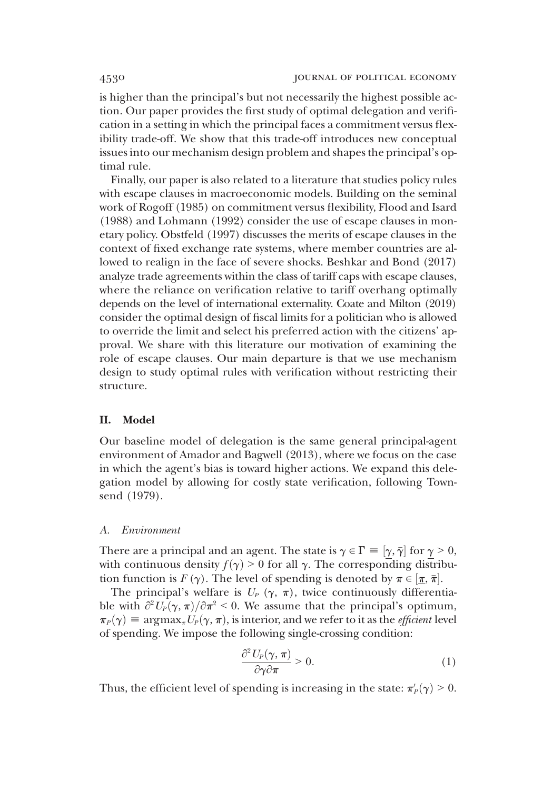is higher than the principal's but not necessarily the highest possible action. Our paper provides the first study of optimal delegation and verification in a setting in which the principal faces a commitment versus flexibility trade-off. We show that this trade-off introduces new conceptual issues into our mechanism design problem and shapes the principal's optimal rule.

Finally, our paper is also related to a literature that studies policy rules with escape clauses in macroeconomic models. Building on the seminal work of Rogoff (1985) on commitment versus flexibility, Flood and Isard (1988) and Lohmann (1992) consider the use of escape clauses in monetary policy. Obstfeld (1997) discusses the merits of escape clauses in the context of fixed exchange rate systems, where member countries are allowed to realign in the face of severe shocks. Beshkar and Bond (2017) analyze trade agreements within the class of tariff caps with escape clauses, where the reliance on verification relative to tariff overhang optimally depends on the level of international externality. Coate and Milton (2019) consider the optimal design of fiscal limits for a politician who is allowed to override the limit and select his preferred action with the citizens' approval. We share with this literature our motivation of examining the role of escape clauses. Our main departure is that we use mechanism design to study optimal rules with verification without restricting their structure.

# II. Model

Our baseline model of delegation is the same general principal-agent environment of Amador and Bagwell (2013), where we focus on the case in which the agent's bias is toward higher actions. We expand this delegation model by allowing for costly state verification, following Townsend (1979).

### A. Environment

There are a principal and an agent. The state is  $\gamma \in \Gamma = [\gamma, \bar{\gamma}]$  for  $\gamma > 0$ , with continuous density  $f(x) > 0$  for all  $\alpha$ . The corresponding distribuwith continuous density  $f(\gamma) > 0$  for all  $\gamma$ . The corresponding distribution function is  $F(\gamma)$ . The level of spending is denoted by  $\pi \in [\frac{\pi}{\beta}, \frac{\pi}{\beta}]$ .<br>The principal's welfare is  $U_p(\gamma, \pi)$ , twice continuously different

The principal's welfare is  $U_P(\gamma, \pi)$ , twice continuously differentiable with  $\frac{\partial^2 U_P(\gamma, \pi)}{\partial \tau^2} < 0$ . We assume that the principal's optimum,  $\pi_P(\gamma) \equiv \argmax_{\pi} U_P(\gamma, \pi)$ , is interior, and we refer to it as the *efficient* level of spending. We impose the following single-crossing condition:

$$
\frac{\partial^2 U_P(\gamma, \pi)}{\partial \gamma \partial \pi} > 0.
$$
 (1)

Thus, the efficient level of spending is increasing in the state:  $\pi'_P(\gamma) > 0$ .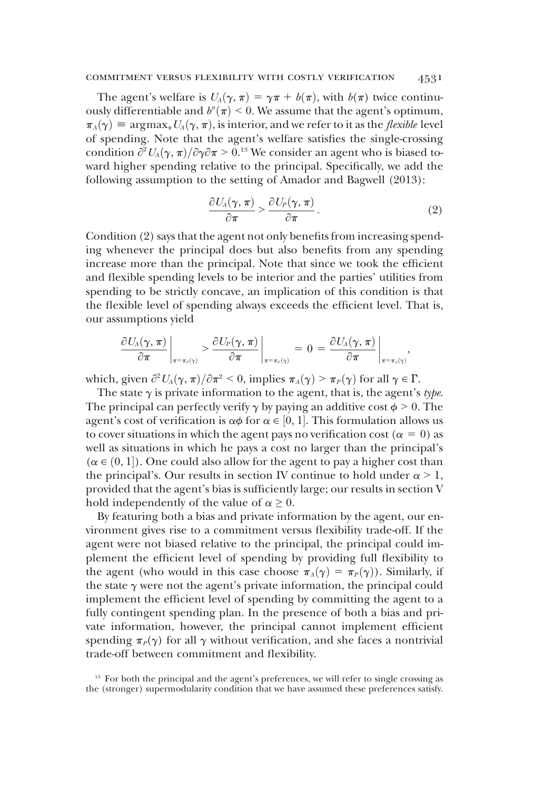The agent's welfare is  $U_A(\gamma, \pi) = \gamma \pi + b(\pi)$ , with  $b(\pi)$  twice continuously differentiable and  $b''(\pi)$  < 0. We assume that the agent's optimum,  $\pi_A(\gamma) \equiv \argmax_{\pi} U_A(\gamma, \pi)$ , is interior, and we refer to it as the *flexible* level of spending. Note that the agent's welfare satisfies the single-crossing condition  $\partial^2 U_A(\gamma, \pi)/\partial \gamma \partial \pi > 0.13$  We consider an agent who is biased to-<br>ward bigher spending relative to the principal. Specifically we add the ward higher spending relative to the principal. Specifically, we add the following assumption to the setting of Amador and Bagwell (2013):

$$
\frac{\partial U_A(\gamma,\pi)}{\partial \pi} > \frac{\partial U_P(\gamma,\pi)}{\partial \pi}.\tag{2}
$$

Condition (2) says that the agent not only benefits from increasing spending whenever the principal does but also benefits from any spending increase more than the principal. Note that since we took the efficient and flexible spending levels to be interior and the parties' utilities from spending to be strictly concave, an implication of this condition is that the flexible level of spending always exceeds the efficient level. That is, our assumptions yield

$$
\left.\frac{\partial U_A(\gamma,\pi)}{\partial \pi}\right|_{\pi=\pi_P(\gamma)} > \left.\frac{\partial U_P(\gamma,\pi)}{\partial \pi}\right|_{\pi=\pi_P(\gamma)} = 0 = \left.\frac{\partial U_A(\gamma,\pi)}{\partial \pi}\right|_{\pi=\pi_A(\gamma)},
$$

which, given  $\partial^2 U_A(\gamma, \pi) / \partial \pi^2 < 0$ , implies  $\pi_A(\gamma) > \pi_P(\gamma)$  for all  $\gamma \in \Gamma$ .<br>The state  $\gamma$  is private information to the agent that is the agent's

The state  $\gamma$  is private information to the agent, that is, the agent's type. The principal can perfectly verify  $\gamma$  by paying an additive cost  $\phi > 0$ . The agent's cost of verification is  $\alpha \phi$  for  $\alpha \in [0, 1]$ . This formulation allows us<br>to cover situations in which the agent pays no verification cost  $(\alpha = 0)$  as to cover situations in which the agent pays no verification cost ( $\alpha = 0$ ) as well as situations in which he pays a cost no larger than the principal's  $(\alpha \in (0, 1])$ . One could also allow for the agent to pay a higher cost than the principal's Our results in section W continue to hold under  $\alpha > 1$ the principal's. Our results in section IV continue to hold under  $\alpha > 1$ , provided that the agent's bias is sufficiently large; our results in section V hold independently of the value of  $\alpha \geq 0$ .

By featuring both a bias and private information by the agent, our environment gives rise to a commitment versus flexibility trade-off. If the agent were not biased relative to the principal, the principal could implement the efficient level of spending by providing full flexibility to the agent (who would in this case choose  $\pi_A(\gamma) = \pi_P(\gamma)$ ). Similarly, if the state  $\gamma$  were not the agent's private information, the principal could implement the efficient level of spending by committing the agent to a fully contingent spending plan. In the presence of both a bias and private information, however, the principal cannot implement efficient spending  $\pi_P(\gamma)$  for all  $\gamma$  without verification, and she faces a nontrivial trade-off between commitment and flexibility.

<sup>&</sup>lt;sup>13</sup> For both the principal and the agent's preferences, we will refer to single crossing as the (stronger) supermodularity condition that we have assumed these preferences satisfy.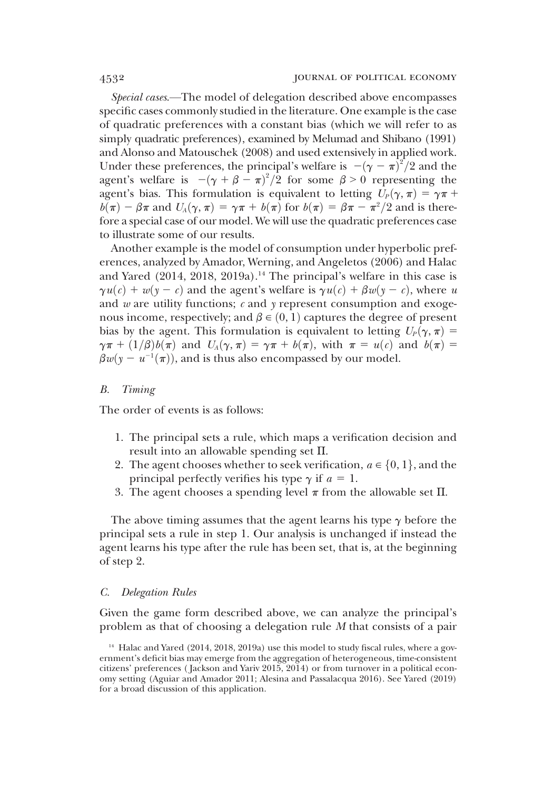Special cases.—The model of delegation described above encompasses specific cases commonly studied in the literature. One example is the case of quadratic preferences with a constant bias (which we will refer to as simply quadratic preferences), examined by Melumad and Shibano (1991) and Alonso and Matouschek (2008) and used extensively in applied work. Under these preferences, the principal's welfare is  $-(\gamma - \pi)^2/2$  and the agent's welfare is  $-(\gamma + \beta - \pi)^2/2$  for some  $\beta > 0$  representing the agent's welfare is  $-(\gamma + \beta - \pi)^2/2$  for some  $\beta > 0$  representing the agent's bias. This formulation is equivalent to letting  $L(\gamma \pi) = \gamma \pi +$ agent's bias. This formulation is equivalent to letting  $U_p(\gamma, \pi) = \gamma \pi +$  $b(\pi) - \beta \pi$  and  $U_A(\gamma, \pi) = \gamma \pi + b(\pi)$  for  $b(\pi) = \beta \pi - \pi^2/2$  and is there-<br>fore a special case of our model. We will use the quadratic preferences case fore a special case of our model. We will use the quadratic preferences case to illustrate some of our results.

Another example is the model of consumption under hyperbolic preferences, analyzed by Amador, Werning, and Angeletos (2006) and Halac and Yared (2014, 2018, 2019a).<sup>14</sup> The principal's welfare in this case is  $\gamma u(c) + w(y - c)$  and the agent's welfare is  $\gamma u(c) + \beta w(y - c)$ , where u and  $w$  are utility functions;  $c$  and  $y$  represent consumption and exogenous income, respectively; and  $\beta \in (0, 1)$  captures the degree of present bias by the agent. This formulation is equivalent to letting  $U_p(\gamma, \pi) =$  $\gamma \pi + (1/\beta)b(\pi)$  and  $U_A(\gamma, \pi) = \gamma \pi + b(\pi)$ , with  $\pi = u(c)$  and  $b(\pi) =$  $\beta w(y - u^{-1}(\pi))$ , and is thus also encompassed by our model.

## B. Timing

The order of events is as follows:

- 1. The principal sets a rule, which maps a verification decision and result into an allowable spending set  $\Pi$ .
- 2. The agent chooses whether to seek verification,  $a \in \{0, 1\}$ , and the principal perfectly verifies his type  $\gamma$  if  $a = 1$ .
- 3. The agent chooses a spending level  $\pi$  from the allowable set  $\Pi$ .

The above timing assumes that the agent learns his type  $\gamma$  before the principal sets a rule in step 1. Our analysis is unchanged if instead the agent learns his type after the rule has been set, that is, at the beginning of step 2.

### C. Delegation Rules

Given the game form described above, we can analyze the principal's problem as that of choosing a delegation rule M that consists of a pair

 $14$  Halac and Yared (2014, 2018, 2019a) use this model to study fiscal rules, where a government's deficit bias may emerge from the aggregation of heterogeneous, time-consistent citizens' preferences ( Jackson and Yariv 2015, 2014) or from turnover in a political economy setting (Aguiar and Amador 2011; Alesina and Passalacqua 2016). See Yared (2019) for a broad discussion of this application.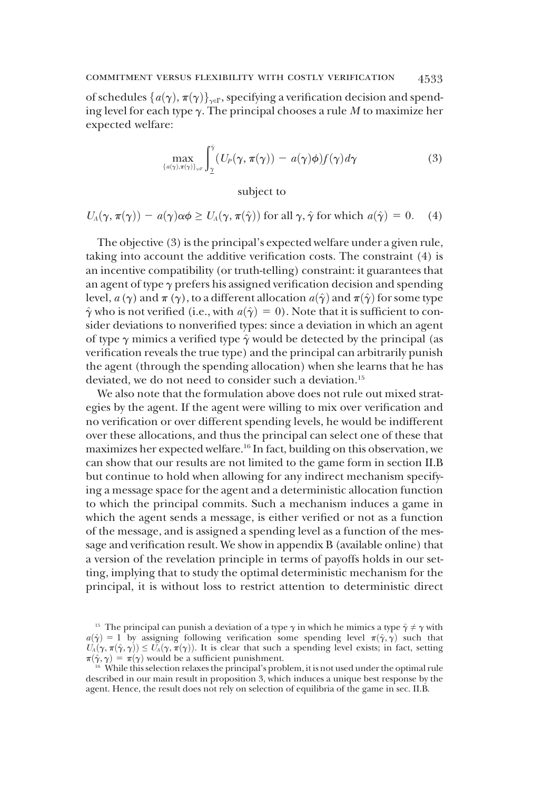# commitment versus flexibility with costly verification 4533

of schedules  $\{a(\gamma), \pi(\gamma)\}_{\gamma \in \Gamma}$ , specifying a verification decision and spending level for each type  $\gamma$ . The principal chooses a rule M to maximize her expected welfare:

$$
\max_{\{a(\gamma),\pi(\gamma)\}_{\gamma\in\Gamma}} \int_{\underline{\gamma}}^{\bar{\gamma}} (U_P(\gamma,\pi(\gamma)) - a(\gamma)\phi) f(\gamma) d\gamma \tag{3}
$$

subject to

$$
U_A(\gamma, \pi(\gamma)) - a(\gamma)\alpha\phi \ge U_A(\gamma, \pi(\hat{\gamma}))
$$
 for all  $\gamma, \hat{\gamma}$  for which  $a(\hat{\gamma}) = 0$ . (4)

The objective (3) is the principal's expected welfare under a given rule, taking into account the additive verification costs. The constraint (4) is an incentive compatibility (or truth-telling) constraint: it guarantees that an agent of type  $\gamma$  prefers his assigned verification decision and spending level,  $a(\gamma)$  and  $\pi(\gamma)$ , to a different allocation  $a(\hat{\gamma})$  and  $\pi(\hat{\gamma})$  for some type  $\hat{\gamma}$  who is not verified (i.e., with  $a(\hat{\gamma}) = 0$ ). Note that it is sufficient to consider deviations to nonverified types: since a deviation in which an agent of type  $\gamma$  mimics a verified type  $\hat{\gamma}$  would be detected by the principal (as verification reveals the true type) and the principal can arbitrarily punish the agent (through the spending allocation) when she learns that he has deviated, we do not need to consider such a deviation.<sup>15</sup>

We also note that the formulation above does not rule out mixed strategies by the agent. If the agent were willing to mix over verification and no verification or over different spending levels, he would be indifferent over these allocations, and thus the principal can select one of these that maximizes her expected welfare.16 In fact, building on this observation, we can show that our results are not limited to the game form in section II.B but continue to hold when allowing for any indirect mechanism specifying a message space for the agent and a deterministic allocation function to which the principal commits. Such a mechanism induces a game in which the agent sends a message, is either verified or not as a function of the message, and is assigned a spending level as a function of the message and verification result. We show in appendix B (available online) that a version of the revelation principle in terms of payoffs holds in our setting, implying that to study the optimal deterministic mechanism for the principal, it is without loss to restrict attention to deterministic direct

<sup>&</sup>lt;sup>15</sup> The principal can punish a deviation of a type  $\gamma$  in which he mimics a type  $\hat{\gamma} \neq \gamma$  with  $a(\hat{\gamma}) = 1$  by assigning following verification some spending level  $\pi(\hat{\gamma}, \hat{\gamma})$  such that  $U_A(\gamma, \pi(\hat{\gamma}, \gamma)) \le U_A(\gamma, \pi(\gamma))$ . It is clear that such a spending level exists; in fact, setting  $\pi(\hat{\gamma}, \gamma) = \pi(\gamma)$  would be a sufficient punishment.

 $16$  While this selection relaxes the principal's problem, it is not used under the optimal rule described in our main result in proposition 3, which induces a unique best response by the agent. Hence, the result does not rely on selection of equilibria of the game in sec. II.B.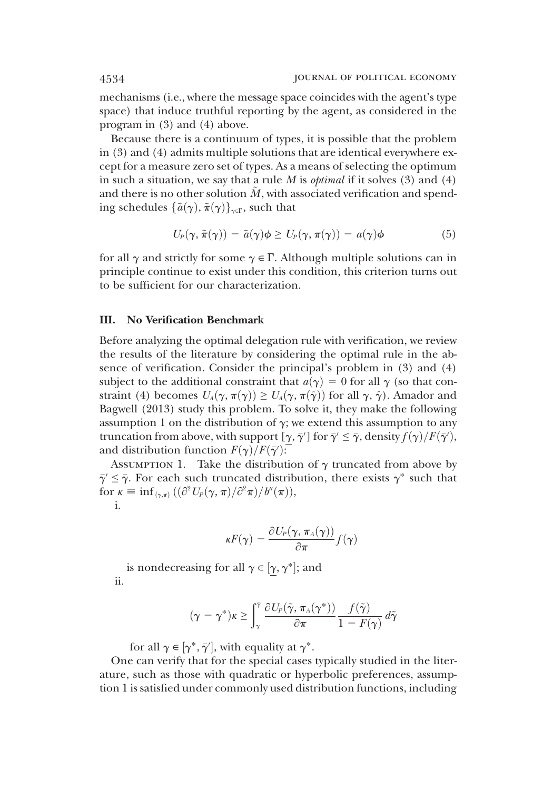mechanisms (i.e., where the message space coincides with the agent's type space) that induce truthful reporting by the agent, as considered in the program in (3) and (4) above.

Because there is a continuum of types, it is possible that the problem in (3) and (4) admits multiple solutions that are identical everywhere except for a measure zero set of types. As a means of selecting the optimum in such a situation, we say that a rule  $M$  is *optimal* if it solves  $(3)$  and  $(4)$ and there is no other solution  $\tilde{M}$ , with associated verification and spending schedules  $\{\tilde{a}(\gamma), \tilde{\pi}(\gamma)\}_{\gamma \in \Gamma}$ , such that

$$
U_P(\gamma, \tilde{\pi}(\gamma)) - \tilde{a}(\gamma)\phi \ge U_P(\gamma, \pi(\gamma)) - a(\gamma)\phi \tag{5}
$$

for all  $\gamma$  and strictly for some  $\gamma \in \Gamma$ . Although multiple solutions can in principle continue to exist under this condition, this criterion turns out to be sufficient for our characterization.

# III. No Verification Benchmark

Before analyzing the optimal delegation rule with verification, we review the results of the literature by considering the optimal rule in the absence of verification. Consider the principal's problem in (3) and (4) subject to the additional constraint that  $a(\gamma) = 0$  for all  $\gamma$  (so that constraint (4) becomes  $U_A(\gamma, \pi(\gamma)) \geq U_A(\gamma, \pi(\hat{\gamma}))$  for all  $\gamma, \hat{\gamma}$ ). Amador and Bagwell (2013) study this problem. To solve it, they make the following assumption 1 on the distribution of  $\gamma$ ; we extend this assumption to any truncation from above, with support  $[\gamma, \bar{\gamma}']$  for  $\bar{\gamma}' \leq \bar{\gamma}$ , density  $f(\gamma)/F(\bar{\gamma}')$ ,<br>and distribution function  $F(\gamma)/F(\bar{\gamma}')$ . and distribution function  $F(\gamma)/F(\bar{\gamma}')$ :<br>ASSUMPTION 1 Take the distribut

ASSUMPTION 1. Take the distribution of  $\gamma$  truncated from above by  $\bar{\gamma}' \leq \bar{\gamma}$ . For each such truncated distribution, there exists  $\gamma^*$  such that  ${\rm for} \ \kappa \equiv \inf_{\{\gamma,\pi\}} \big( (\partial^2 U_P(\gamma,\pi)/\partial^2 \pi)/b''(\pi) \big),$ i i.

$$
\kappa F(\gamma) - \frac{\partial U_P(\gamma, \pi_A(\gamma))}{\partial \pi} f(\gamma)
$$

is nondecreasing for all  $\gamma \in [\underline{\gamma}, \gamma^*];$  and ii.

$$
(\gamma - \gamma^*)\kappa \ge \int_{\gamma}^{\tilde{\gamma}} \frac{\partial U_P(\tilde{\gamma}, \pi_A(\gamma^*))}{\partial \pi} \frac{f(\tilde{\gamma})}{1 - F(\gamma)} d\tilde{\gamma}
$$

for all  $\gamma \in [\gamma^*, \bar{\gamma}']$ , with equality at  $\gamma^*$ .

-One can verify that for the special cases typically studied in the literature, such as those with quadratic or hyperbolic preferences, assumption 1 is satisfied under commonly used distribution functions, including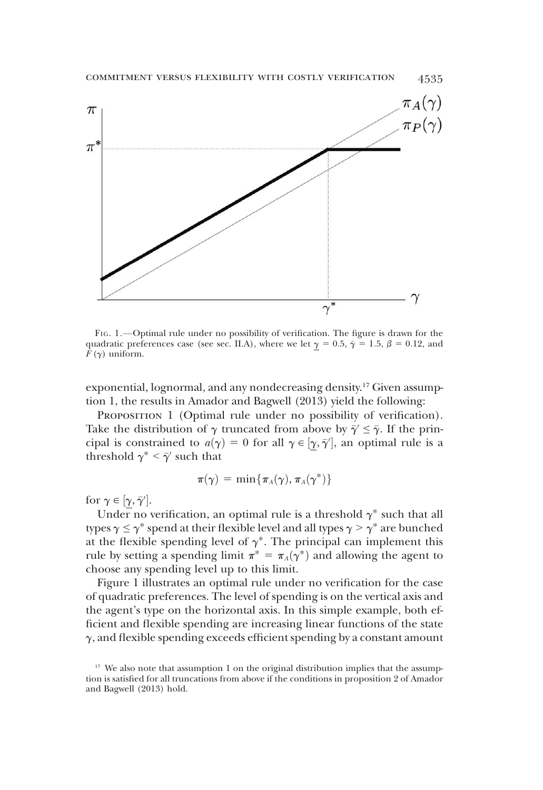

FIG. 1.—Optimal rule under no possibility of verification. The figure is drawn for the quadratic preferences case (see sec. II.A), where we let  $\gamma = 0.5$ ,  $\bar{\gamma} = 1.5$ ,  $\beta = 0.12$ , and  $F(\gamma)$  uniform.

exponential, lognormal, and any nondecreasing density.17 Given assumption 1, the results in Amador and Bagwell (2013) yield the following:

PROPOSITION 1 (Optimal rule under no possibility of verification). Take the distribution of  $\gamma$  truncated from above by  $\bar{\gamma}' \leq \bar{\gamma}$ . If the principal is constrained to  $a(\gamma) = 0$  for all  $\gamma \in [\underline{\gamma}, \overline{\gamma}']$ , an optimal rule is a threshold  $\gamma^* \leq \overline{\gamma}$  such that threshold  $\gamma^* < \bar{\gamma}'$  such that

$$
\pi(\gamma) = \min\{\pi_A(\gamma), \pi_A(\gamma^*)\}
$$

for  $\gamma \in [\underline{\gamma}, \overline{\gamma}']$ .<br>Linder no y

Under no verification, an optimal rule is a threshold  $\gamma^*$  such that all pees  $\gamma \leq \gamma^*$  spend at their flexible level and all types  $\gamma \geq \gamma^*$  are bunched types  $\gamma \leq \gamma^*$  spend at their flexible level and all types  $\gamma > \gamma^*$  are bunched at the flexible spending level of  $\gamma^*$ . The principal can implement this rule by setting a spending limit  $\pi^* = \pi_A(\gamma^*)$  and allowing the agent to choose any spending level up to this limit.

Figure 1 illustrates an optimal rule under no verification for the case of quadratic preferences. The level of spending is on the vertical axis and the agent's type on the horizontal axis. In this simple example, both efficient and flexible spending are increasing linear functions of the state  $\gamma$ , and flexible spending exceeds efficient spending by a constant amount

 $17$  We also note that assumption 1 on the original distribution implies that the assumption is satisfied for all truncations from above if the conditions in proposition 2 of Amador and Bagwell (2013) hold.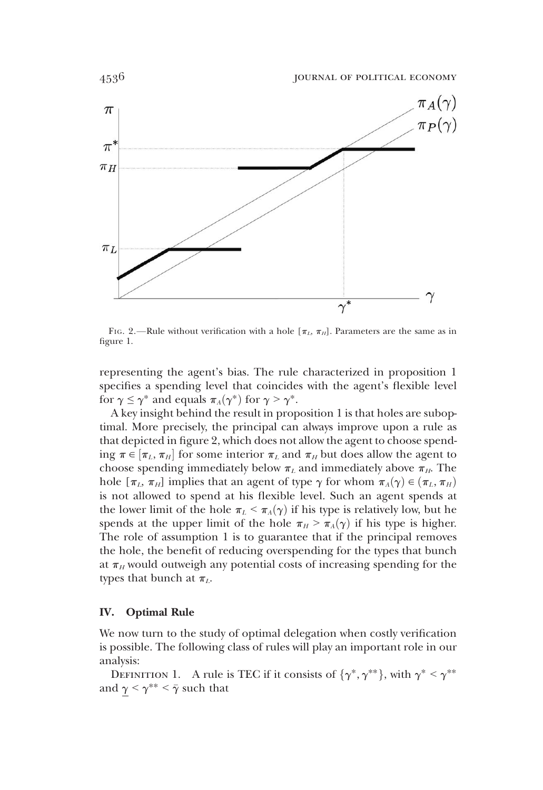

FIG. 2.—Rule without verification with a hole  $[\pi_L, \pi_H]$ . Parameters are the same as in figure 1.

representing the agent's bias. The rule characterized in proposition 1 specifies a spending level that coincides with the agent's flexible level for  $\gamma \leq \gamma^*$  and equals  $\pi_A(\gamma^*)$  for  $\gamma > \gamma^*$ .

A key insight behind the result in proposition 1 is that holes are suboptimal. More precisely, the principal can always improve upon a rule as that depicted in figure 2, which does not allow the agent to choose spending  $\pi \in [\pi_L, \pi_H]$  for some interior  $\pi_L$  and  $\pi_H$  but does allow the agent to choose spending immediately below  $\pi$ , and immediately above  $\pi$ . The choose spending immediately below  $\pi_L$  and immediately above  $\pi_H$ . The hole  $[\pi_L, \pi_H]$  implies that an agent of type  $\gamma$  for whom  $\pi_A(\gamma) \in (\pi_L, \pi_H)$ is not allowed to spend at his flexible level. Such an agent spends at the lower limit of the hole  $\pi_L < \pi_A(\gamma)$  if his type is relatively low, but he spends at the upper limit of the hole  $\pi_H > \pi_A(\gamma)$  if his type is higher. The role of assumption 1 is to guarantee that if the principal removes the hole, the benefit of reducing overspending for the types that bunch at  $\pi_H$  would outweigh any potential costs of increasing spending for the types that bunch at  $\pi_L$ .

### IV. Optimal Rule

We now turn to the study of optimal delegation when costly verification is possible. The following class of rules will play an important role in our analysis:

DEFINITION 1. A rule is TEC if it consists of  $\{\gamma^*, \gamma^{**}\},$  with  $\gamma^* \leq \gamma^{**}$ and  $\gamma < \gamma^{**} < \bar{\gamma}$  such that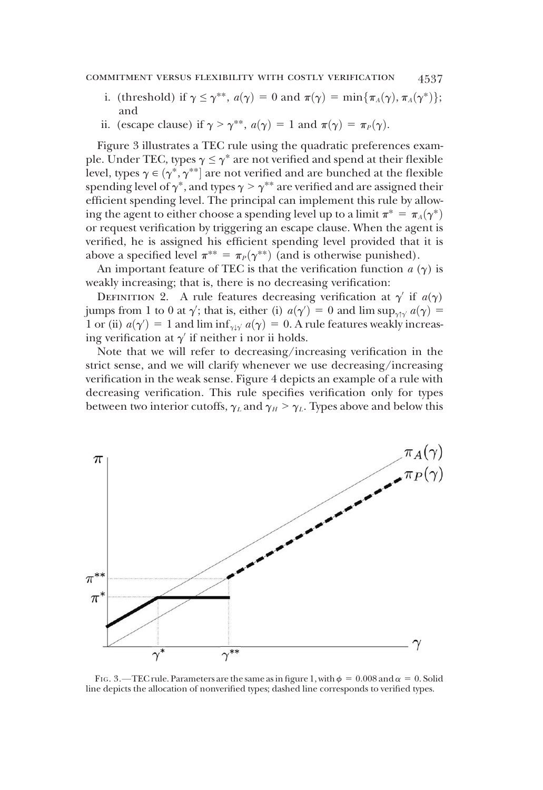- i. (threshold) if  $\gamma \leq \gamma^{**}$ ,  $a(\gamma) = 0$  and  $\pi(\gamma) = \min{\pi_A(\gamma), \pi_A(\gamma^*)}$ ; and
- ii. (escape clause) if  $\gamma > \gamma^{**}$ ,  $a(\gamma) = 1$  and  $\pi(\gamma) = \pi_P(\gamma)$ .

Figure 3 illustrates a TEC rule using the quadratic preferences example. Under TEC, types  $\gamma \leq \gamma^*$  are not verified and spend at their flexible level, types  $\gamma \in (\gamma^*, \gamma^{**}]$  are not verified and are bunched at the flexible<br>spending level of  $\gamma^*$  and types  $\gamma > \gamma^{**}$  are verified and are assigned their spending level of  $\gamma^*$ , and types  $\gamma > \gamma^{**}$  are verified and are assigned their efficient spending level. The principal can implement this rule by allowing the agent to either choose a spending level up to a limit  $\pi^* = \pi_A(\gamma^*)$ or request verification by triggering an escape clause. When the agent is verified, he is assigned his efficient spending level provided that it is above a specified level  $\pi^{**} = \pi_P(\gamma^{**})$  (and is otherwise punished).

An important feature of TEC is that the verification function  $a(\gamma)$  is weakly increasing; that is, there is no decreasing verification:

DEFINITION 2. A rule features decreasing verification at  $\gamma'$  if  $a(\gamma)$ jumps from 1 to 0 at  $\gamma'$ ; that is, either (i)  $a(\gamma') = 0$  and lim sup<sub> $\gamma \uparrow \gamma' a(\gamma) = 1$  and lim inf  $\gamma \downarrow a(\gamma) = 0$ . A rule features weakly increase</sub> 1 or (ii)  $a(\gamma') = 1$  and  $\liminf_{\gamma \downarrow \gamma} a(\gamma) = 0$ . A rule features weakly increasing verification at  $\gamma'$  if neither i nor ii holds ing verification at  $\gamma'$  if neither i nor ii holds.

Note that we will refer to decreasing/increasing verification in the strict sense, and we will clarify whenever we use decreasing/increasing verification in the weak sense. Figure 4 depicts an example of a rule with decreasing verification. This rule specifies verification only for types between two interior cutoffs,  $\gamma_L$  and  $\gamma_H > \gamma_L$ . Types above and below this



FIG. 3.—TEC rule. Parameters are the same as in figure 1, with  $\phi = 0.008$  and  $\alpha = 0$ . Solid line depicts the allocation of nonverified types; dashed line corresponds to verified types.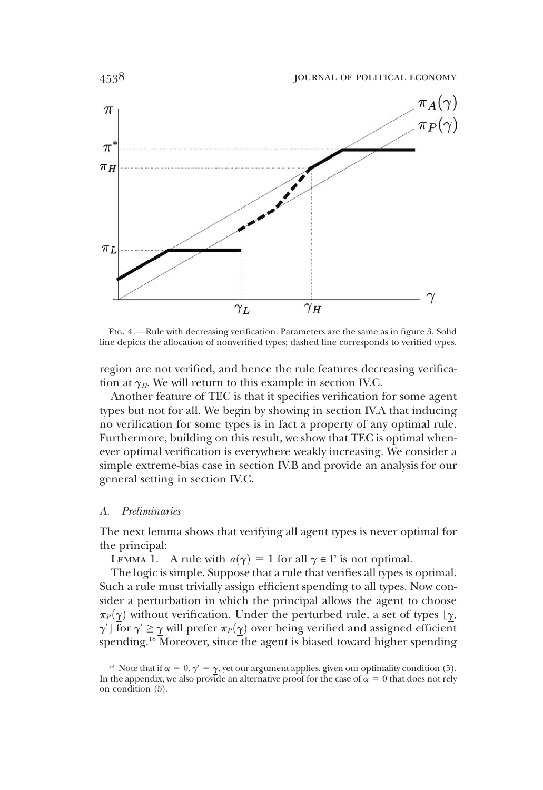

FIG. 4.—Rule with decreasing verification. Parameters are the same as in figure 3. Solid line depicts the allocation of nonverified types; dashed line corresponds to verified types.

region are not verified, and hence the rule features decreasing verification at  $\gamma_H$ . We will return to this example in section IV.C.

Another feature of TEC is that it specifies verification for some agent types but not for all. We begin by showing in section IV.A that inducing no verification for some types is in fact a property of any optimal rule. Furthermore, building on this result, we show that TEC is optimal whenever optimal verification is everywhere weakly increasing. We consider a simple extreme-bias case in section IV.B and provide an analysis for our general setting in section IV.C.

### A. Preliminaries

The next lemma shows that verifying all agent types is never optimal for the principal:

LEMMA 1. A rule with  $a(\gamma) = 1$  for all  $\gamma \in \Gamma$  is not optimal.

The logic is simple. Suppose that a rule that verifies all types is optimal. Such a rule must trivially assign efficient spending to all types. Now consider a perturbation in which the principal allows the agent to choose  $\pi_P(\gamma)$  without verification. Under the perturbed rule, a set of types [ $\gamma$ ,  $\gamma'$ ] for  $\gamma' \geq \gamma$  will prefer  $\pi_P(\gamma)$  over being verified and assigned efficient<br>spending <sup>18</sup> Moreover since the agent is biased toward bigher spending spending.<sup>18</sup> Moreover, since the agent is biased toward higher spending

<sup>&</sup>lt;sup>18</sup> Note that if  $\alpha = 0, \gamma' = \gamma$ , yet our argument applies, given our optimality condition (5). In the appendix, we also provide an alternative proof for the case of  $\alpha = 0$  that does not rely on condition (5).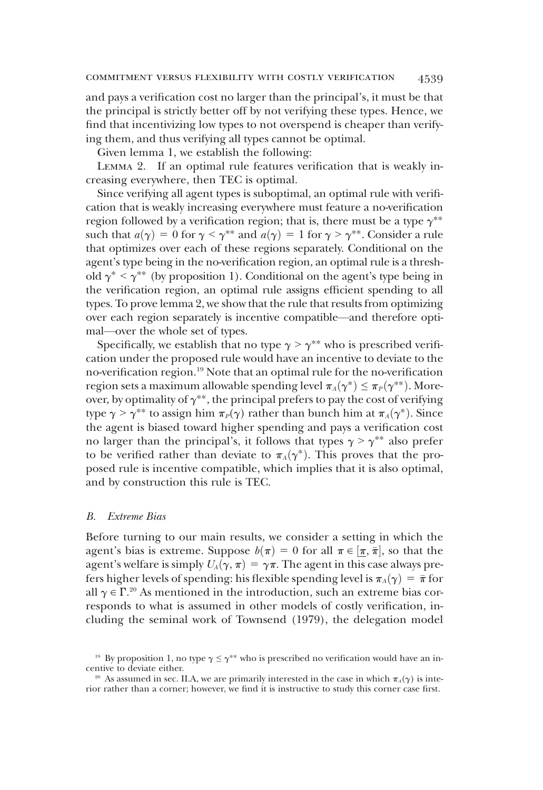and pays a verification cost no larger than the principal's, it must be that the principal is strictly better off by not verifying these types. Hence, we find that incentivizing low types to not overspend is cheaper than verifying them, and thus verifying all types cannot be optimal.

Given lemma 1, we establish the following:

Lemma 2. If an optimal rule features verification that is weakly increasing everywhere, then TEC is optimal.

Since verifying all agent types is suboptimal, an optimal rule with verification that is weakly increasing everywhere must feature a no-verification region followed by a verification region; that is, there must be a type  $\gamma^{**}$ such that  $a(\gamma) = 0$  for  $\gamma < \gamma^{**}$  and  $a(\gamma) = 1$  for  $\gamma > \gamma^{**}$ . Consider a rule that optimizes over each of these regions separately. Conditional on the agent's type being in the no-verification region, an optimal rule is a threshold  $\gamma^*$  <  $\gamma^{**}$  (by proposition 1). Conditional on the agent's type being in the verification region, an optimal rule assigns efficient spending to all types. To prove lemma 2, we show that the rule that results from optimizing over each region separately is incentive compatible—and therefore optimal—over the whole set of types.

Specifically, we establish that no type  $\gamma > \gamma^{**}$  who is prescribed verification under the proposed rule would have an incentive to deviate to the no-verification region.19 Note that an optimal rule for the no-verification region sets a maximum allowable spending level  $\pi_A(\gamma^*) \leq \pi_P(\gamma^{**})$ . Moreover, by optimality of  $\gamma^{**}$ , the principal prefers to pay the cost of verifying type  $\gamma > \gamma^{**}$  to assign him  $\pi_P(\gamma)$  rather than bunch him at  $\pi_A(\gamma^*)$ . Since the agent is biased toward higher spending and pays a verification cost no larger than the principal's, it follows that types  $\gamma > \gamma^{**}$  also prefer to be verified rather than deviate to  $\pi_A(\gamma^*)$ . This proves that the proposed rule is incentive compatible, which implies that it is also optimal, and by construction this rule is TEC.

### B. Extreme Bias

Before turning to our main results, we consider a setting in which the agent's bias is extreme. Suppose  $b(\pi) = 0$  for all  $\pi \in [\pi, \bar{\pi}]$ , so that the green's welfare is simply  $U(\alpha, \pi) = \alpha \pi$ . The agent in this case always preagent's welfare is simply  $U_A(\gamma, \pi) = \gamma \pi$ . The agent in this case always prefers higher levels of spending: his flexible spending level is  $\pi_A(\gamma) = \bar{\pi}$  for all  $\gamma \in \Gamma^{20}$  As mentioned in the introduction, such an extreme bias corresponds to what is assumed in other models of costly verification, inresponds to what is assumed in other models of costly verification, including the seminal work of Townsend (1979), the delegation model

<sup>&</sup>lt;sup>19</sup> By proposition 1, no type  $\gamma \leq \gamma^{**}$  who is prescribed no verification would have an incentive to deviate either.

<sup>&</sup>lt;sup>20</sup> As assumed in sec. II.A, we are primarily interested in the case in which  $\pi_A(\gamma)$  is interior rather than a corner; however, we find it is instructive to study this corner case first.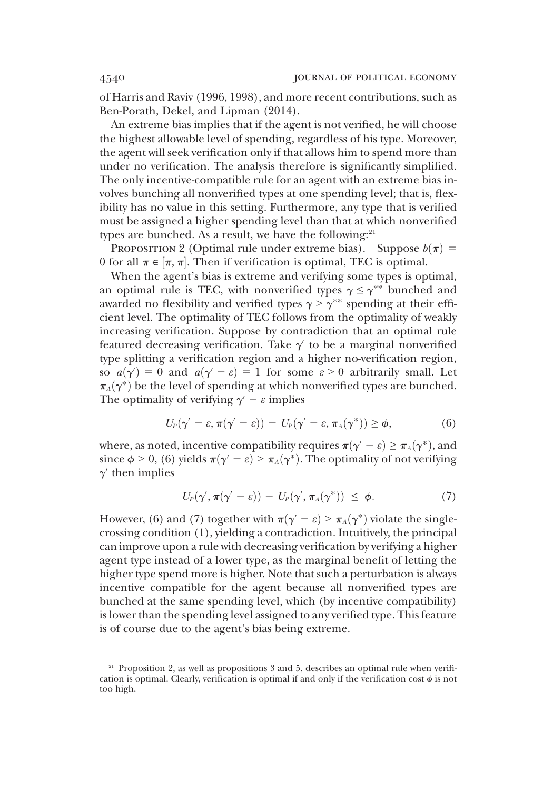of Harris and Raviv (1996, 1998), and more recent contributions, such as Ben-Porath, Dekel, and Lipman (2014).

An extreme bias implies that if the agent is not verified, he will choose the highest allowable level of spending, regardless of his type. Moreover, the agent will seek verification only if that allows him to spend more than under no verification. The analysis therefore is significantly simplified. The only incentive-compatible rule for an agent with an extreme bias involves bunching all nonverified types at one spending level; that is, flexibility has no value in this setting. Furthermore, any type that is verified must be assigned a higher spending level than that at which nonverified types are bunched. As a result, we have the following: $21$ 

PROPOSITION 2 (Optimal rule under extreme bias). Suppose  $b(\pi)$  = 0 for all  $\pi \in [\pi, \bar{\pi}]$ . Then if verification is optimal, TEC is optimal.<br>When the agent's bias is extreme and verifying some types is on

When the agent's bias is extreme and verifying some types is optimal, an optimal rule is TEC, with nonverified types  $\gamma \leq \gamma^{**}$  bunched and awarded no flexibility and verified types  $\gamma > \gamma^{**}$  spending at their efficient level. The optimality of TEC follows from the optimality of weakly increasing verification. Suppose by contradiction that an optimal rule featured decreasing verification. Take  $\gamma'$  to be a marginal nonverified type splitting a verification region and a higher no-verification region, so  $a(\gamma') = 0$  and  $a(\gamma' - \varepsilon) = 1$  for some  $\varepsilon > 0$  arbitrarily small. Let  $\pi_-(\gamma^*)$  be the level of spending at which popyerified types are bunched  $\pi_A(\gamma^*)$  be the level of spending at which nonverified types are bunched. The optimality of verifying  $\gamma - \varepsilon$  implies

$$
U_P(\gamma'-\varepsilon,\pi(\gamma'-\varepsilon))-U_P(\gamma'-\varepsilon,\pi_A(\gamma^*))\geq\phi,
$$
 (6)

where, as noted, incentive compatibility requires  $\pi(\gamma - \varepsilon) \geq \pi_A(\gamma^*)$ , and since  $\phi > 0$ , (6) yields  $\pi(\gamma' - \varepsilon) > \pi_A(\gamma^*)$ . The optimality of not verifying  $\gamma'$  then implies

$$
U_P(\gamma', \pi(\gamma' - \varepsilon)) - U_P(\gamma', \pi_A(\gamma^*)) \leq \phi.
$$
 (7)

However, (6) and (7) together with  $\pi(\gamma' - \varepsilon) > \pi_A(\gamma^*)$  violate the singlecrossing condition (1), yielding a contradiction. Intuitively, the principal can improve upon a rule with decreasing verification by verifying a higher agent type instead of a lower type, as the marginal benefit of letting the higher type spend more is higher. Note that such a perturbation is always incentive compatible for the agent because all nonverified types are bunched at the same spending level, which (by incentive compatibility) is lower than the spending level assigned to any verified type. This feature is of course due to the agent's bias being extreme.

<sup>&</sup>lt;sup>21</sup> Proposition 2, as well as propositions 3 and 5, describes an optimal rule when verification is optimal. Clearly, verification is optimal if and only if the verification cost  $\phi$  is not too high.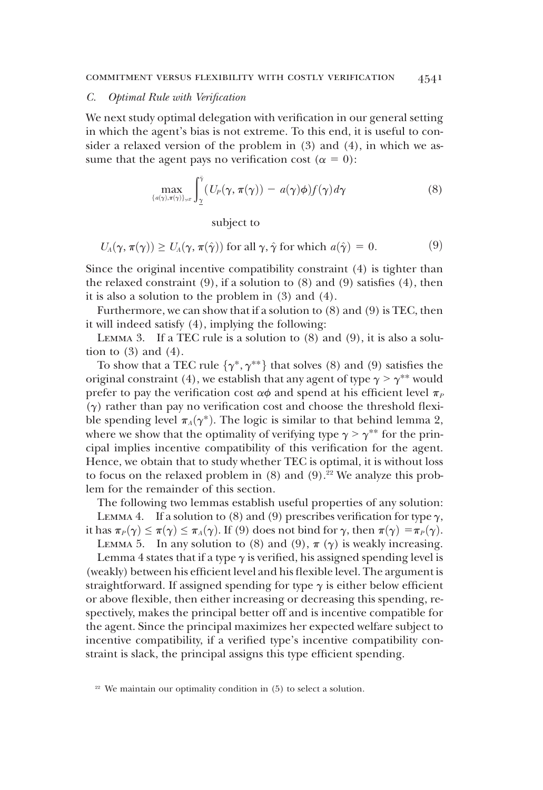#### C. Optimal Rule with Verification

We next study optimal delegation with verification in our general setting in which the agent's bias is not extreme. To this end, it is useful to consider a relaxed version of the problem in (3) and (4), in which we assume that the agent pays no verification cost ( $\alpha = 0$ ):

$$
\max_{\{a(\gamma),\pi(\gamma)\}_{\gamma\in\Gamma}} \int_{\underline{\gamma}}^{\bar{\gamma}} (U_P(\gamma,\pi(\gamma)) - a(\gamma)\phi) f(\gamma) d\gamma \tag{8}
$$

subject to

$$
U_A(\gamma, \pi(\gamma)) \ge U_A(\gamma, \pi(\hat{\gamma})) \text{ for all } \gamma, \hat{\gamma} \text{ for which } a(\hat{\gamma}) = 0.
$$
 (9)

Since the original incentive compatibility constraint (4) is tighter than the relaxed constraint  $(9)$ , if a solution to  $(8)$  and  $(9)$  satisfies  $(4)$ , then it is also a solution to the problem in (3) and (4).

Furthermore, we can show that if a solution to (8) and (9) is TEC, then it will indeed satisfy (4), implying the following:

LEMMA 3. If a TEC rule is a solution to  $(8)$  and  $(9)$ , it is also a solution to  $(3)$  and  $(4)$ .

To show that a TEC rule  $\{\gamma^*, \gamma^{**}\}\$  that solves (8) and (9) satisfies the original constraint (4), we establish that any agent of type  $\gamma > \gamma^{**}$  would prefer to pay the verification cost  $\alpha\phi$  and spend at his efficient level  $\pi_P$  $(\gamma)$  rather than pay no verification cost and choose the threshold flexible spending level  $\pi_A(\gamma^*)$ . The logic is similar to that behind lemma 2, where we show that the optimality of verifying type  $\gamma > \gamma^{**}$  for the principal implies incentive compatibility of this verification for the agent. Hence, we obtain that to study whether TEC is optimal, it is without loss to focus on the relaxed problem in  $(8)$  and  $(9)$ .<sup>22</sup> We analyze this problem for the remainder of this section.

The following two lemmas establish useful properties of any solution:

LEMMA 4. If a solution to (8) and (9) prescribes verification for type  $\gamma$ , it has  $\pi_P(\gamma) \leq \pi(\gamma) \leq \pi_A(\gamma)$ . If (9) does not bind for  $\gamma$ , then  $\pi(\gamma) = \pi_P(\gamma)$ .

LEMMA 5. In any solution to (8) and (9),  $\pi$  ( $\gamma$ ) is weakly increasing.

Lemma 4 states that if a type  $\gamma$  is verified, his assigned spending level is (weakly) between his efficient level and his flexible level. The argument is straightforward. If assigned spending for type  $\gamma$  is either below efficient or above flexible, then either increasing or decreasing this spending, respectively, makes the principal better off and is incentive compatible for the agent. Since the principal maximizes her expected welfare subject to incentive compatibility, if a verified type's incentive compatibility constraint is slack, the principal assigns this type efficient spending.

<sup>&</sup>lt;sup>22</sup> We maintain our optimality condition in (5) to select a solution.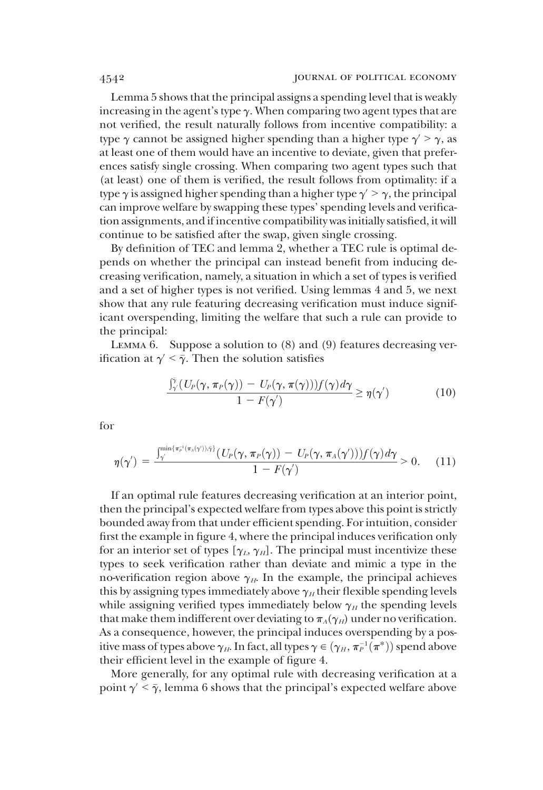Lemma 5 shows that the principal assigns a spending level that is weakly increasing in the agent's type  $\gamma$ . When comparing two agent types that are not verified, the result naturally follows from incentive compatibility: a type  $\gamma$  cannot be assigned higher spending than a higher type  $\gamma > \gamma$ , as at least one of them would have an incentive to deviate, given that preferences satisfy single crossing. When comparing two agent types such that (at least) one of them is verified, the result follows from optimality: if a type  $\gamma$  is assigned higher spending than a higher type  $\gamma > \gamma$ , the principal can improve welfare by swapping these types' spending levels and verification assignments, and if incentive compatibility was initially satisfied, it will continue to be satisfied after the swap, given single crossing.

By definition of TEC and lemma 2, whether a TEC rule is optimal depends on whether the principal can instead benefit from inducing decreasing verification, namely, a situation in which a set of types is verified and a set of higher types is not verified. Using lemmas 4 and 5, we next show that any rule featuring decreasing verification must induce significant overspending, limiting the welfare that such a rule can provide to the principal:

Lemma 6. Suppose a solution to (8) and (9) features decreasing verification at  $\gamma' < \bar{\gamma}$ . Then the solution satisfies

$$
\frac{\int_{\gamma}^{\bar{\gamma}} (U_P(\gamma, \pi_P(\gamma)) - U_P(\gamma, \pi(\gamma))) f(\gamma) d\gamma}{1 - F(\gamma')} \ge \eta(\gamma')
$$
(10)

for

$$
\eta(\gamma') = \frac{\int_{\gamma}^{\min\{\pi_{P}^{-1}(\pi_{A}(\gamma'))\bar{\gamma}\}}(U_{P}(\gamma,\pi_{P}(\gamma))-U_{P}(\gamma,\pi_{A}(\gamma')))f(\gamma)d\gamma}{1-F(\gamma')} > 0.
$$
 (11)

If an optimal rule features decreasing verification at an interior point, then the principal's expected welfare from types above this point is strictly bounded away from that under efficient spending. For intuition, consider first the example in figure 4, where the principal induces verification only for an interior set of types  $[\gamma_L, \gamma_H]$ . The principal must incentivize these types to seek verification rather than deviate and mimic a type in the no-verification region above  $\gamma_H$ . In the example, the principal achieves this by assigning types immediately above  $\gamma_H$  their flexible spending levels while assigning verified types immediately below  $\gamma_H$  the spending levels that make them indifferent over deviating to  $\pi_A(\gamma_H)$  under no verification. As a consequence, however, the principal induces overspending by a positive mass of types above  $\gamma_H$ . In fact, all types  $\gamma \in (\gamma_H, \pi_P^{-1}(\pi^*))$  spend above<br>their efficient level in the example of figure 4 their efficient level in the example of figure 4.

More generally, for any optimal rule with decreasing verification at a point  $\gamma' < \bar{\gamma}$ , lemma 6 shows that the principal's expected welfare above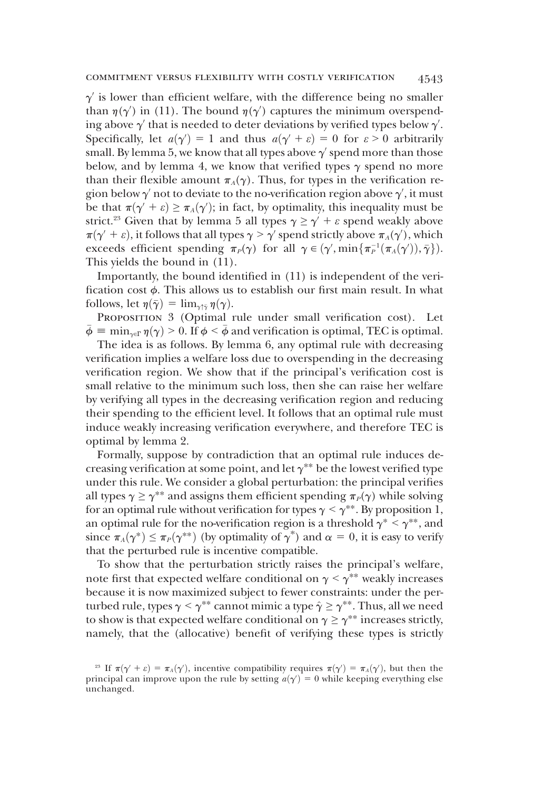$\gamma$  is lower than efficient welfare, with the difference being no smaller than  $\eta(\gamma')$  in (11). The bound  $\eta(\gamma')$  captures the minimum overspend-<br>ing above  $\gamma'$  that is needed to deter deviations by verified types below  $\gamma'$ ing above  $\gamma'$  that is needed to deter deviations by verified types below  $\gamma'$ .<br>Specifically let  $g(\gamma') = 1$  and thus  $g(\gamma' + \varepsilon) = 0$  for  $\varepsilon > 0$  arbitrarily Specifically, let  $a(\gamma') = 1$  and thus  $a(\gamma' + \varepsilon) = 0$  for  $\varepsilon > 0$  arbitrarily<br>small By lemma 5 we know that all types above  $\gamma'$  spend more than those small. By lemma 5, we know that all types above  $\gamma'$  spend more than those<br>below, and by lemma 4, we know that verified types  $\gamma$  spend no more below, and by lemma 4, we know that verified types  $\gamma$  spend no more than their flexible amount  $\pi_A(\gamma)$ . Thus, for types in the verification region below  $\gamma'$  not to deviate to the no-verification region above  $\gamma'$ , it must<br>be that  $\pi(\gamma' + \varepsilon) > \pi(\gamma')$ ; in fact, by optimality, this inequality must be be that  $\pi(\gamma' + \varepsilon) \ge \pi_A(\gamma')$ ; in fact, by optimality, this inequality must be strict <sup>23</sup> Given that by lemma 5 all types  $\gamma > \gamma' + \varepsilon$  spend weakly above strict.<sup>23</sup> Given that by lemma 5 all types  $\gamma \ge \gamma' + \varepsilon$  spend weakly above  $\pi(\gamma' + \varepsilon)$ , it follows that all types  $\gamma > \gamma'$  spend strictly above  $\pi_A(\gamma')$ , which<br>exceeds efficient spending  $\pi_A(\gamma)$  for all  $\gamma \in (\gamma' \text{ min}\{\pi^{-1}(\pi_A(\gamma')) \bar{\gamma}\})$ exceeds efficient spending  $\pi_P(\gamma)$  for all  $\gamma \in (\gamma', \min\{\pi_P^{-1}(\pi_A(\gamma')), \bar{\gamma}\}).$ <br>This vields the bound in (11) This yields the bound in (11).

Importantly, the bound identified in (11) is independent of the verification cost  $\phi$ . This allows us to establish our first main result. In what follows, let  $\eta(\bar{\gamma}) = \lim_{\gamma \uparrow \bar{\gamma}} \eta(\gamma)$ .

PROPOSITION 3 (Optimal rule under small verification cost). Let  $\bar{\phi} \equiv \min_{\gamma \in \Gamma} \eta(\gamma) > 0$ . If  $\phi \leq \bar{\phi}$  and verification is optimal, TEC is optimal.

The idea is as follows. By lemma 6, any optimal rule with decreasing verification implies a welfare loss due to overspending in the decreasing verification region. We show that if the principal's verification cost is small relative to the minimum such loss, then she can raise her welfare by verifying all types in the decreasing verification region and reducing their spending to the efficient level. It follows that an optimal rule must induce weakly increasing verification everywhere, and therefore TEC is optimal by lemma 2.

Formally, suppose by contradiction that an optimal rule induces decreasing verification at some point, and let  $\gamma^{**}$  be the lowest verified type under this rule. We consider a global perturbation: the principal verifies all types  $\gamma \geq \gamma^{**}$  and assigns them efficient spending  $\pi_P(\gamma)$  while solving for an optimal rule without verification for types  $\gamma < \gamma^{**}$ . By proposition 1, an optimal rule for the no-verification region is a threshold  $\gamma^* < \gamma^{**}$ , and since  $\pi_A(\gamma^*) \leq \pi_P(\gamma^{**})$  (by optimality of  $\gamma^*$ ) and  $\alpha = 0$ , it is easy to verify that the perturbed rule is incentive compatible.

To show that the perturbation strictly raises the principal's welfare, note first that expected welfare conditional on  $\gamma < \gamma^{**}$  weakly increases because it is now maximized subject to fewer constraints: under the perturbed rule, types  $\gamma < \gamma^{**}$  cannot mimic a type  $\hat{\gamma} \geq \gamma^{**}$ . Thus, all we need to show is that expected welfare conditional on  $\gamma \geq \gamma^{**}$  increases strictly, namely, that the (allocative) benefit of verifying these types is strictly

<sup>&</sup>lt;sup>23</sup> If  $\pi(\gamma' + \varepsilon) = \pi_A(\gamma')$ , incentive compatibility requires  $\pi(\gamma') = \pi_A(\gamma')$ , but then the incipal can improve upon the rule by setting  $g(\gamma') = 0$  while keeping everything else principal can improve upon the rule by setting  $a(\gamma) = 0$  while keeping everything else<br>unchanged unchanged.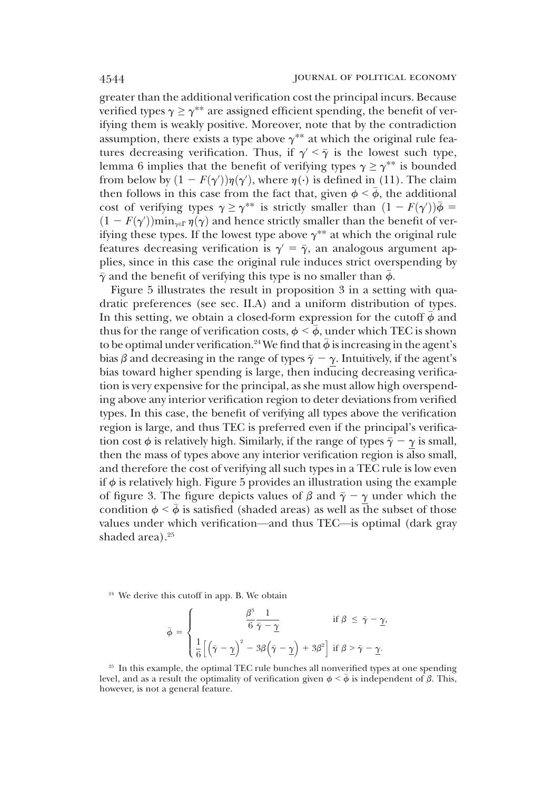greater than the additional verification cost the principal incurs. Because verified types  $\gamma \geq \gamma^{**}$  are assigned efficient spending, the benefit of verifying them is weakly positive. Moreover, note that by the contradiction assumption, there exists a type above  $\gamma^{**}$  at which the original rule features decreasing verification. Thus, if  $\gamma' < \overline{\gamma}$  is the lowest such type, lemma 6 implies that the benefit of verifying types  $\gamma \geq \gamma^{**}$  is bounded from below by  $(1 - F(\gamma))\eta(\gamma)$ , where  $\eta(\cdot)$  is defined in (11). The claim<br>then follows in this case from the fact that given  $\phi \leq \bar{\phi}$  the additional From below by  $(1 - F(\gamma)/\eta(\gamma))$ , where  $\eta(\cdot)$  is defined in (11). The claim<br>then follows in this case from the fact that, given  $\phi < \bar{\phi}$ , the additional<br>cost of verifying types  $\gamma > \gamma^{**}$  is strictly smaller than  $(1 - F(\gamma))$ cost of verifying types  $\gamma \ge \gamma^{**}$  is strictly smaller than  $(1 - F(\gamma))\overline{\phi} =$ <br> $(1 - F(\gamma'))$  min.  $\mathbb{F}(\alpha)$  and hence strictly smaller than the benefit of ver- $(1 - F(\gamma)) \min_{\gamma \in \Gamma} \eta(\gamma)$  and hence strictly smaller than the benefit of ver-<br>if in these types. If the lowest type above  $\gamma^{**}$  at which the original rule ifying these types. If the lowest type above  $\gamma^{**}$  at which the original rule features decreasing verification is  $\gamma = \overline{\gamma}$ , an analogous argument applies, since in this case the original rule induces strict overspending by  $\bar{\gamma}$  and the benefit of verifying this type is no smaller than  $\bar{\phi}$ .

Figure 5 illustrates the result in proposition 3 in a setting with quadratic preferences (see sec. II.A) and a uniform distribution of types. In this setting, we obtain a closed-form expression for the cutoff  $\bar{\phi}$  and thus for the range of verification costs,  $\phi < \bar{\phi}$ , under which TEC is shown to be optimal under verification.<sup>24</sup> We find that  $\bar{\phi}$  is increasing in the agent's bias  $\beta$  and decreasing in the range of types  $\bar{\gamma} - \gamma$ . Intuitively, if the agent's bias toward higher spending is large, then inducing decreasing verification is very expensive for the principal, as she must allow high overspending above any interior verification region to deter deviations from verified types. In this case, the benefit of verifying all types above the verification region is large, and thus TEC is preferred even if the principal's verification cost  $\phi$  is relatively high. Similarly, if the range of types  $\bar{\gamma} - \gamma$  is small, then the mass of types above any interior verification region is also small, and therefore the cost of verifying all such types in a TEC rule is low even if  $\phi$  is relatively high. Figure 5 provides an illustration using the example of figure 3. The figure depicts values of  $\beta$  and  $\bar{\gamma} - \gamma$  under which the condition  $\phi < \bar{\phi}$  is satisfied (shaded areas) as well as the subset of those values under which verification—and thus TEC—is optimal (dark gray shaded area). $25$ 

<sup>24</sup> We derive this cutoff in app. B. We obtain

$$
\bar{\phi} = \begin{cases} \frac{\beta^3}{6} \frac{1}{\bar{\gamma} - \underline{\gamma}} & \text{if } \beta \leq \bar{\gamma} - \underline{\gamma}, \\ \frac{1}{6} \left[ \left( \bar{\gamma} - \underline{\gamma} \right)^2 - 3\beta \left( \bar{\gamma} - \underline{\gamma} \right) + 3\beta^2 \right] & \text{if } \beta > \bar{\gamma} - \underline{\gamma}. \end{cases}
$$

<sup>25</sup> In this example, the optimal TEC rule bunches all nonverified types at one spending level, and as a result the optimality of verification given  $\phi < \bar{\phi}$  is independent of  $\beta$ . This, however, is not a general feature.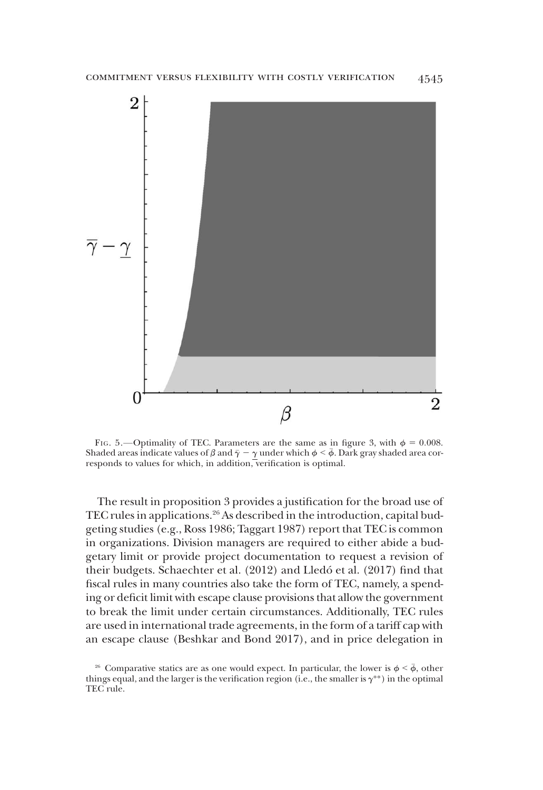

FIG. 5.—Optimality of TEC. Parameters are the same as in figure 3, with  $\phi = 0.008$ . Shaded areas indicate values of  $\beta$  and  $\bar{\gamma} - \gamma$  under which  $\phi \leq \bar{\phi}$ . Dark gray shaded area corresponds to values for which, in addition, verification is optimal.

The result in proposition 3 provides a justification for the broad use of TEC rules in applications.26 As described in the introduction, capital budgeting studies (e.g., Ross 1986; Taggart 1987) report that TEC is common in organizations. Division managers are required to either abide a budgetary limit or provide project documentation to request a revision of their budgets. Schaechter et al. (2012) and Lledó et al. (2017) find that fiscal rules in many countries also take the form of TEC, namely, a spending or deficit limit with escape clause provisions that allow the government to break the limit under certain circumstances. Additionally, TEC rules are used in international trade agreements, in the form of a tariff cap with an escape clause (Beshkar and Bond 2017), and in price delegation in

<sup>&</sup>lt;sup>26</sup> Comparative statics are as one would expect. In particular, the lower is  $\phi < \bar{\phi}$ , other things equal, and the larger is the verification region (i.e., the smaller is  $\gamma^{**}$ ) in the optimal TEC rule.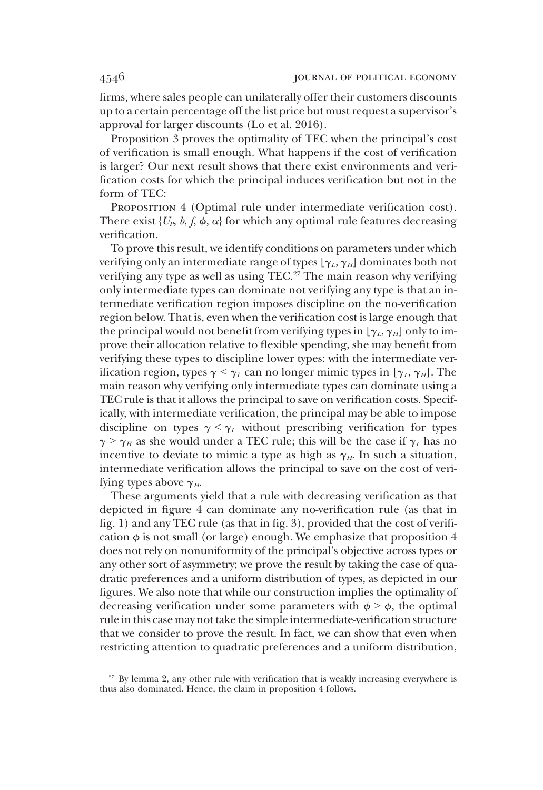firms, where sales people can unilaterally offer their customers discounts up to a certain percentage off the list price but must request a supervisor's approval for larger discounts (Lo et al. 2016).

Proposition 3 proves the optimality of TEC when the principal's cost of verification is small enough. What happens if the cost of verification is larger? Our next result shows that there exist environments and verification costs for which the principal induces verification but not in the form of TEC:

PROPOSITION 4 (Optimal rule under intermediate verification cost). There exist  $\{U_p, b, f, \phi, \alpha\}$  for which any optimal rule features decreasing verification.

To prove this result, we identify conditions on parameters under which verifying only an intermediate range of types  $[\gamma_L, \gamma_H]$  dominates both not verifying any type as well as using TEC.<sup>27</sup> The main reason why verifying only intermediate types can dominate not verifying any type is that an intermediate verification region imposes discipline on the no-verification region below. That is, even when the verification cost is large enough that the principal would not benefit from verifying types in  $[\gamma_L, \gamma_H]$  only to improve their allocation relative to flexible spending, she may benefit from verifying these types to discipline lower types: with the intermediate verification region, types  $\gamma < \gamma_L$  can no longer mimic types in [ $\gamma_L$ ,  $\gamma_H$ ]. The main reason why verifying only intermediate types can dominate using a TEC rule is that it allows the principal to save on verification costs. Specifically, with intermediate verification, the principal may be able to impose discipline on types  $\gamma < \gamma_L$  without prescribing verification for types  $\gamma > \gamma_H$  as she would under a TEC rule; this will be the case if  $\gamma_L$  has no incentive to deviate to mimic a type as high as  $\gamma_H$ . In such a situation, intermediate verification allows the principal to save on the cost of verifying types above  $\gamma_{H}$ .

These arguments yield that a rule with decreasing verification as that depicted in figure 4 can dominate any no-verification rule (as that in fig. 1) and any TEC rule (as that in fig. 3), provided that the cost of verification  $\phi$  is not small (or large) enough. We emphasize that proposition 4 does not rely on nonuniformity of the principal's objective across types or any other sort of asymmetry; we prove the result by taking the case of quadratic preferences and a uniform distribution of types, as depicted in our figures. We also note that while our construction implies the optimality of decreasing verification under some parameters with  $\phi > \bar{\phi}$ , the optimal rule in this case may not take the simple intermediate-verification structure that we consider to prove the result. In fact, we can show that even when restricting attention to quadratic preferences and a uniform distribution,

 $27$  By lemma 2, any other rule with verification that is weakly increasing everywhere is thus also dominated. Hence, the claim in proposition 4 follows.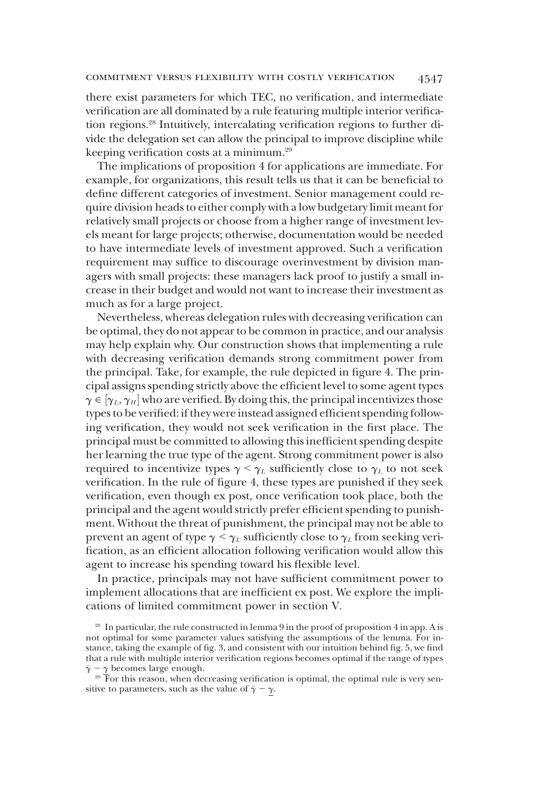there exist parameters for which TEC, no verification, and intermediate verification are all dominated by a rule featuring multiple interior verification regions.28 Intuitively, intercalating verification regions to further divide the delegation set can allow the principal to improve discipline while keeping verification costs at a minimum.29

The implications of proposition 4 for applications are immediate. For example, for organizations, this result tells us that it can be beneficial to define different categories of investment. Senior management could require division heads to either comply with a low budgetary limit meant for relatively small projects or choose from a higher range of investment levels meant for large projects; otherwise, documentation would be needed to have intermediate levels of investment approved. Such a verification requirement may suffice to discourage overinvestment by division managers with small projects: these managers lack proof to justify a small increase in their budget and would not want to increase their investment as much as for a large project.

Nevertheless, whereas delegation rules with decreasing verification can be optimal, they do not appear to be common in practice, and our analysis may help explain why. Our construction shows that implementing a rule with decreasing verification demands strong commitment power from the principal. Take, for example, the rule depicted in figure 4. The principal assigns spending strictly above the efficient level to some agent types  $\gamma \in [\gamma_L, \gamma_H]$  who are verified. By doing this, the principal incentivizes those<br>types to be verified: if they were instead assigned efficient spending follows types to be verified: if they were instead assigned efficient spending following verification, they would not seek verification in the first place. The principal must be committed to allowing this inefficient spending despite her learning the true type of the agent. Strong commitment power is also required to incentivize types  $\gamma < \gamma_L$  sufficiently close to  $\gamma_L$  to not seek verification. In the rule of figure 4, these types are punished if they seek verification, even though ex post, once verification took place, both the principal and the agent would strictly prefer efficient spending to punishment. Without the threat of punishment, the principal may not be able to prevent an agent of type  $\gamma < \gamma_L$  sufficiently close to  $\gamma_L$  from seeking verification, as an efficient allocation following verification would allow this agent to increase his spending toward his flexible level.

In practice, principals may not have sufficient commitment power to implement allocations that are inefficient ex post. We explore the implications of limited commitment power in section V.

<sup>&</sup>lt;sup>28</sup> In particular, the rule constructed in lemma 9 in the proof of proposition 4 in app. A is not optimal for some parameter values satisfying the assumptions of the lemma. For instance, taking the example of fig. 3, and consistent with our intuition behind fig. 5, we find that a rule with multiple interior verification regions becomes optimal if the range of types  $\bar{\gamma}$   $\gamma$  becomes large enough.<br><sup>29</sup> For this reason, when decreasing verification is optimal, the optimal rule is very sen-

sitive to parameters, such as the value of  $\bar{\gamma} - \gamma$ .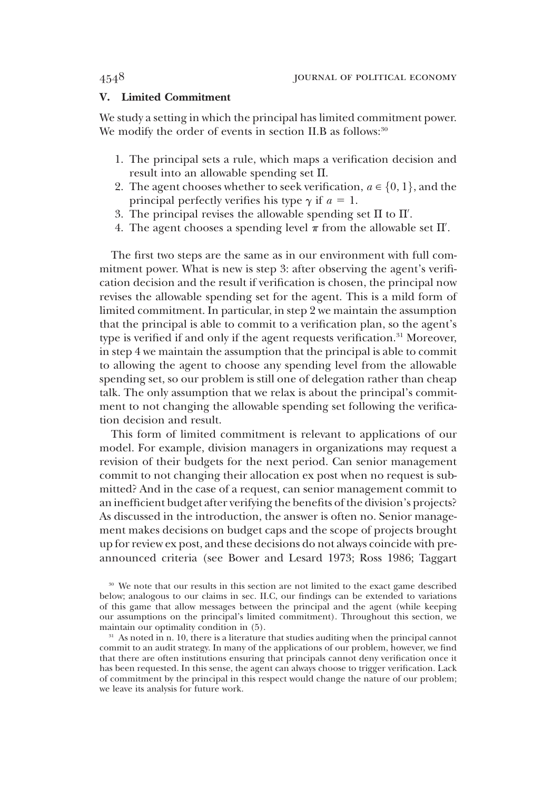# V. Limited Commitment

We study a setting in which the principal has limited commitment power. We modify the order of events in section II.B as follows:<sup>30</sup>

- 1. The principal sets a rule, which maps a verification decision and result into an allowable spending set  $\Pi$ .
- 2. The agent chooses whether to seek verification,  $a \in \{0, 1\}$ , and the principal perfectly verifies his type  $\gamma$  if  $a = 1$ .
- 3. The principal revises the allowable spending set  $\Pi$  to  $\Pi'$ .<br>4. The agent chooses a spending level  $\pi$  from the allowable
- 4. The agent chooses a spending level  $\pi$  from the allowable set  $\Pi'.$

The first two steps are the same as in our environment with full commitment power. What is new is step 3: after observing the agent's verification decision and the result if verification is chosen, the principal now revises the allowable spending set for the agent. This is a mild form of limited commitment. In particular, in step 2 we maintain the assumption that the principal is able to commit to a verification plan, so the agent's type is verified if and only if the agent requests verification.<sup>31</sup> Moreover, in step 4 we maintain the assumption that the principal is able to commit to allowing the agent to choose any spending level from the allowable spending set, so our problem is still one of delegation rather than cheap talk. The only assumption that we relax is about the principal's commitment to not changing the allowable spending set following the verification decision and result.

This form of limited commitment is relevant to applications of our model. For example, division managers in organizations may request a revision of their budgets for the next period. Can senior management commit to not changing their allocation ex post when no request is submitted? And in the case of a request, can senior management commit to an inefficient budget after verifying the benefits of the division's projects? As discussed in the introduction, the answer is often no. Senior management makes decisions on budget caps and the scope of projects brought up for review ex post, and these decisions do not always coincide with preannounced criteria (see Bower and Lesard 1973; Ross 1986; Taggart

<sup>30</sup> We note that our results in this section are not limited to the exact game described below; analogous to our claims in sec. II.C, our findings can be extended to variations of this game that allow messages between the principal and the agent (while keeping our assumptions on the principal's limited commitment). Throughout this section, we maintain our optimality condition in (5).

<sup>&</sup>lt;sup>31</sup> As noted in n. 10, there is a literature that studies auditing when the principal cannot commit to an audit strategy. In many of the applications of our problem, however, we find that there are often institutions ensuring that principals cannot deny verification once it has been requested. In this sense, the agent can always choose to trigger verification. Lack of commitment by the principal in this respect would change the nature of our problem; we leave its analysis for future work.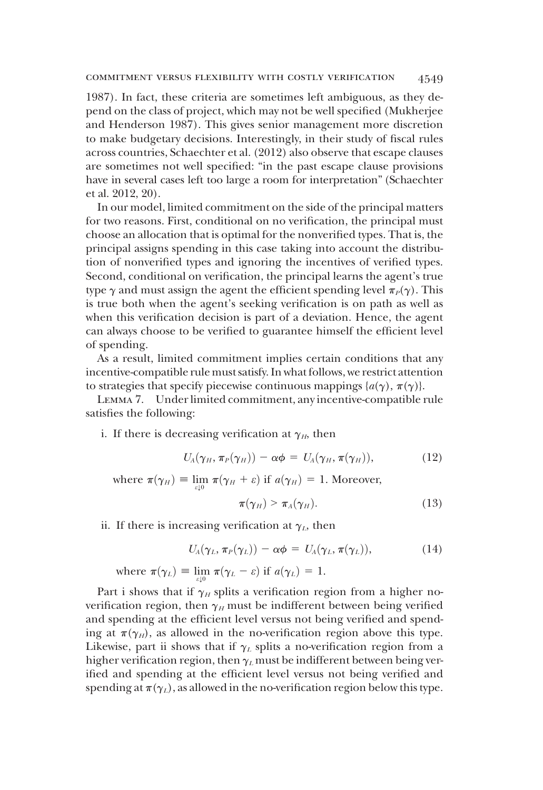1987). In fact, these criteria are sometimes left ambiguous, as they depend on the class of project, which may not be well specified (Mukherjee and Henderson 1987). This gives senior management more discretion to make budgetary decisions. Interestingly, in their study of fiscal rules across countries, Schaechter et al. (2012) also observe that escape clauses are sometimes not well specified: "in the past escape clause provisions have in several cases left too large a room for interpretation" (Schaechter et al. 2012, 20).

In our model, limited commitment on the side of the principal matters for two reasons. First, conditional on no verification, the principal must choose an allocation that is optimal for the nonverified types. That is, the principal assigns spending in this case taking into account the distribution of nonverified types and ignoring the incentives of verified types. Second, conditional on verification, the principal learns the agent's true type  $\gamma$  and must assign the agent the efficient spending level  $\pi_P(\gamma)$ . This is true both when the agent's seeking verification is on path as well as when this verification decision is part of a deviation. Hence, the agent can always choose to be verified to guarantee himself the efficient level of spending.

As a result, limited commitment implies certain conditions that any incentive-compatible rule must satisfy. In what follows, we restrict attention to strategies that specify piecewise continuous mappings  $\{a(\gamma), \pi(\gamma)\}.$ 

Lemma 7. Under limited commitment, any incentive-compatible rule satisfies the following:

i. If there is decreasing verification at  $\gamma_H$ , then

$$
U_A(\gamma_H, \pi_P(\gamma_H)) - \alpha \phi = U_A(\gamma_H, \pi(\gamma_H)), \qquad (12)
$$

where  $\pi(\gamma_H) \equiv \lim_{\varepsilon \downarrow 0} \pi(\gamma_H + \varepsilon)$  if  $a(\gamma_H) = 1$ . Moreover,  $\pi(\gamma_H) > \pi_A(\gamma_H).$  (13)

ii. If there is increasing verification at  $\gamma_L$ , then

$$
U_A(\gamma_L, \pi_P(\gamma_L)) - \alpha \phi = U_A(\gamma_L, \pi(\gamma_L)), \qquad (14)
$$

where  $\pi(\gamma_L) \equiv \lim_{\varepsilon \downarrow 0} \pi(\gamma_L - \varepsilon)$  if  $a(\gamma_L) = 1$ .

Part i shows that if  $\gamma_H$  splits a verification region from a higher noverification region, then  $\gamma_H$  must be indifferent between being verified and spending at the efficient level versus not being verified and spending at  $\pi(\gamma_H)$ , as allowed in the no-verification region above this type. Likewise, part ii shows that if  $\gamma_L$  splits a no-verification region from a higher verification region, then  $\gamma_L$  must be indifferent between being verified and spending at the efficient level versus not being verified and spending at  $\pi(\gamma_L)$ , as allowed in the no-verification region below this type.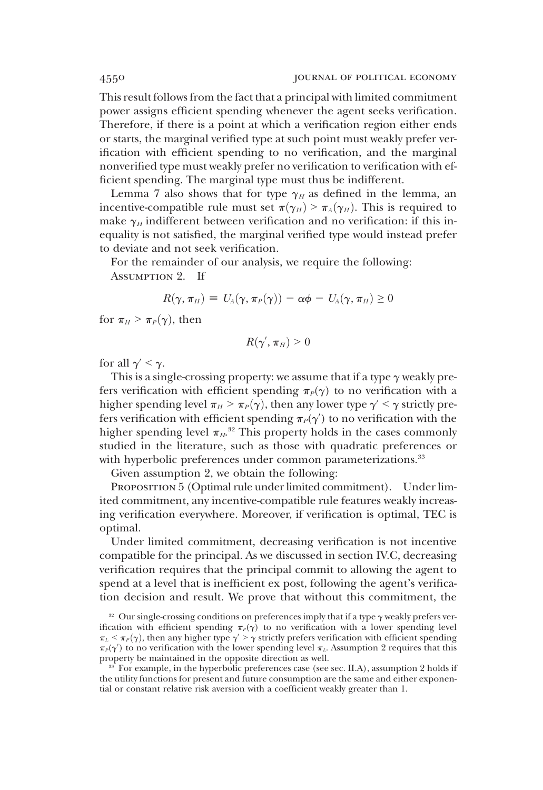This result follows from the fact that a principal with limited commitment power assigns efficient spending whenever the agent seeks verification. Therefore, if there is a point at which a verification region either ends or starts, the marginal verified type at such point must weakly prefer verification with efficient spending to no verification, and the marginal nonverified type must weakly prefer no verification to verification with efficient spending. The marginal type must thus be indifferent.

Lemma 7 also shows that for type  $\gamma_H$  as defined in the lemma, an incentive-compatible rule must set  $\pi(\gamma_H) > \pi_A(\gamma_H)$ . This is required to make  $\gamma_H$  indifferent between verification and no verification: if this inequality is not satisfied, the marginal verified type would instead prefer to deviate and not seek verification.

For the remainder of our analysis, we require the following:

Assumption 2. If

$$
R(\gamma, \pi_H) \equiv U_A(\gamma, \pi_P(\gamma)) - \alpha \phi - U_A(\gamma, \pi_H) \geq 0
$$

for  $\pi_H > \pi_P(\gamma)$ , then

$$
R(\gamma', \pi_H) > 0
$$

for all  $\gamma' < \gamma$ .

This is a single-crossing property: we assume that if a type  $\gamma$  weakly prefers verification with efficient spending  $\pi_P(\gamma)$  to no verification with a higher spending level  $\pi_H > \pi_P(\gamma)$ , then any lower type  $\gamma' < \gamma$  strictly prefers verification with efficient spending  $\pi_P(\gamma)$ <br>bigber spending level  $\pi_P^{-32}$  This property be fers verification with efficient spending  $\pi_P(\gamma')$  to no verification with the higher spending level  $\pi_{H}^{32}$ . This property holds in the cases commonly studied in the literature, such as those with quadratic preferences or studied in the literature, such as those with quadratic preferences or with hyperbolic preferences under common parameterizations.<sup>33</sup>

Given assumption 2, we obtain the following:

PROPOSITION 5 (Optimal rule under limited commitment). Under limited commitment, any incentive-compatible rule features weakly increasing verification everywhere. Moreover, if verification is optimal, TEC is optimal.

Under limited commitment, decreasing verification is not incentive compatible for the principal. As we discussed in section IV.C, decreasing verification requires that the principal commit to allowing the agent to spend at a level that is inefficient ex post, following the agent's verification decision and result. We prove that without this commitment, the

<sup>&</sup>lt;sup>32</sup> Our single-crossing conditions on preferences imply that if a type  $\gamma$  weakly prefers verification with efficient spending  $\pi_P(\gamma)$  to no verification with a lower spending level  $\pi_L < \pi_P(\gamma)$ , then any higher type  $\gamma > \gamma$  strictly prefers verification with efficient spending  $\pi_P(\gamma')$  to no verification with the lower spending level  $\pi_L$ . Assumption 2 requires that this property be maintained in the opposite direction as well property be maintained in the opposite direction as well.

<sup>&</sup>lt;sup>33</sup> For example, in the hyperbolic preferences case (see sec. II.A), assumption 2 holds if the utility functions for present and future consumption are the same and either exponential or constant relative risk aversion with a coefficient weakly greater than 1.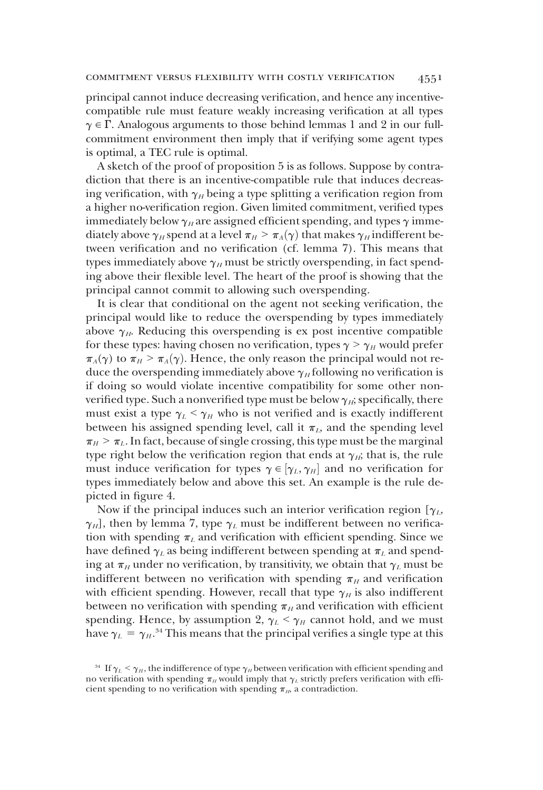principal cannot induce decreasing verification, and hence any incentivecompatible rule must feature weakly increasing verification at all types  $\gamma \in \Gamma$ . Analogous arguments to those behind lemmas 1 and 2 in our fullcommitment environment then imply that if verifying some agent types is optimal, a TEC rule is optimal.

A sketch of the proof of proposition 5 is as follows. Suppose by contradiction that there is an incentive-compatible rule that induces decreasing verification, with  $\gamma_H$  being a type splitting a verification region from a higher no-verification region. Given limited commitment, verified types immediately below  $\gamma_H$  are assigned efficient spending, and types  $\gamma$  immediately above  $\gamma_H$  spend at a level  $\pi_H > \pi_A(\gamma)$  that makes  $\gamma_H$  indifferent between verification and no verification (cf. lemma 7). This means that types immediately above  $\gamma_H$  must be strictly overspending, in fact spending above their flexible level. The heart of the proof is showing that the principal cannot commit to allowing such overspending.

It is clear that conditional on the agent not seeking verification, the principal would like to reduce the overspending by types immediately above  $\gamma_{H}$ . Reducing this overspending is ex post incentive compatible for these types: having chosen no verification, types  $\gamma > \gamma_H$  would prefer  $\pi_A(\gamma)$  to  $\pi_H > \pi_A(\gamma)$ . Hence, the only reason the principal would not reduce the overspending immediately above  $\gamma_H$  following no verification is if doing so would violate incentive compatibility for some other nonverified type. Such a nonverified type must be below  $\gamma_{H}$ ; specifically, there must exist a type  $\gamma_L < \gamma_H$  who is not verified and is exactly indifferent between his assigned spending level, call it  $\pi_L$ , and the spending level  $\pi_H$  >  $\pi_L$ . In fact, because of single crossing, this type must be the marginal type right below the verification region that ends at  $\gamma_{H}$ ; that is, the rule must induce verification for types  $\gamma \in [\gamma_L, \gamma_H]$  and no verification for<br>types immediately below and above this set. An example is the rule detypes immediately below and above this set. An example is the rule depicted in figure 4.

Now if the principal induces such an interior verification region  $[\gamma_L, \gamma_M]$  $\gamma_H$ , then by lemma 7, type  $\gamma_L$  must be indifferent between no verification with spending  $\pi_L$  and verification with efficient spending. Since we have defined  $\gamma_L$  as being indifferent between spending at  $\pi_L$  and spending at  $\pi_H$  under no verification, by transitivity, we obtain that  $\gamma_L$  must be indifferent between no verification with spending  $\pi_H$  and verification with efficient spending. However, recall that type  $\gamma_H$  is also indifferent between no verification with spending  $\pi_H$  and verification with efficient spending. Hence, by assumption 2,  $\gamma_L < \gamma_H$  cannot hold, and we must have  $\gamma_L = \gamma_H$ .<sup>34</sup> This means that the principal verifies a single type at this

<sup>&</sup>lt;sup>34</sup> If  $\gamma_L < \gamma_H$ , the indifference of type  $\gamma_H$  between verification with efficient spending and no verification with spending  $\pi_H$  would imply that  $\gamma_L$  strictly prefers verification with efficient spending to no verification with spending  $\pi_H$ , a contradiction.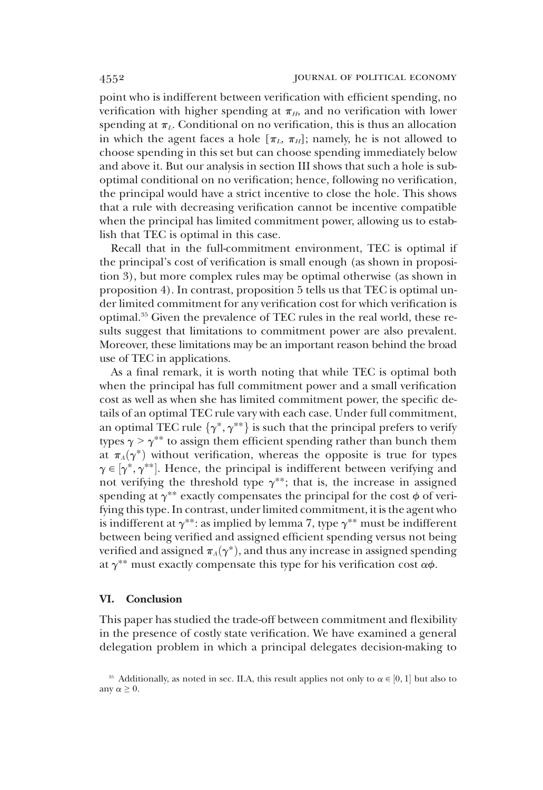point who is indifferent between verification with efficient spending, no verification with higher spending at  $\pi_H$ , and no verification with lower spending at  $\pi_L$ . Conditional on no verification, this is thus an allocation in which the agent faces a hole  $[\pi_L, \pi_H]$ ; namely, he is not allowed to choose spending in this set but can choose spending immediately below and above it. But our analysis in section III shows that such a hole is suboptimal conditional on no verification; hence, following no verification, the principal would have a strict incentive to close the hole. This shows that a rule with decreasing verification cannot be incentive compatible when the principal has limited commitment power, allowing us to establish that TEC is optimal in this case.

Recall that in the full-commitment environment, TEC is optimal if the principal's cost of verification is small enough (as shown in proposition 3), but more complex rules may be optimal otherwise (as shown in proposition 4). In contrast, proposition 5 tells us that TEC is optimal under limited commitment for any verification cost for which verification is optimal.35 Given the prevalence of TEC rules in the real world, these results suggest that limitations to commitment power are also prevalent. Moreover, these limitations may be an important reason behind the broad use of TEC in applications.

As a final remark, it is worth noting that while TEC is optimal both when the principal has full commitment power and a small verification cost as well as when she has limited commitment power, the specific details of an optimal TEC rule vary with each case. Under full commitment, an optimal TEC rule  $\{\gamma^*, \gamma^{**}\}$  is such that the principal prefers to verify types  $\gamma > \gamma^{**}$  to assign them efficient spending rather than bunch them at  $\pi_A(\gamma^*)$  without verification, whereas the opposite is true for types  $\gamma \in [\gamma^*, \gamma^{**}]$ . Hence, the principal is indifferent between verifying and not verifying the threshold type  $\gamma^{**}$ ; that is the increase in assigned not verifying the threshold type  $\gamma^{**}$ ; that is, the increase in assigned spending at  $\gamma^{**}$  exactly compensates the principal for the cost  $\phi$  of verifying this type. In contrast, under limited commitment, it is the agent who is indifferent at  $\gamma^{**}$ : as implied by lemma 7, type  $\gamma^{**}$  must be indifferent between being verified and assigned efficient spending versus not being verified and assigned  $\pi_A(\gamma^*)$ , and thus any increase in assigned spending at  $\gamma^{**}$  must exactly compensate this type for his verification cost  $\alpha\phi$ .

# VI. Conclusion

This paper has studied the trade-off between commitment and flexibility in the presence of costly state verification. We have examined a general delegation problem in which a principal delegates decision-making to

<sup>&</sup>lt;sup>35</sup> Additionally, as noted in sec. II.A, this result applies not only to  $\alpha \in [0, 1]$  but also to  $\nu \alpha > 0$ any  $\alpha \geq 0$ .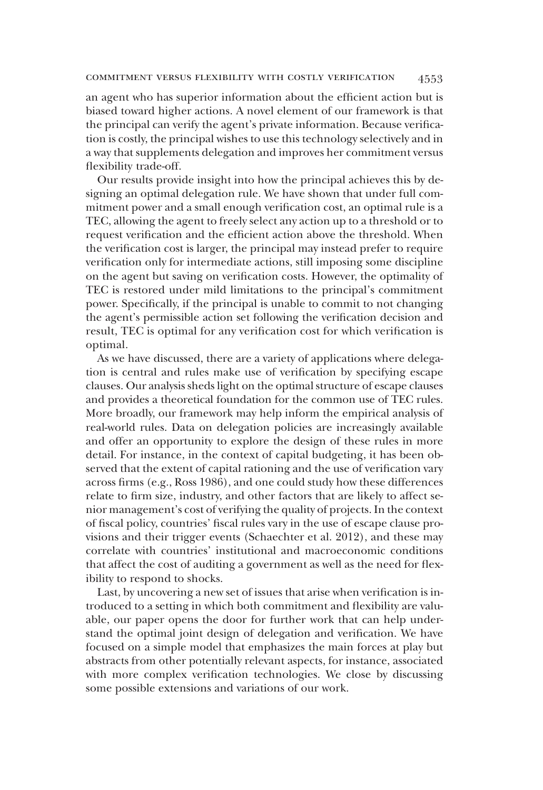an agent who has superior information about the efficient action but is biased toward higher actions. A novel element of our framework is that the principal can verify the agent's private information. Because verification is costly, the principal wishes to use this technology selectively and in a way that supplements delegation and improves her commitment versus flexibility trade-off.

Our results provide insight into how the principal achieves this by designing an optimal delegation rule. We have shown that under full commitment power and a small enough verification cost, an optimal rule is a TEC, allowing the agent to freely select any action up to a threshold or to request verification and the efficient action above the threshold. When the verification cost is larger, the principal may instead prefer to require verification only for intermediate actions, still imposing some discipline on the agent but saving on verification costs. However, the optimality of TEC is restored under mild limitations to the principal's commitment power. Specifically, if the principal is unable to commit to not changing the agent's permissible action set following the verification decision and result, TEC is optimal for any verification cost for which verification is optimal.

As we have discussed, there are a variety of applications where delegation is central and rules make use of verification by specifying escape clauses. Our analysis sheds light on the optimal structure of escape clauses and provides a theoretical foundation for the common use of TEC rules. More broadly, our framework may help inform the empirical analysis of real-world rules. Data on delegation policies are increasingly available and offer an opportunity to explore the design of these rules in more detail. For instance, in the context of capital budgeting, it has been observed that the extent of capital rationing and the use of verification vary across firms (e.g., Ross 1986), and one could study how these differences relate to firm size, industry, and other factors that are likely to affect senior management's cost of verifying the quality of projects. In the context of fiscal policy, countries' fiscal rules vary in the use of escape clause provisions and their trigger events (Schaechter et al. 2012), and these may correlate with countries' institutional and macroeconomic conditions that affect the cost of auditing a government as well as the need for flexibility to respond to shocks.

Last, by uncovering a new set of issues that arise when verification is introduced to a setting in which both commitment and flexibility are valuable, our paper opens the door for further work that can help understand the optimal joint design of delegation and verification. We have focused on a simple model that emphasizes the main forces at play but abstracts from other potentially relevant aspects, for instance, associated with more complex verification technologies. We close by discussing some possible extensions and variations of our work.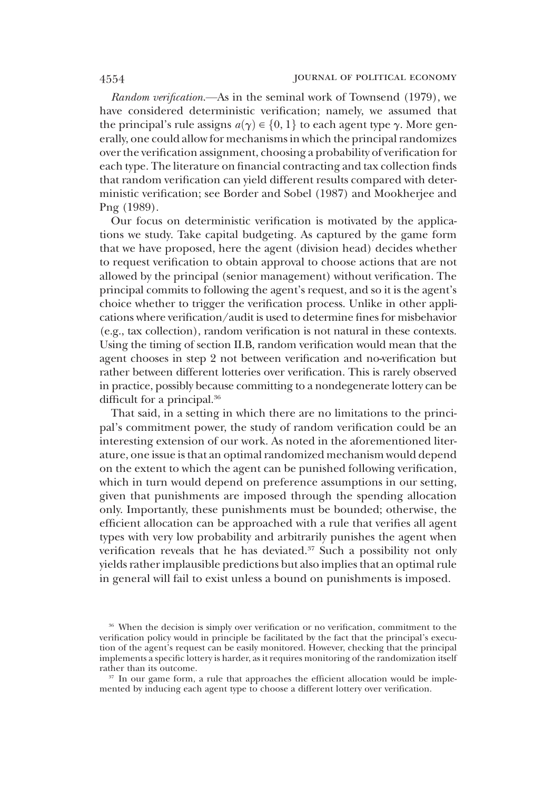Random verification.—As in the seminal work of Townsend (1979), we have considered deterministic verification; namely, we assumed that the principal's rule assigns  $a(\gamma) \in \{0, 1\}$  to each agent type  $\gamma$ . More generally, one could allow for mechanisms in which the principal randomizes over the verification assignment, choosing a probability of verification for each type. The literature on financial contracting and tax collection finds that random verification can yield different results compared with deterministic verification; see Border and Sobel (1987) and Mookherjee and Png (1989).

Our focus on deterministic verification is motivated by the applications we study. Take capital budgeting. As captured by the game form that we have proposed, here the agent (division head) decides whether to request verification to obtain approval to choose actions that are not allowed by the principal (senior management) without verification. The principal commits to following the agent's request, and so it is the agent's choice whether to trigger the verification process. Unlike in other applications where verification/audit is used to determine fines for misbehavior (e.g., tax collection), random verification is not natural in these contexts. Using the timing of section II.B, random verification would mean that the agent chooses in step 2 not between verification and no-verification but rather between different lotteries over verification. This is rarely observed in practice, possibly because committing to a nondegenerate lottery can be difficult for a principal.<sup>36</sup>

That said, in a setting in which there are no limitations to the principal's commitment power, the study of random verification could be an interesting extension of our work. As noted in the aforementioned literature, one issue is that an optimal randomized mechanism would depend on the extent to which the agent can be punished following verification, which in turn would depend on preference assumptions in our setting, given that punishments are imposed through the spending allocation only. Importantly, these punishments must be bounded; otherwise, the efficient allocation can be approached with a rule that verifies all agent types with very low probability and arbitrarily punishes the agent when verification reveals that he has deviated. $37$  Such a possibility not only yields rather implausible predictions but also implies that an optimal rule in general will fail to exist unless a bound on punishments is imposed.

<sup>36</sup> When the decision is simply over verification or no verification, commitment to the verification policy would in principle be facilitated by the fact that the principal's execution of the agent's request can be easily monitored. However, checking that the principal implements a specific lottery is harder, as it requires monitoring of the randomization itself rather than its outcome.

<sup>&</sup>lt;sup>37</sup> In our game form, a rule that approaches the efficient allocation would be implemented by inducing each agent type to choose a different lottery over verification.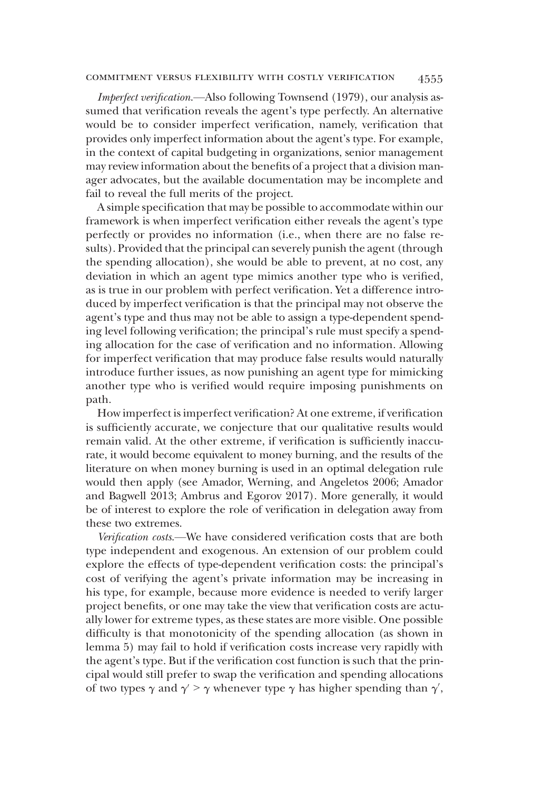# commitment versus flexibility with costly verification 4555

Imperfect verification.—Also following Townsend (1979), our analysis assumed that verification reveals the agent's type perfectly. An alternative would be to consider imperfect verification, namely, verification that provides only imperfect information about the agent's type. For example, in the context of capital budgeting in organizations, senior management may review information about the benefits of a project that a division manager advocates, but the available documentation may be incomplete and fail to reveal the full merits of the project.

A simple specification that may be possible to accommodate within our framework is when imperfect verification either reveals the agent's type perfectly or provides no information (i.e., when there are no false results). Provided that the principal can severely punish the agent (through the spending allocation), she would be able to prevent, at no cost, any deviation in which an agent type mimics another type who is verified, as is true in our problem with perfect verification. Yet a difference introduced by imperfect verification is that the principal may not observe the agent's type and thus may not be able to assign a type-dependent spending level following verification; the principal's rule must specify a spending allocation for the case of verification and no information. Allowing for imperfect verification that may produce false results would naturally introduce further issues, as now punishing an agent type for mimicking another type who is verified would require imposing punishments on path.

How imperfect is imperfect verification? At one extreme, if verification is sufficiently accurate, we conjecture that our qualitative results would remain valid. At the other extreme, if verification is sufficiently inaccurate, it would become equivalent to money burning, and the results of the literature on when money burning is used in an optimal delegation rule would then apply (see Amador, Werning, and Angeletos 2006; Amador and Bagwell 2013; Ambrus and Egorov 2017). More generally, it would be of interest to explore the role of verification in delegation away from these two extremes.

Verification costs.—We have considered verification costs that are both type independent and exogenous. An extension of our problem could explore the effects of type-dependent verification costs: the principal's cost of verifying the agent's private information may be increasing in his type, for example, because more evidence is needed to verify larger project benefits, or one may take the view that verification costs are actually lower for extreme types, as these states are more visible. One possible difficulty is that monotonicity of the spending allocation (as shown in lemma 5) may fail to hold if verification costs increase very rapidly with the agent's type. But if the verification cost function is such that the principal would still prefer to swap the verification and spending allocations of two types  $\gamma$  and  $\gamma' > \gamma$  whenever type  $\gamma$  has higher spending than  $\gamma'$ ,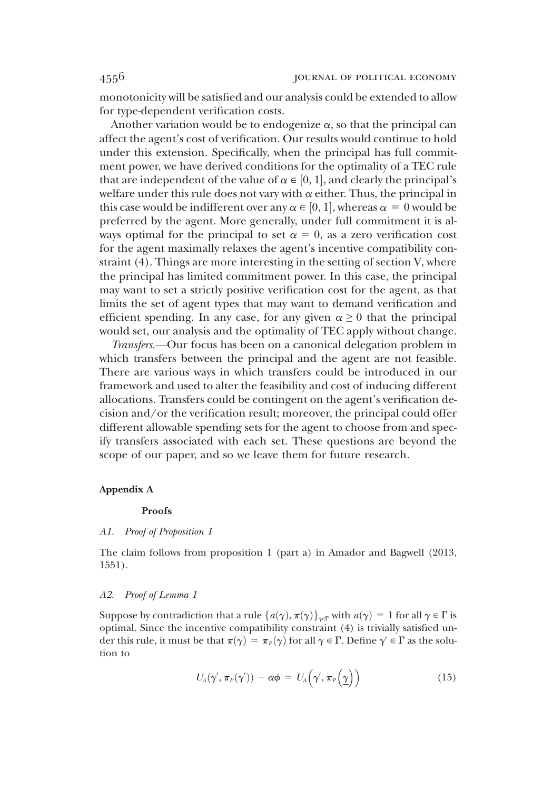monotonicity will be satisfied and our analysis could be extended to allow for type-dependent verification costs.

Another variation would be to endogenize  $\alpha$ , so that the principal can affect the agent's cost of verification. Our results would continue to hold under this extension. Specifically, when the principal has full commitment power, we have derived conditions for the optimality of a TEC rule that are independent of the value of  $\alpha \in [0, 1]$ , and clearly the principal's<br>welfare under this rule does not vary with  $\alpha$  either. Thus, the principal in welfare under this rule does not vary with  $\alpha$  either. Thus, the principal in this case would be indifferent over any  $\alpha \in [0, 1]$ , whereas  $\alpha = 0$  would be preferred by the agent. More generally under full commitment it is alpreferred by the agent. More generally, under full commitment it is always optimal for the principal to set  $\alpha = 0$ , as a zero verification cost for the agent maximally relaxes the agent's incentive compatibility constraint (4). Things are more interesting in the setting of section V, where the principal has limited commitment power. In this case, the principal may want to set a strictly positive verification cost for the agent, as that limits the set of agent types that may want to demand verification and efficient spending. In any case, for any given  $\alpha \geq 0$  that the principal would set, our analysis and the optimality of TEC apply without change.

Transfers.—Our focus has been on a canonical delegation problem in which transfers between the principal and the agent are not feasible. There are various ways in which transfers could be introduced in our framework and used to alter the feasibility and cost of inducing different allocations. Transfers could be contingent on the agent's verification decision and/or the verification result; moreover, the principal could offer different allowable spending sets for the agent to choose from and specify transfers associated with each set. These questions are beyond the scope of our paper, and so we leave them for future research.

## Appendix A

#### Proofs

#### A1. Proof of Proposition 1

The claim follows from proposition 1 (part a) in Amador and Bagwell (2013, 1551).

#### A2. Proof of Lemma 1

Suppose by contradiction that a rule  $\{a(\gamma), \pi(\gamma)\}_{\gamma \in \Gamma}$  with  $a(\gamma) = 1$  for all  $\gamma \in \Gamma$  is optimal. Since the incentive compatibility constraint (4) is trivially satisfied under this rule, it must be that  $\pi(\gamma) = \pi_P(\gamma)$  for all  $\gamma \in \Gamma$ . Define  $\gamma' \in \Gamma$  as the solution to

$$
U_A(\gamma', \pi_P(\gamma')) - \alpha \phi = U_A(\gamma', \pi_P(\gamma))
$$
\n(15)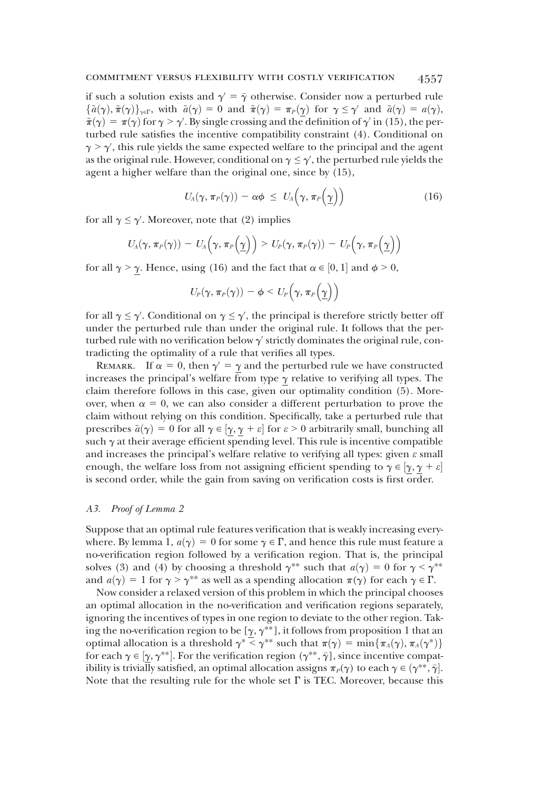if such a solution exists and  $\gamma = \overline{\gamma}$  otherwise. Consider now a perturbed rule  $\{\tilde{a}(\gamma), \tilde{\pi}(\gamma)\}_{\gamma \in \Gamma}$ , with  $\tilde{a}(\gamma) = 0$  and  $\tilde{\pi}(\gamma) = \pi_P(\gamma)$  for  $\gamma \leq \gamma'$  and  $\tilde{a}(\gamma) = a(\gamma)$ ,  $\tilde{\pi}(\gamma) = \pi(\gamma)$  for  $\gamma > \gamma'$ . By single crossing and the definition of  $\gamma'$  in (15), the per-<br>turbed rule satisfies the incentive compatibility constraint (4). Conditional on turbed rule satisfies the incentive compatibility constraint (4). Conditional on  $\gamma > \gamma'$ , this rule yields the same expected welfare to the principal and the agent<br>as the original rule. However, conditional on  $\gamma \leq \gamma'$  the perturbed rule yields the as the original rule. However, conditional on  $\gamma \leq \gamma'$ , the perturbed rule yields the agent a higher welfare than the original one since by (15). agent a higher welfare than the original one, since by (15),

$$
U_{A}(\gamma,\,\pi_{P}(\gamma))-\alpha\phi\,\,\leq\,\,U_{A}\Big(\gamma,\,\pi_{P}\Big(\underline{\gamma}\Big)\Big)\qquad \qquad (16)
$$

for all  $\gamma \le \gamma'$ . Moreover, note that (2) implies

$$
U_A(\gamma,\,\pi_P(\gamma))\,-\,U_A\Big(\gamma,\,\pi_P\Big(\underline{\gamma}\Big)\Big)\geq U_P(\gamma,\,\pi_P(\gamma))\,-\,U_P\Big(\gamma,\,\pi_P\Big(\underline{\gamma}\Big)\Big)
$$

for all  $\gamma > \underline{\gamma}$ . Hence, using (16) and the fact that  $\alpha \in [0, 1]$  and  $\phi > 0$ ,

$$
U_P(\gamma, \pi_P(\gamma)) - \phi < U_P\left(\gamma, \pi_P\left(\underline{\gamma}\right)\right)
$$

for all  $\gamma \leq \gamma'$ . Conditional on  $\gamma \leq \gamma'$ , the principal is therefore strictly better off under the perturbed rule than under the original rule. It follows that the perunder the perturbed rule than under the original rule. It follows that the perturbed rule with no verification below  $\gamma'$  strictly dominates the original rule, contradicting the optimality of a rule that verifies all types.

REMARK. If  $\alpha = 0$ , then  $\gamma' = \gamma$  and the perturbed rule we have constructed increases the principal's welfare from type  $\gamma$  relative to verifying all types. The claim therefore follows in this case, given our optimality condition (5). Moreover, when  $\alpha = 0$ , we can also consider a different perturbation to prove the claim without relying on this condition. Specifically, take a perturbed rule that prescribes  $\tilde{a}(\gamma) = 0$  for all  $\gamma \in [\gamma, \gamma + \varepsilon]$  for  $\varepsilon > 0$  arbitrarily small, bunching all<br>such  $\alpha$  at their average efficient spending level. This rule is incentive compatible such  $\gamma$  at their average efficient spending level. This rule is incentive compatible and increases the principal's welfare relative to verifying all types: given  $\varepsilon$  small enough, the welfare loss from not assigning efficient spending to  $\gamma \in \left[\gamma, \gamma + \varepsilon\right]$ is second order, while the gain from saving on verification costs is first order.

### A3. Proof of Lemma 2

Suppose that an optimal rule features verification that is weakly increasing everywhere. By lemma 1,  $a(\gamma) = 0$  for some  $\gamma \in \Gamma$ , and hence this rule must feature a no-verification region followed by a verification region. That is, the principal solves (3) and (4) by choosing a threshold  $\gamma^{**}$  such that  $a(\gamma) = 0$  for  $\gamma < \gamma^{**}$ and  $a(\gamma) = 1$  for  $\gamma > \gamma^{**}$  as well as a spending allocation  $\pi(\gamma)$  for each  $\gamma \in \Gamma$ .

Now consider a relaxed version of this problem in which the principal chooses an optimal allocation in the no-verification and verification regions separately, ignoring the incentives of types in one region to deviate to the other region. Taking the no-verification region to be [ $\gamma$ ,  $\gamma^{**}$ ], it follows from proposition 1 that an optimal allocation is a threshold  $\gamma^* \leq \gamma^{**}$  such that  $\pi(\gamma) = \min{\pi_A(\gamma), \pi_A(\gamma^*)}$ for each  $\gamma \in [\gamma, \gamma^{**}]$ . For the verification region  $(\gamma^{**}, \bar{\gamma})$ , since incentive compatibility is trivially satisfied an optimal allocation assigns  $\pi(\alpha)$  to each  $\alpha \in (\alpha^{**}, \bar{\alpha}]$ . ibility is trivially satisfied, an optimal allocation assigns  $\pi_P(\gamma)$  to each  $\gamma \in (\gamma^{**}, \bar{\gamma}]$ .<br>Note that the resulting rule for the whole set  $\Gamma$  is TEC. Moreover, because this Note that the resulting rule for the whole set  $\Gamma$  is TEC. Moreover, because this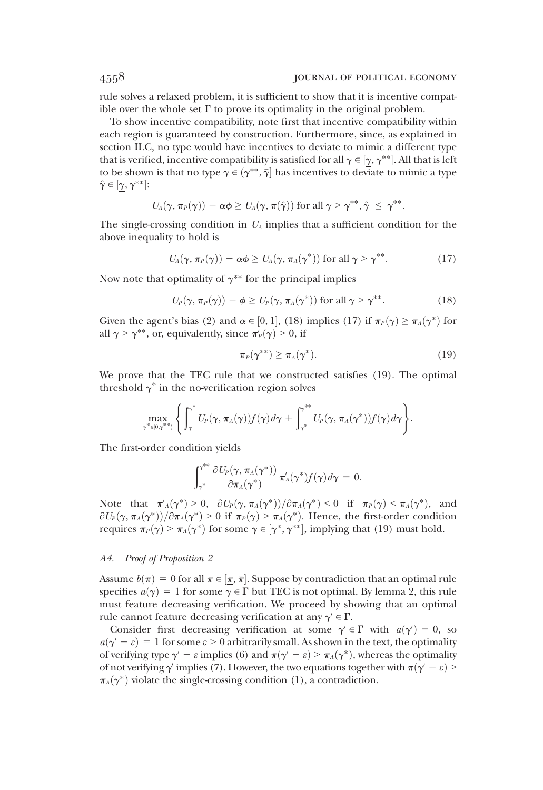rule solves a relaxed problem, it is sufficient to show that it is incentive compatible over the whole set  $\Gamma$  to prove its optimality in the original problem.

To show incentive compatibility, note first that incentive compatibility within each region is guaranteed by construction. Furthermore, since, as explained in section II.C, no type would have incentives to deviate to mimic a different type that is verified, incentive compatibility is satisfied for all  $\gamma \in [\gamma, \gamma^{**}]$ . All that is left<br>to be shown is that no type  $\gamma \in (\gamma^{**}, \bar{\gamma}]$  has incentives to deviate to mimic a type to be shown is that no type  $\gamma \in (\gamma^{**}, \bar{\gamma}]$  has incentives to deviate to mimic a type  $\hat{\gamma} \in [\gamma, \gamma^{**}]$ .  $\hat{\gamma} \in [\underline{\gamma}, \gamma^{**}].$ 

$$
U_A(\gamma,\pi_P(\gamma))-\alpha\phi\geq U_A(\gamma,\pi(\hat{\gamma}))\text{ for all }\gamma>\gamma^{**},\hat{\gamma}\leq\gamma^{**}.
$$

The single-crossing condition in  $U_A$  implies that a sufficient condition for the above inequality to hold is

$$
U_{A}(\gamma,\pi_{P}(\gamma))-\alpha\phi\geq U_{A}(\gamma,\pi_{A}(\gamma^{*}))\text{ for all }\gamma>\gamma^{**}.
$$
 (17)

Now note that optimality of  $\gamma^{**}$  for the principal implies

$$
U_P(\gamma, \pi_P(\gamma)) - \phi \ge U_P(\gamma, \pi_A(\gamma^*)) \text{ for all } \gamma > \gamma^{**}.
$$
 (18)

Given the agent's bias (2) and  $\alpha \in [0, 1]$ , (18) implies (17) if  $\pi_P(\gamma) \ge \pi_A(\gamma^*)$  for all  $\alpha > \gamma^{**}$  or equivalently since  $\pi'(\gamma) > 0$  if all  $\gamma > \gamma^{**}$ , or, equivalently, since  $\pi'_P(\gamma) > 0$ , if

$$
\pi_P(\gamma^{**}) \ge \pi_A(\gamma^*). \tag{19}
$$

We prove that the TEC rule that we constructed satisfies (19). The optimal threshold  $\gamma^*$  in the no-verification region solves

$$
\max_{\gamma^*\in[0,\gamma^{**})}\Bigg\{ \int_{\underline{\gamma}}^* U_P(\gamma,\pi_A(\gamma))f(\gamma)d\gamma + \int_{\gamma^*}^{\gamma^{**}} U_P(\gamma,\pi_A(\gamma^*))f(\gamma)d\gamma \Bigg\}.
$$

The first-order condition yields

$$
\int_{\gamma^*}^{\gamma^{**}} \frac{\partial U_P(\gamma, \pi_A(\gamma^*))}{\partial \pi_A(\gamma^*)} \pi_A'(\gamma^*) f(\gamma) d\gamma = 0.
$$

Note that  $\pi'_A(\gamma^*) > 0$ ,  $\partial U_P(\gamma, \pi_A(\gamma^*)) / \partial \pi_A(\gamma^*) < 0$  if  $\pi_P(\gamma) < \pi_A(\gamma^*)$ , and  $\partial U(\gamma, \pi_A(\gamma^*)) / \partial \pi_A(\gamma^*) > 0$  if  $\pi_A(\gamma) > \pi_A(\gamma^*)$ . Hence the first order condition  $\frac{\partial U_P(\gamma, \pi_A(\gamma^*))}{\partial \pi_A(\gamma^*)} > 0$  if  $\pi_P(\gamma) > \pi_A(\gamma^*)$ . Hence, the first-order condition requires  $\pi_P(\gamma) > \pi_A(\gamma^*)$  for some  $\gamma \in [\gamma^*, \gamma^{**}]$ , implying that (19) must hold.

# A4. Proof of Proposition 2

Assume  $b(\pi) = 0$  for all  $\pi \in [\pi, \bar{\pi}]$ . Suppose by contradiction that an optimal rule<br>specifies  $a(\alpha) = 1$  for some  $\alpha \in \Gamma$  but TEC is not optimal. By lemma 2, this rule specifies  $a(\gamma) = 1$  for some  $\gamma \in \Gamma$  but TEC is not optimal. By lemma 2, this rule must feature decreasing verification. We proceed by showing that an optimal rule cannot feature decreasing verification at any  $\gamma' \in \Gamma$ .

Consider first decreasing verification at some  $\gamma' \in \Gamma$  with  $a(\gamma') = 0$ , so  $\gamma' = c$ ) = 1 for some  $c > 0$  arbitrarily small. As shown in the text, the optimality  $a(\gamma - \varepsilon) = 1$  for some  $\varepsilon > 0$  arbitrarily small. As shown in the text, the optimality of verifying type  $\gamma' - \varepsilon$  implies (6) and  $\pi(\gamma' - \varepsilon) > \pi_A(\gamma^*)$ , whereas the optimality of not verifying  $\gamma'$  implies (7). However, the two equations together with  $\pi(\gamma' - \varepsilon)$  >  $\pi_A(\gamma^*)$  violate the single-crossing condition (1), a contradiction.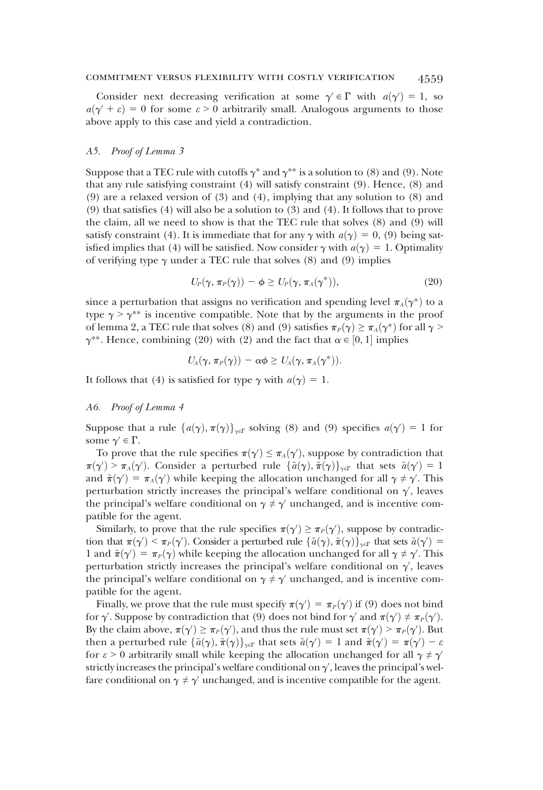Consider next decreasing verification at some  $\gamma' \in \Gamma$  with  $a(\gamma') = 1$ , so  $\gamma' + c$ ) = 0 for some  $c > 0$  arbitrarily small. Analogous arguments to those  $a(\gamma' + \varepsilon) = 0$  for some  $\varepsilon > 0$  arbitrarily small. Analogous arguments to those above apply to this case and yield a contradiction.

# A5. Proof of Lemma 3

Suppose that a TEC rule with cutoffs  $\gamma^*$  and  $\gamma^{**}$  is a solution to (8) and (9). Note that any rule satisfying constraint (4) will satisfy constraint (9). Hence, (8) and (9) are a relaxed version of (3) and (4), implying that any solution to (8) and (9) that satisfies (4) will also be a solution to (3) and (4). It follows that to prove the claim, all we need to show is that the TEC rule that solves (8) and (9) will satisfy constraint (4). It is immediate that for any  $\gamma$  with  $a(\gamma) = 0$ , (9) being satisfied implies that (4) will be satisfied. Now consider  $\gamma$  with  $a(\gamma) = 1$ . Optimality of verifying type  $\gamma$  under a TEC rule that solves (8) and (9) implies

$$
U_P(\gamma, \pi_P(\gamma)) - \phi \ge U_P(\gamma, \pi_A(\gamma^*)), \qquad (20)
$$

since a perturbation that assigns no verification and spending level  $\pi_A(\gamma^*)$  to a type  $\gamma > \gamma^{**}$  is incentive compatible. Note that by the arguments in the proof of lemma 2, a TEC rule that solves (8) and (9) satisfies  $\pi_P(\gamma) \geq \pi_A(\gamma^*)$  for all  $\gamma$  >  $\gamma^{**}$ . Hence, combining (20) with (2) and the fact that  $\alpha \in [0, 1]$  implies

$$
U_A(\gamma,\pi_P(\gamma))-\alpha\phi\geq U_A(\gamma,\pi_A(\gamma^*)).
$$

It follows that (4) is satisfied for type  $\gamma$  with  $a(\gamma) = 1$ .

### A6. Proof of Lemma 4

Suppose that a rule  $\{a(\gamma), \pi(\gamma)\}_{\gamma \in \Gamma}$  solving (8) and (9) specifies  $a(\gamma') = 1$  for some  $\gamma' \in \Gamma$ .

To prove that the rule specifies  $\pi(\gamma') \leq \pi_A(\gamma')$ , suppose by contradiction that  $\pi(\gamma') \geq \pi_A(\gamma')$ . Consider a perturbed rule  $\{\tilde{g}(\gamma)\}\pi(\gamma)\}$ , that sets  $\tilde{g}(\gamma') = 1$ .  $\pi(\gamma) > \pi_A(\gamma)$ . Consider a perturbed rule  $\{a(\gamma), \pi(\gamma)\}_{\gamma \in \Gamma}$  that sets  $a(\gamma) = 1$ <br>and  $\tilde{\pi}(\gamma') = \pi_A(\gamma')$  while keeping the allocation unchanged for all  $\gamma \neq \gamma'$ . This  $\partial > \pi_A(\gamma')$ . Consider a perturbed rule  $\{\tilde{a}(\gamma), \tilde{\pi}(\gamma)\}_{\gamma \in \Gamma}$  that sets  $\tilde{a}(\gamma') = 1$ <br>  $\tilde{\pi}(\gamma') = \pi_a(\gamma')$  while keeping the allocation unchanged for all  $\gamma \neq \gamma'$ . This perturbation strictly increases the principal's welfare conditional on  $\gamma'$ , leaves<br>the principal's welfare conditional on  $\gamma \neq \gamma'$  unchanged, and is incentive comthe principal's welfare conditional on  $\gamma \neq \gamma'$  unchanged, and is incentive compatible for the agent.

Similarly, to prove that the rule specifies  $\pi(\gamma') \ge \pi_P(\gamma')$ , suppose by contradic-<br>on that  $\pi(\gamma') \le \pi_P(\gamma')$ . Consider a perturbed rule  $\{\tilde{g}(\gamma)\}$  that sets  $\tilde{g}(\gamma') =$ tion that  $\pi(\gamma') < \pi_P(\gamma')$ . Consider a perturbed rule  $\{\tilde{a}(\gamma), \tilde{\pi}(\gamma)\}_{\gamma \in \Gamma}$  that sets  $\tilde{a}(\gamma') = 1$  and  $\tilde{\pi}(\gamma') = \pi_P(\gamma)$  while keeping the allocation unchanged for all  $\gamma \neq \gamma'$ . This 1 and  $\tilde{\pi}(\gamma') = \pi_P(\gamma)$  while keeping the allocation unchanged for all  $\gamma \neq \gamma'$ . This perturbation strictly increases the principal's welfare conditional on  $\gamma'$ , leaves<br>the principal's welfare conditional on  $\gamma \neq \gamma'$  unchanged, and is incentive comthe principal's welfare conditional on  $\gamma \neq \gamma'$  unchanged, and is incentive compatible for the agent.

Finally, we prove that the rule must specify  $\pi(\gamma') = \pi_P(\gamma')$  if (9) does not bind<br>solved if  $\pi(\gamma')$  if (9) does not bind for  $\gamma'$  and  $\pi(\gamma') + \pi(\gamma')$ for  $\gamma'$ . Suppose by contradiction that (9) does not bind for  $\gamma'$  and  $\pi(\gamma') \neq \pi_P(\gamma')$ .<br>By the claim above  $\pi(\alpha') \geq \pi_P(\alpha')$  and thus the rule must set  $\pi(\alpha') \geq \pi_P(\alpha')$ . But By the claim above,  $\pi(\gamma') \ge \pi_P(\gamma')$ , and thus the rule must set  $\pi(\gamma') \ge \pi_P(\gamma')$ . But<br>then a perturbed rule  $\{\tilde{\chi}(\alpha), \tilde{\pi}(\alpha)\}$  that sets  $\tilde{\chi}(\alpha') = 1$  and  $\tilde{\pi}(\alpha') = \pi(\alpha') - \alpha$ then a perturbed rule  $\{\tilde{a}(\gamma), \tilde{\pi}(\gamma)\}_{\gamma \in \Gamma}$  that sets  $\tilde{a}(\gamma') = 1$  and  $\tilde{\pi}(\gamma') = \pi(\gamma') - \varepsilon$  for  $\varepsilon > 0$  arbitrarily small while keeping the allocation unchanged for all  $\gamma \neq \gamma'$ for  $\varepsilon > 0$  arbitrarily small while keeping the allocation unchanged for all  $\gamma \neq \gamma'$ strictly increases the principal's welfare conditional on  $\gamma'$ , leaves the principal's wel-<br>fare conditional on  $\alpha \neq \alpha'$  unchanged, and is incentive compatible for the agent. fare conditional on  $\gamma \neq \gamma'$  unchanged, and is incentive compatible for the agent.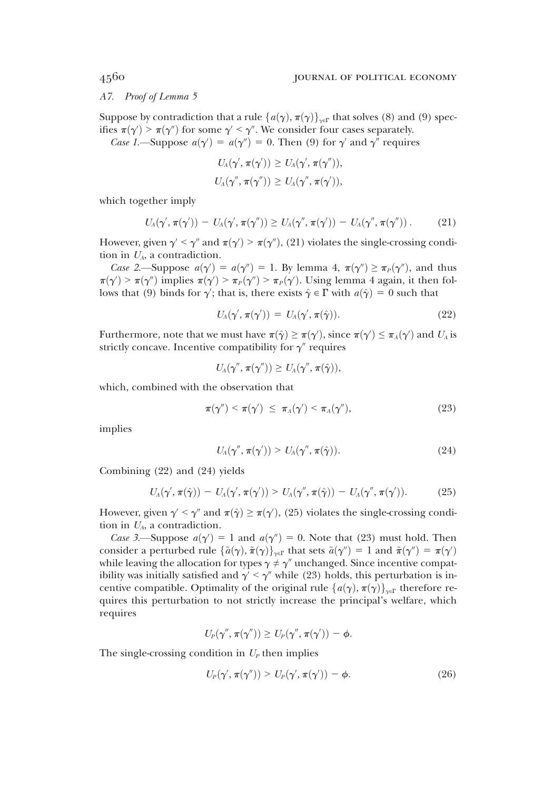A7. Proof of Lemma 5

Suppose by contradiction that a rule  $\{a(\gamma), \pi(\gamma)\}_{\gamma \in \Gamma}$  that solves (8) and (9) specifies  $\pi(\gamma') > \pi(\gamma'')$  for some  $\gamma' < \gamma''$ . We consider four cases separately.<br>Case  $1-\text{Suppose } g(\gamma') = g(\gamma'') = 0$ . Then (9) for  $\gamma'$  and  $\gamma''$  require

Case 1.—Suppose  $a(\gamma') = a(\gamma'') = 0$ . Then (9) for  $\gamma'$  and  $\gamma''$  requires

$$
U_A(\gamma', \pi(\gamma')) \ge U_A(\gamma', \pi(\gamma'')),
$$
  

$$
U_A(\gamma'', \pi(\gamma'')) \ge U_A(\gamma'', \pi(\gamma')),
$$

which together imply

$$
U_A(\gamma', \pi(\gamma')) - U_A(\gamma', \pi(\gamma'')) \ge U_A(\gamma'', \pi(\gamma')) - U_A(\gamma'', \pi(\gamma'')) \,. \tag{21}
$$

However, given  $\gamma' < \gamma''$  and  $\pi(\gamma') > \pi(\gamma'')$ , (21) violates the single-crossing condition in  $U_{\gamma}$  as contradiction tion in  $U_A$ , a contradiction.

Case 2.—Suppose  $a(\gamma') = a(\gamma'') = 1$ . By lemma 4,  $\pi(\gamma'') \geq \pi_P(\gamma'')$ , and thus  $\gamma' > \pi(\gamma'') > \pi(\gamma'') > \pi(\gamma')$ . Leing lemma 4 again, it then follows  $\pi(\gamma) > \pi(\gamma)$  implies  $\pi(\gamma) > \pi_P(\gamma) > \pi_P(\gamma)$ . Using lemma 4 again, it then<br>lows that (9) binds for  $\gamma'$ ; that is, there exists  $\hat{\gamma} \in \Gamma$  with  $a(\hat{\gamma}) = 0$  such that  $\mathcal{D} > \pi(\gamma'')$  implies  $\pi(\gamma') > \pi_P(\gamma'') > \pi_P(\gamma')$ . Using lemma 4 again, it then fol-<br>that (9) binds for  $\gamma'$  that is there exists  $\hat{\gamma} \in \Gamma$  with  $g(\hat{\gamma}) = 0$  such that

$$
U_A(\gamma', \pi(\gamma')) = U_A(\gamma', \pi(\hat{\gamma})). \tag{22}
$$

Furthermore, note that we must have  $\pi(\hat{\gamma}) \geq \pi(\gamma')$ , since  $\pi(\gamma') \leq \pi_A(\gamma')$  and  $U_A$  is strictly concave. Incentive compatibility for  $\alpha''$  requires strictly concave. Incentive compatibility for  $\gamma''$  requires

$$
U_{A}(\gamma'', \pi(\gamma'')) \geq U_{A}(\gamma'', \pi(\hat{\gamma})),
$$

which, combined with the observation that

$$
\pi(\gamma'') < \pi(\gamma') \leq \pi_A(\gamma') < \pi_A(\gamma''), \tag{23}
$$

implies

$$
U_A(\gamma'', \pi(\gamma')) > U_A(\gamma'', \pi(\hat{\gamma})). \tag{24}
$$

Combining (22) and (24) yields

$$
U_A(\gamma', \pi(\hat{\gamma})) - U_A(\gamma', \pi(\gamma')) > U_A(\gamma'', \pi(\hat{\gamma})) - U_A(\gamma'', \pi(\gamma')). \qquad (25)
$$

However, given  $\gamma' \le \gamma''$  and  $\pi(\hat{\gamma}) \ge \pi(\gamma')$ , (25) violates the single-crossing condition in  $U$ , a contradiction tion in  $U_A$ , a contradiction.

Case 3.—Suppose  $a(\gamma') = 1$  and  $a(\gamma'') = 0$ . Note that (23) must hold. Then psider a perturbed rule  $\{\tilde{a}(\gamma) \mid \tilde{\pi}(\gamma)\}$  , that sets  $\tilde{a}(\gamma'') = 1$  and  $\tilde{\pi}(\gamma'') = \pi(\gamma')$ consider a perturbed rule  $\{\tilde{a}(\gamma), \tilde{\pi}(\gamma)\}_{\gamma \in \Gamma}$  that sets  $\tilde{a}(\gamma'') = 1$  and  $\tilde{\pi}(\gamma'') = \pi(\gamma')$ while leaving the allocation for types  $\gamma \neq \gamma''$  unchanged. Since incentive compatibility was initially satisfied and  $\alpha' \leq \alpha''$  while (23) holds, this perturbation is inibility was initially satisfied and  $\gamma' < \gamma''$  while (23) holds, this perturbation is incentive compatible. Optimality of the original rule  $\{a(\gamma), \pi(\gamma)\}_{\gamma \in \Gamma}$  therefore requires this perturbation to not strictly increase the principal's welfare, which requires

$$
U_P(\gamma'', \pi(\gamma'')) \geq U_P(\gamma'', \pi(\gamma')) - \phi.
$$

The single-crossing condition in  $U_p$  then implies

$$
U_p(\gamma', \pi(\gamma'')) > U_p(\gamma', \pi(\gamma')) - \phi.
$$
 (26)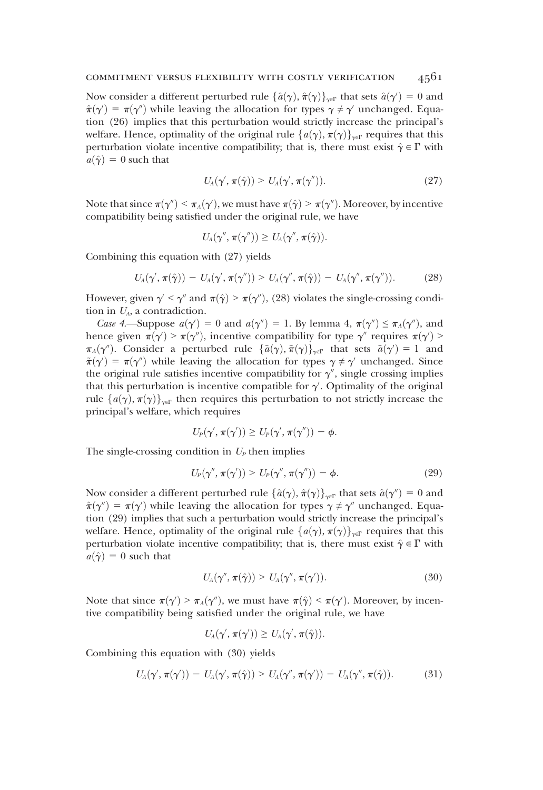Now consider a different perturbed rule  $\{\hat{a}(\gamma), \hat{\pi}(\gamma)\}_{\gamma \in \Gamma}$  that sets  $\hat{a}(\gamma') = 0$  and  $\hat{\pi}(\gamma') = \pi(\gamma'')$  while leaving the allocation for types  $\gamma \neq \gamma'$  unchanged. Four- $\hat{\pi}(\gamma') = \pi(\gamma'')$  while leaving the allocation for types  $\gamma \neq \gamma'$  unchanged. Equation (26) implies that this perturbation would strictly increase the principal's tion (26) implies that this perturbation would strictly increase the principal's welfare. Hence, optimality of the original rule  $\{a(\gamma), \pi(\gamma)\}_{\gamma \in \Gamma}$  requires that this perturbation violate incentive compatibility; that is, there must exist  $\hat{\gamma} \in \Gamma$  with  $a(\hat{\gamma}) = 0$  such that

$$
U_{A}(\gamma', \pi(\hat{\gamma})) > U_{A}(\gamma', \pi(\gamma'')). \qquad (27)
$$

Note that since  $\pi(\gamma'') \leq \pi_A(\gamma')$ , we must have  $\pi(\hat{\gamma}) \geq \pi(\gamma'')$ . Moreover, by incentive compatibility being satisfied under the original rule, we have compatibility being satisfied under the original rule, we have

$$
U_A(\gamma'', \pi(\gamma'')) \geq U_A(\gamma'', \pi(\hat{\gamma})).
$$

Combining this equation with (27) yields

$$
U_A(\gamma', \pi(\hat{\gamma})) - U_A(\gamma', \pi(\gamma'')) > U_A(\gamma'', \pi(\hat{\gamma})) - U_A(\gamma'', \pi(\gamma'')). \qquad (28)
$$

However, given  $\gamma' < \gamma''$  and  $\pi(\hat{\gamma}) > \pi(\gamma'')$ , (28) violates the single-crossing condition in  $U_A$ , a contradiction.

Case 4.—Suppose  $a(\gamma') = 0$  and  $a(\gamma'') = 1$ . By lemma 4,  $\pi(\gamma'') \leq \pi_A(\gamma'')$ , and  $nce$  given  $\pi(\gamma') \geq \pi(\gamma'')$  incentive compatibility for type  $\gamma''$  requires  $\pi(\gamma') \geq \pi(\gamma')$ hence given  $\pi(\gamma') > \pi(\gamma'')$ , incentive compatibility for type  $\gamma''$  requires  $\pi(\gamma') > \pi(\alpha'')$ . Consider a perturbed rule  $\{\tilde{\alpha}(\alpha)\}\tilde{\pi}(\alpha)$ , that sets  $\tilde{\alpha}(\alpha') = 1$  and  $\pi_A(\gamma'')$ . Consider a perturbed rule  $\{\tilde{a}(\gamma), \tilde{\pi}(\gamma)\}_{\gamma \in \Gamma}$  that sets  $\tilde{a}(\gamma') = 1$  and  $\tilde{\pi}(\gamma') = \pi(\gamma'')$  while leaving the allocation for types  $\gamma \neq \gamma'$  unchanged. Since  $\tilde{\pi}(\gamma') = \pi(\gamma'')$  while leaving the allocation for types  $\gamma \neq \gamma'$  unchanged. Since<br>the original rule satisfies incentive compatibility for  $\gamma''$  single crossing implies the original rule satisfies incentive compatibility for  $\gamma''$ , single crossing implies that this perturbation is incentive compatible for  $\gamma'$ . Optimality of the original<br>rule  $f_a(x)$ ,  $\pi(x)$ , then requires this perturbation to not strictly increase the rule  $\{a(\gamma), \pi(\gamma)\}_{\gamma \in \Gamma}$  then requires this perturbation to not strictly increase the principal's welfare, which requires

$$
U_P(\gamma',\pi(\gamma'))\geq U_P(\gamma',\pi(\gamma''))-\phi.
$$

The single-crossing condition in  $U_P$  then implies

$$
U_P(\gamma'', \pi(\gamma')) > U_P(\gamma'', \pi(\gamma'')) - \phi.
$$
 (29)

Now consider a different perturbed rule  $\{\hat{a}(\gamma), \hat{\pi}(\gamma)\}_{\gamma\in\Gamma}$  that sets  $\hat{a}(\gamma') = 0$  and  $\hat{\pi}(\gamma') = \pi(\gamma')$  while leaving the allocation for types  $\gamma \neq \gamma''$  unchanged. Equation (99) implies that such a perturbation would strictly increase the principal's tion (29) implies that such a perturbation would strictly increase the principal's welfare. Hence, optimality of the original rule  $\{a(\gamma), \pi(\gamma)\}_{\gamma \in \Gamma}$  requires that this perturbation violate incentive compatibility; that is, there must exist  $\hat{\gamma} \in \Gamma$  with  $a(\hat{\gamma}) = 0$  such that

$$
U_{A}(\gamma'', \pi(\hat{\gamma})) > U_{A}(\gamma'', \pi(\gamma')). \qquad (30)
$$

Note that since  $\pi(\gamma) > \pi_A(\gamma)$ , we must have  $\pi(\hat{\gamma}) < \pi(\gamma)$ . Moreover, by incentive compatibility being satisfied under the original rule, we have tive compatibility being satisfied under the original rule, we have

$$
U_A(\gamma',\pi(\gamma'))\geq U_A(\gamma',\pi(\hat{\gamma})).
$$

Combining this equation with (30) yields

$$
U_A(\gamma', \pi(\gamma')) - U_A(\gamma', \pi(\hat{\gamma})) > U_A(\gamma'', \pi(\gamma')) - U_A(\gamma'', \pi(\hat{\gamma})). \tag{31}
$$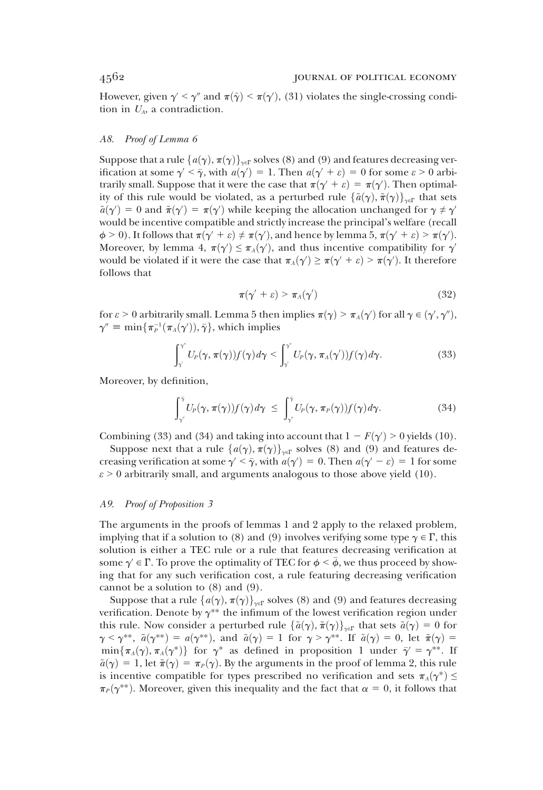However, given  $\gamma' \le \gamma''$  and  $\pi(\hat{\gamma}) \le \pi(\gamma')$ , (31) violates the single-crossing condition in  $U_{\gamma}$  as contradiction tion in  $U_A$ , a contradiction.

#### A8. Proof of Lemma 6

Suppose that a rule  $\{a(\gamma), \pi(\gamma)\}_{\gamma \in \Gamma}$  solves (8) and (9) and features decreasing verification at some  $\gamma' < \overline{\gamma}$ , with  $a(\gamma') = 1$ . Then  $a(\gamma' + \varepsilon) = 0$  for some  $\varepsilon > 0$  arbi-<br>trarily small. Suppose that it were the case that  $\pi(\gamma' + \varepsilon) = \pi(\gamma')$ . Then ontimaltrarily small. Suppose that it were the case that  $\pi(\gamma' + \varepsilon) = \pi(\gamma')$ . Then optimal-<br>ity of this rule would be violated as a perturbed rule  $\{\tilde{\varepsilon}(\gamma)\}\tilde{\pi}(\gamma')$ , that sets ity of this rule would be violated, as a perturbed rule  $\{\tilde{a}(\gamma), \tilde{\pi}(\gamma)\}_{\gamma \in \Gamma}$  that sets  $\tilde{a}(\gamma') = 0$  and  $\tilde{\pi}(\gamma') = \pi(\gamma')$  while keeping the allocation unchanged for  $\gamma \neq \gamma'$ <br>would be incentive compatible and strictly increase the principal's welfare (recall would be incentive compatible and strictly increase the principal's welfare (recall  $\phi > 0$ ). It follows that  $\pi(\gamma' + \varepsilon) \neq \pi(\gamma')$ , and hence by lemma 5,  $\pi(\gamma' + \varepsilon) > \pi(\gamma')$ .<br>Moreover, by lemma 4,  $\pi(\alpha') \leq \pi(\alpha')$ , and thus incentive compatibility for  $\alpha'$ . Moreover, by lemma 4,  $\pi(\gamma') \leq \pi_A(\gamma')$ , and thus incentive compatibility for  $\gamma'$ <br>would be violated if it were the case that  $\pi_A(\gamma') \geq \pi(\gamma' + \epsilon) \geq \pi(\gamma')$ . It therefore would be violated if it were the case that  $\pi_A(\gamma') \ge \pi(\gamma' + \varepsilon) > \pi(\gamma')$ . It therefore follows that follows that

$$
\pi(\gamma' + \varepsilon) > \pi_A(\gamma') \tag{32}
$$

for  $\varepsilon > 0$  arbitrarily small. Lemma 5 then implies  $\pi(\gamma) > \pi_A(\gamma')$  for all  $\gamma \in (\gamma', \gamma'')$ ,<br> $\gamma'' = \min \{ \pi^{-1}(\pi_*(\gamma')) \; \bar{\gamma} \}$  which implies  $\gamma'' \equiv \min\{\pi_P^{-1}(\pi_A(\gamma')), \bar{\gamma}\}\)$ , which implies

$$
\int_{\gamma}^{\gamma'} U_P(\gamma, \pi(\gamma)) f(\gamma) d\gamma < \int_{\gamma}^{\gamma'} U_P(\gamma, \pi_A(\gamma')) f(\gamma) d\gamma.
$$
 (33)

Moreover, by definition,

$$
\int_{\gamma^{"}}^{\tilde{\gamma}} U_P(\gamma, \pi(\gamma)) f(\gamma) d\gamma \leq \int_{\gamma^{"}}^{\tilde{\gamma}} U_P(\gamma, \pi_P(\gamma)) f(\gamma) d\gamma.
$$
 (34)

Combining (33) and (34) and taking into account that  $1 - F(\gamma) > 0$  yields (10).<br>Suppose next that a rule  $f_g(x) - \pi(x)$ , solves (8) and (9) and features de-

Suppose next that a rule  $\{a(\gamma), \pi(\gamma)\}_{\gamma \in \Gamma}$  solves (8) and (9) and features decreasing verification at some  $\gamma' < \bar{\gamma}$ , with  $a(\gamma') = 0$ . Then  $a(\gamma' - \varepsilon) = 1$  for some  $\varepsilon > 0$  arbitrarily small, and arguments analogous to those above yield (10)  $\varepsilon$  > 0 arbitrarily small, and arguments analogous to those above yield (10).

#### A9. Proof of Proposition 3

The arguments in the proofs of lemmas 1 and 2 apply to the relaxed problem, implying that if a solution to (8) and (9) involves verifying some type  $\gamma \in \Gamma$ , this solution is either a TEC rule or a rule that features decreasing verification at some  $\gamma \in \Gamma$ . To prove the optimality of TEC for  $\phi \leq \bar{\phi}$ , we thus proceed by showing that for any such verification cost, a rule featuring decreasing verification cannot be a solution to (8) and (9).

Suppose that a rule  $\{a(\gamma), \pi(\gamma)\}_{\gamma \in \Gamma}$  solves (8) and (9) and features decreasing verification. Denote by  $\gamma^{**}$  the infimum of the lowest verification region under this rule. Now consider a perturbed rule  $\{\tilde{a}(\gamma), \tilde{\pi}(\gamma)\}_{\gamma \in \Gamma}$  that sets  $\tilde{a}(\gamma) = 0$  for  $\gamma < \gamma^{**}, \tilde{a}(\gamma^{**}) = a(\gamma^{**}), \text{ and } \tilde{a}(\gamma) = 1 \text{ for } \gamma > \gamma^{**}. \text{ If } \tilde{a}(\gamma) = 0, \text{ let } \tilde{\pi}(\gamma) = 0$  $\min\{\pi_A(\gamma), \pi_A(\gamma^*)\}$  for  $\gamma^*$  as defined in proposition 1 under  $\bar{\gamma}' = \gamma^{**}$ . If  $\tilde{a}(\gamma) = 1$ , let  $\tilde{\pi}(\gamma) = \pi_P(\gamma)$ . By the arguments in the proof of lemma 2, this rule is incentive compatible for types prescribed no verification and sets  $\pi_A(\gamma^*) \leq$  $\pi_P(\gamma^{**})$ . Moreover, given this inequality and the fact that  $\alpha = 0$ , it follows that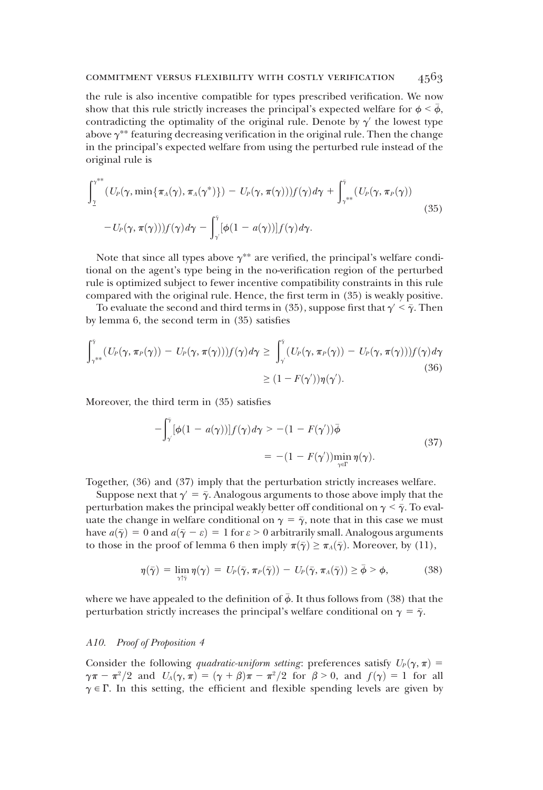### commitment versus flexibility with costly verification 4563

the rule is also incentive compatible for types prescribed verification. We now show that this rule strictly increases the principal's expected welfare for  $\phi < \bar{\phi}$ , contradicting the optimality of the original rule. Denote by  $\gamma'$  the lowest type above  $\gamma^{**}$  featuring decreasing verification in the original rule. Then the change in the principal's expected welfare from using the perturbed rule instead of the original rule is

$$
\int_{\underline{\gamma}}^{\gamma^{**}} (U_P(\gamma, \min\{\pi_A(\gamma), \pi_A(\gamma^*)\}) - U_P(\gamma, \pi(\gamma))) f(\gamma) d\gamma + \int_{\gamma^{**}}^{\bar{\gamma}} (U_P(\gamma, \pi_P(\gamma)))
$$
  

$$
- U_P(\gamma, \pi(\gamma))) f(\gamma) d\gamma - \int_{\gamma}^{\bar{\gamma}} [\phi(1 - a(\gamma))] f(\gamma) d\gamma.
$$
 (35)

Note that since all types above  $\gamma^{**}$  are verified, the principal's welfare conditional on the agent's type being in the no-verification region of the perturbed rule is optimized subject to fewer incentive compatibility constraints in this rule compared with the original rule. Hence, the first term in (35) is weakly positive.

To evaluate the second and third terms in (35), suppose first that  $\gamma' < \bar{\gamma}$ . Then by lemma 6, the second term in (35) satisfies

$$
\int_{\gamma^{**}}^{\tilde{\gamma}} (U_P(\gamma, \pi_P(\gamma)) - U_P(\gamma, \pi(\gamma))) f(\gamma) d\gamma \ge \int_{\gamma'}^{\tilde{\gamma}} (U_P(\gamma, \pi_P(\gamma)) - U_P(\gamma, \pi(\gamma))) f(\gamma) d\gamma
$$
\n
$$
\ge (1 - F(\gamma)) \eta(\gamma'). \tag{36}
$$

Moreover, the third term in (35) satisfies

$$
-\int_{\gamma}^{\tilde{\gamma}}[\phi(1-a(\gamma))]f(\gamma)d\gamma > -(1-F(\gamma'))\bar{\phi}
$$
  
= -(1-F(\gamma'))min\_{\gamma \in \Gamma} \eta(\gamma). (37)

Together, (36) and (37) imply that the perturbation strictly increases welfare.

Suppose next that  $\gamma = \bar{\gamma}$ . Analogous arguments to those above imply that the perturbation makes the principal weakly better off conditional on  $\gamma < \bar{\gamma}$ . To evaluate the change in welfare conditional on  $\gamma = \bar{\gamma}$ , note that in this case we must have  $a(\bar{y}) = 0$  and  $a(\bar{y} - \varepsilon) = 1$  for  $\varepsilon > 0$  arbitrarily small. Analogous arguments to those in the proof of lemma 6 then imply  $\pi(\bar{\gamma}) \geq \pi_A(\bar{\gamma})$ . Moreover, by (11),

$$
\eta(\bar{\gamma}) = \lim_{\gamma \uparrow \bar{\gamma}} \eta(\gamma) = U_P(\bar{\gamma}, \pi_P(\bar{\gamma})) - U_P(\bar{\gamma}, \pi_A(\bar{\gamma})) \ge \bar{\phi} > \phi,
$$
 (38)

where we have appealed to the definition of  $\bar{\phi}$ . It thus follows from (38) that the perturbation strictly increases the principal's welfare conditional on  $\gamma = \bar{\gamma}$ .

### A10. Proof of Proposition 4

Consider the following *quadratic-uniform setting*: preferences satisfy  $U_p(\gamma, \pi) =$  $\gamma \pi - \pi^2/2$  and  $U_A(\gamma, \pi) = (\gamma + \beta)\pi - \pi^2/2$  for  $\beta > 0$ , and  $f(\gamma) = 1$  for all  $\gamma \in \Gamma$ . In this setting the efficient and flexible spending levels are given by  $\gamma \in \Gamma$ . In this setting, the efficient and flexible spending levels are given by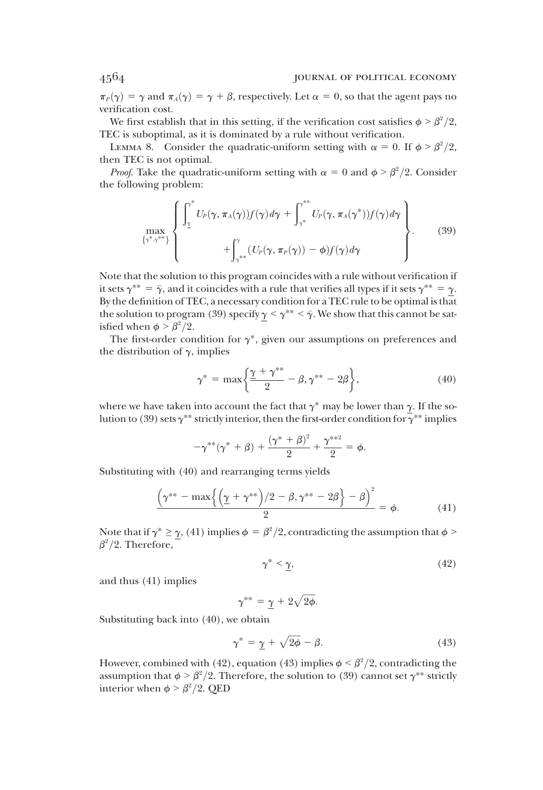$\pi_P(\gamma) = \gamma$  and  $\pi_A(\gamma) = \gamma + \beta$ , respectively. Let  $\alpha = 0$ , so that the agent pays no verification cost.

We first establish that in this setting, if the verification cost satisfies  $\phi > \beta^2/2$ ,<br>C is subontimal, as it is dominated by a rule without verification TEC is suboptimal, as it is dominated by a rule without verification.

LEMMA 8. Consider the quadratic-uniform setting with  $\alpha = 0$ . If  $\phi > \beta^2/2$ , then TEC is not optimal.

*Proof.* Take the quadratic-uniform setting with  $\alpha = 0$  and  $\phi > \beta^2/2$ . Consider the following problem:

$$
\max_{\{\gamma^*, \gamma^{**}\}} \left\{ \begin{array}{l} \displaystyle\int_{\gamma}^{*} U_P(\gamma, \pi_A(\gamma)) f(\gamma) d\gamma + \int_{\gamma^*}^{\gamma^{**}} U_P(\gamma, \pi_A(\gamma^*)) f(\gamma) d\gamma \\ + \displaystyle\int_{\gamma^{**}}^{\gamma} (U_P(\gamma, \pi_P(\gamma)) - \phi) f(\gamma) d\gamma \end{array} \right\}.
$$
 (39)

Note that the solution to this program coincides with a rule without verification if it sets  $\gamma^{**} = \bar{\gamma}$ , and it coincides with a rule that verifies all types if it sets  $\gamma^{**} = \gamma$ . By the definition of TEC, a necessary condition for a TEC rule to be optimal is that the solution to program (39) specify  $\gamma < \gamma^{**} < \bar{\gamma}$ . We show that this cannot be satisfied when  $\phi > \beta^2/2$ .<br>The first-order con-

The first-order condition for  $\gamma^*$ , given our assumptions on preferences and the distribution of  $\gamma$ , implies

$$
\gamma^* = \max\left\{\frac{\gamma + \gamma^{**}}{2} - \beta, \gamma^{**} - 2\beta\right\},\tag{40}
$$

where we have taken into account the fact that  $\gamma^*$  may be lower than  $\gamma$ . If the solution to (39) sets  $\gamma^{**}$  strictly interior, then the first-order condition for  $\gamma^{**}$  implies

$$
-\gamma^{**}(\gamma^*+\beta)+\frac{(\gamma^*+\beta)^2}{2}+\frac{\gamma^{**2}}{2}=\phi.
$$

Substituting with (40) and rearranging terms yields

$$
\left(\gamma^{**} - \max\left\{\left(\frac{\gamma + \gamma^{**}}{2}\right)/2 - \beta, \gamma^{**} - 2\beta\right\} - \beta\right)^2 = \phi.
$$
 (41)

Note that if  $\gamma^* \geq \gamma$ , (41) implies  $\phi = \beta^2/2$ , contradicting the assumption that  $\phi > \beta^2/2$ .  $\beta^2/2$ . Therefore,

$$
\gamma^* < \underline{\gamma},\tag{42}
$$

and thus (41) implies

$$
\gamma^{**} = \underline{\gamma} + 2\sqrt{2\phi}.
$$

Substituting back into (40), we obtain

$$
\gamma^* = \underline{\gamma} + \sqrt{2\phi} - \beta. \tag{43}
$$

However, combined with (42), equation (43) implies  $\phi < \beta^2/2$ , contradicting the assumption that  $\phi > \beta^2/2$ . Therefore, the solution to (39) cannot set  $\alpha^{**}$  strictly assumption that  $\phi > \beta^2/2$ . Therefore, the solution to (39) cannot set  $\gamma^{**}$  strictly interior when  $\phi > \beta^2/2$ . OFD interior when  $\phi > \beta^2/2$ . QED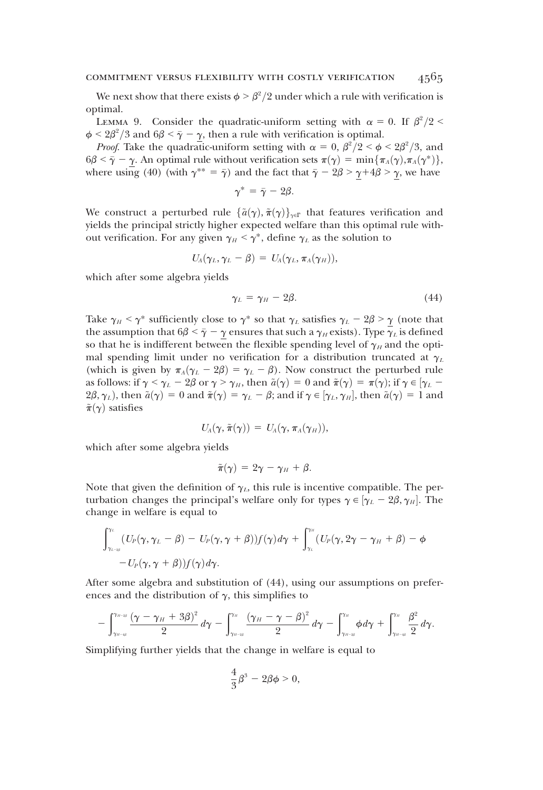We next show that there exists  $\phi > \beta^2/2$  under which a rule with verification is stimal optimal.

LEMMA 9. Consider the quadratic-uniform setting with  $\alpha = 0$ . If  $\beta^2/2 < \alpha^2/3$  and  $6\beta < \overline{\alpha} - \alpha$  then a rule with verification is optimal  $\phi \leq 2\beta^2/3$  and  $6\beta \leq \bar{\gamma} - \gamma$ , then a rule with verification is optimal.<br>Proof. Take the quadratic uniform setting with  $\alpha = 0$ ,  $\beta^2/2 \leq \phi$ .

Proof. Take the quadratic-uniform setting with  $\alpha = 0$ ,  $\beta^2/2 < \phi < 2\beta^2/3$ , and  $\leq \bar{\alpha} = \alpha$ . An optimal rule without verification sets  $\pi(\alpha) = \min \{\pi \cdot (\alpha) \pi \cdot (\alpha^*)\}$  $6\beta \leq \bar{\gamma} - \gamma$ . An optimal rule without verification sets  $\pi(\gamma) = \min{\pi_A(\gamma), \pi_A(\gamma^*)}$ , where using (40) (with  $\gamma^{**} = \bar{\gamma}$ ) and the fact that  $\bar{\gamma} - 2\beta > \gamma + 4\beta > \gamma$ , we have

$$
\gamma^* = \bar{\gamma} - 2\beta.
$$

We construct a perturbed rule  $\{\tilde{a}(\gamma), \tilde{\pi}(\gamma)\}_{\gamma \in \Gamma}$  that features verification and yields the principal strictly higher expected welfare than this optimal rule without verification. For any given  $\gamma_H < \gamma^*$ , define  $\gamma_L$  as the solution to

$$
U_{A}(\gamma_L, \gamma_L - \beta) = U_{A}(\gamma_L, \pi_A(\gamma_H)),
$$

which after some algebra yields

$$
\gamma_L = \gamma_H - 2\beta. \tag{44}
$$

Take  $\gamma_H < \gamma^*$  sufficiently close to  $\gamma^*$  so that  $\gamma_L$  satisfies  $\gamma_L - 2\beta > \gamma$  (note that the assumption that  $6\beta \leq \bar{\gamma} - \gamma$  ensures that such a  $\gamma_H$  exists). Type  $\gamma_L$  is defined so that he is indifferent between the flexible spending level of  $\gamma_H$  and the optimal spending limit under no verification for a distribution truncated at  $\gamma_L$ (which is given by  $\pi_A(\gamma_L - 2\beta) = \gamma_L - \beta$ ). Now construct the perturbed rule as follows: if  $\gamma < \gamma_L - 2\beta$  or  $\gamma > \gamma_H$ , then  $\tilde{a}(\gamma) = 0$  and  $\tilde{\pi}(\gamma) = \pi(\gamma)$ ; if  $\gamma \in [\gamma_L 2\beta, \gamma_L$ ), then  $\tilde{a}(\gamma) = 0$  and  $\tilde{\pi}(\gamma) = \gamma_L - \beta$ ; and if  $\gamma \in [\gamma_L, \gamma_H]$ , then  $\tilde{a}(\gamma) = 1$  and  $\tilde{\pi}(\gamma)$  satisfies  $\tilde{\pi}(\gamma)$  satisfies

$$
U_A(\gamma, \tilde{\pi}(\gamma)) = U_A(\gamma, \pi_A(\gamma_H)),
$$

which after some algebra yields

$$
\tilde{\pi}(\gamma) = 2\gamma - \gamma_H + \beta.
$$

Note that given the definition of  $\gamma_L$ , this rule is incentive compatible. The perturbation changes the principal's welfare only for types  $\gamma \in [\gamma_L - 2\beta, \gamma_H]$ . The change in welfare is equal to change in welfare is equal to

$$
\int_{\gamma_{L-2\beta}}^{\gamma_L} (U_P(\gamma, \gamma_L - \beta) - U_P(\gamma, \gamma + \beta)) f(\gamma) d\gamma + \int_{\gamma_L}^{\gamma_H} (U_P(\gamma, 2\gamma - \gamma_H + \beta) - \phi - U_P(\gamma, \gamma + \beta)) f(\gamma) d\gamma.
$$

After some algebra and substitution of (44), using our assumptions on preferences and the distribution of  $\gamma$ , this simplifies to

$$
-\int_{\gamma_{H-\omega}}^{\gamma_{H-\omega}}\frac{\left(\gamma-\gamma_H+3\beta\right)^2}{2}\,d\gamma-\int_{\gamma_{H-\omega}}^{\gamma_H}\frac{\left(\gamma_H-\gamma-\beta\right)^2}{2}\,d\gamma-\int_{\gamma_{H-\omega}}^{\gamma_H}\phi\,d\gamma+\int_{\gamma_{H-\omega}}^{\gamma_H}\frac{\beta^2}{2}\,d\gamma.
$$

Simplifying further yields that the change in welfare is equal to

$$
\frac{4}{3}\beta^3-2\beta\phi>0,
$$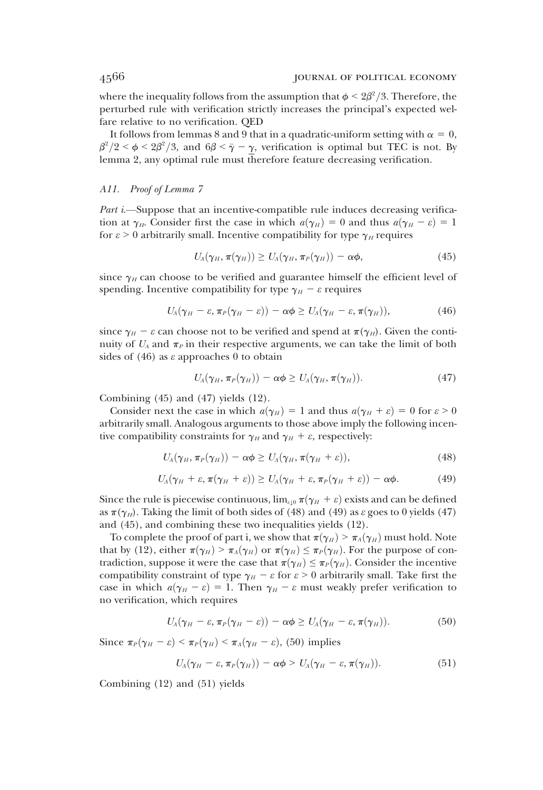where the inequality follows from the assumption that  $\phi \leq 2\beta^2/3$ . Therefore, the perturbed rule with verification strictly increases the principal's expected well perturbed rule with verification strictly increases the principal's expected welfare relative to no verification. QED

It follows from lemmas 8 and 9 that in a quadratic-uniform setting with  $\alpha = 0$ ,  $\beta^2/2 < \phi < 2\beta^2/3$ , and  $6\beta < \bar{\gamma} - \gamma$ , verification is optimal but TEC is not. By lemma 2, any optimal rule must therefore feature decreasing verification.

### A11. Proof of Lemma 7

Part *i*.—Suppose that an incentive-compatible rule induces decreasing verification at  $\gamma_H$ . Consider first the case in which  $a(\gamma_H) = 0$  and thus  $a(\gamma_H - \varepsilon) = 1$ for  $\varepsilon > 0$  arbitrarily small. Incentive compatibility for type  $\gamma_H$  requires

$$
U_A(\gamma_H, \pi(\gamma_H)) \ge U_A(\gamma_H, \pi_P(\gamma_H)) - \alpha \phi, \qquad (45)
$$

since  $\gamma_H$  can choose to be verified and guarantee himself the efficient level of spending. Incentive compatibility for type  $\gamma_H - \varepsilon$  requires

$$
U_A(\gamma_H-\varepsilon,\pi_P(\gamma_H-\varepsilon))-\alpha\phi\geq U_A(\gamma_H-\varepsilon,\pi(\gamma_H)),\qquad\qquad(46)
$$

since  $\gamma_H - \varepsilon$  can choose not to be verified and spend at  $\pi(\gamma_H)$ . Given the continuity of  $U_A$  and  $\pi_P$  in their respective arguments, we can take the limit of both sides of  $(46)$  as  $\varepsilon$  approaches 0 to obtain

$$
U_A(\gamma_H, \pi_P(\gamma_H)) - \alpha \phi \ge U_A(\gamma_H, \pi(\gamma_H)). \tag{47}
$$

Combining  $(45)$  and  $(47)$  yields  $(12)$ .

Consider next the case in which  $a(\gamma_H) = 1$  and thus  $a(\gamma_H + \varepsilon) = 0$  for  $\varepsilon > 0$ arbitrarily small. Analogous arguments to those above imply the following incentive compatibility constraints for  $\gamma_H$  and  $\gamma_H + \varepsilon$ , respectively:

$$
U_A(\gamma_H, \pi_P(\gamma_H)) - \alpha \phi \ge U_A(\gamma_H, \pi(\gamma_H + \varepsilon)), \tag{48}
$$

$$
U_A(\gamma_H+\varepsilon,\pi(\gamma_H+\varepsilon))\geq U_A(\gamma_H+\varepsilon,\pi_P(\gamma_H+\varepsilon))-\alpha\phi.
$$
 (49)

Since the rule is piecewise continuous,  $\lim_{\varepsilon \downarrow 0} \pi(\gamma_H + \varepsilon)$  exists and can be defined as  $\pi(\gamma_H)$ . Taking the limit of both sides of (48) and (49) as  $\varepsilon$  goes to 0 yields (47) and (45), and combining these two inequalities yields (12).

To complete the proof of part i, we show that  $\pi(\gamma_H) > \pi_A(\gamma_H)$  must hold. Note that by (12), either  $\pi(\gamma_H) > \pi_A(\gamma_H)$  or  $\pi(\gamma_H) \leq \pi_P(\gamma_H)$ . For the purpose of contradiction, suppose it were the case that  $\pi(\gamma_H) \leq \pi_P(\gamma_H)$ . Consider the incentive compatibility constraint of type  $\gamma_H - \varepsilon$  for  $\varepsilon > 0$  arbitrarily small. Take first the case in which  $a(\gamma_H - \varepsilon) = 1$ . Then  $\gamma_H - \varepsilon$  must weakly prefer verification to no verification, which requires

$$
U_A(\gamma_H-\varepsilon,\pi_P(\gamma_H-\varepsilon))-\alpha\phi\geq U_A(\gamma_H-\varepsilon,\pi(\gamma_H)).\tag{50}
$$

Since  $\pi_P(\gamma_H - \varepsilon) \leq \pi_P(\gamma_H) \leq \pi_A(\gamma_H - \varepsilon)$ , (50) implies

$$
U_A(\gamma_H-\varepsilon,\,\pi_P(\gamma_H))-\alpha\phi\geq U_A(\gamma_H-\varepsilon,\,\pi(\gamma_H)).\tag{51}
$$

Combining (12) and (51) yields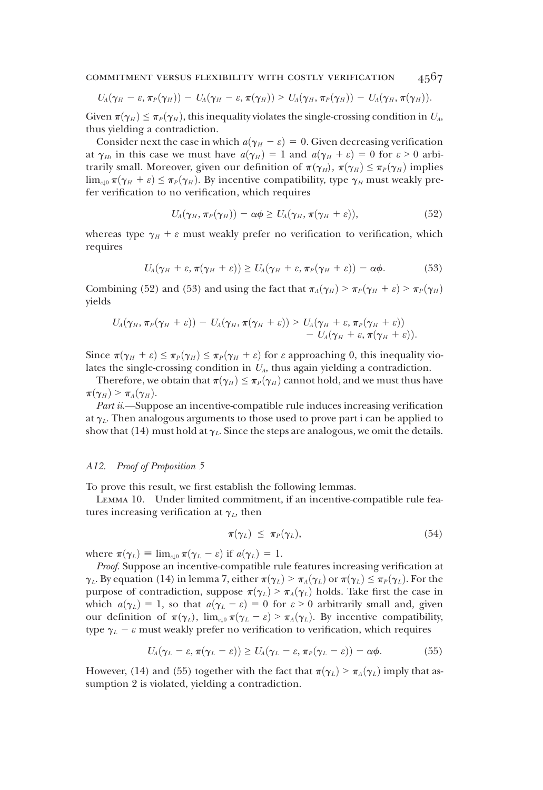COMMITMENT VERSUS FLEXIBILITY WITH COSTLY VERIFICATION  $4567$ 

$$
U_A(\gamma_H-\varepsilon,\pi_P(\gamma_H)) - U_A(\gamma_H-\varepsilon,\pi(\gamma_H)) > U_A(\gamma_H,\pi_P(\gamma_H)) - U_A(\gamma_H,\pi(\gamma_H)).
$$

Given  $\pi(\gamma_H) \leq \pi_P(\gamma_H)$ , this inequality violates the single-crossing condition in  $U_A$ , thus yielding a contradiction.

Consider next the case in which  $a(\gamma_H - \varepsilon) = 0$ . Given decreasing verification at  $\gamma_H$ , in this case we must have  $a(\gamma_H) = 1$  and  $a(\gamma_H + \varepsilon) = 0$  for  $\varepsilon > 0$  arbitrarily small. Moreover, given our definition of  $\pi(\gamma_H)$ ,  $\pi(\gamma_H) \leq \pi_P(\gamma_H)$  implies  $\lim_{\varepsilon\downarrow0}\pi(\gamma_H+\varepsilon)\leq\pi_P(\gamma_H)$ . By incentive compatibility, type  $\gamma_H$  must weakly prefer verification to no verification, which requires

$$
U_A(\gamma_H, \pi_P(\gamma_H)) - \alpha \phi \ge U_A(\gamma_H, \pi(\gamma_H + \varepsilon)), \tag{52}
$$

whereas type  $\gamma_H + \varepsilon$  must weakly prefer no verification to verification, which requires

$$
U_A(\gamma_H+\varepsilon,\pi(\gamma_H+\varepsilon))\geq U_A(\gamma_H+\varepsilon,\pi_P(\gamma_H+\varepsilon))-\alpha\phi.
$$
 (53)

Combining (52) and (53) and using the fact that  $\pi_A(\gamma_H) > \pi_P(\gamma_H + \varepsilon) > \pi_P(\gamma_H)$ yields

$$
U_A(\gamma_H, \pi_P(\gamma_H+\varepsilon)) - U_A(\gamma_H, \pi(\gamma_H+\varepsilon)) > U_A(\gamma_H+\varepsilon, \pi_P(\gamma_H+\varepsilon)) - U_A(\gamma_H+\varepsilon, \pi(\gamma_H+\varepsilon)).
$$

Since  $\pi(\gamma_H + \varepsilon) \leq \pi_P(\gamma_H) \leq \pi_P(\gamma_H + \varepsilon)$  for  $\varepsilon$  approaching 0, this inequality violates the single-crossing condition in  $U_A$ , thus again yielding a contradiction.

Therefore, we obtain that  $\pi(\gamma_H) \leq \pi_P(\gamma_H)$  cannot hold, and we must thus have  $\pi(\gamma_H) > \pi_A(\gamma_H)$ .

Part ii.—Suppose an incentive-compatible rule induces increasing verification at  $\gamma_L$ . Then analogous arguments to those used to prove part i can be applied to show that (14) must hold at  $\gamma_L$ . Since the steps are analogous, we omit the details.

#### A12. Proof of Proposition 5

To prove this result, we first establish the following lemmas.

Lemma 10. Under limited commitment, if an incentive-compatible rule features increasing verification at  $\gamma_L$ , then

$$
\pi(\gamma_L) \leq \pi_P(\gamma_L), \tag{54}
$$

where  $\pi(\gamma_L) \equiv \lim_{\varepsilon \downarrow 0} \pi(\gamma_L - \varepsilon)$  if  $a(\gamma_L) = 1$ .

Proof. Suppose an incentive-compatible rule features increasing verification at  $\gamma_L$ . By equation (14) in lemma 7, either  $\pi(\gamma_L) > \pi_A(\gamma_L)$  or  $\pi(\gamma_L) \leq \pi_P(\gamma_L)$ . For the purpose of contradiction, suppose  $\pi(\gamma_L) > \pi_A(\gamma_L)$  holds. Take first the case in which  $a(\gamma_L) = 1$ , so that  $a(\gamma_L - \varepsilon) = 0$  for  $\varepsilon > 0$  arbitrarily small and, given our definition of  $\pi(\gamma_L)$ ,  $\lim_{\varepsilon\downarrow 0} \pi(\gamma_L - \varepsilon) > \pi_A(\gamma_L)$ . By incentive compatibility, type  $\gamma_L - \varepsilon$  must weakly prefer no verification to verification, which requires

$$
U_A(\gamma_L-\varepsilon,\pi(\gamma_L-\varepsilon))\geq U_A(\gamma_L-\varepsilon,\pi_P(\gamma_L-\varepsilon))-\alpha\phi.
$$
 (55)

However, (14) and (55) together with the fact that  $\pi(\gamma_L) > \pi_A(\gamma_L)$  imply that assumption 2 is violated, yielding a contradiction.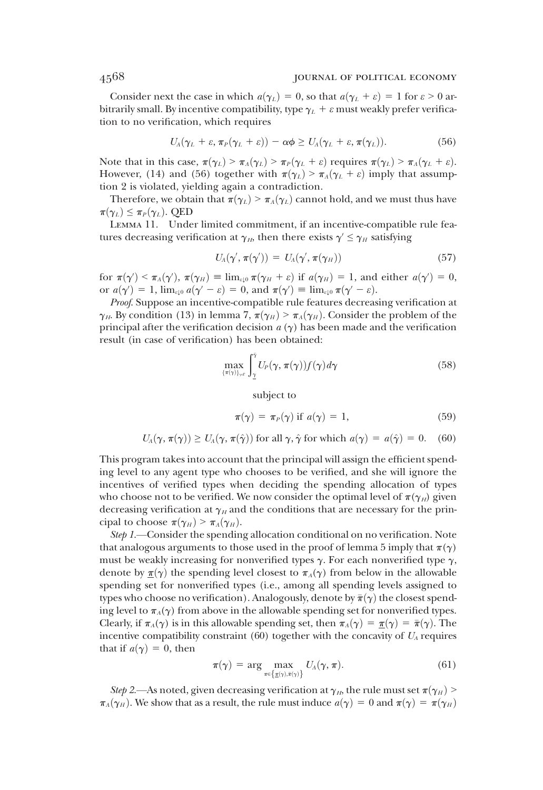### 4568 journal of political economy

Consider next the case in which  $a(\gamma_L) = 0$ , so that  $a(\gamma_L + \varepsilon) = 1$  for  $\varepsilon > 0$  arbitrarily small. By incentive compatibility, type  $\gamma_L + \varepsilon$  must weakly prefer verification to no verification, which requires

$$
U_A(\gamma_L+\varepsilon,\pi_P(\gamma_L+\varepsilon))-\alpha\phi\geq U_A(\gamma_L+\varepsilon,\pi(\gamma_L)).\hspace{1.5cm} (56)
$$

Note that in this case,  $\pi(\gamma_L) > \pi_A(\gamma_L) > \pi_P(\gamma_L + \varepsilon)$  requires  $\pi(\gamma_L) > \pi_A(\gamma_L + \varepsilon)$ . However, (14) and (56) together with  $\pi(\gamma_L) > \pi_A(\gamma_L + \varepsilon)$  imply that assumption 2 is violated, yielding again a contradiction.

Therefore, we obtain that  $\pi(\gamma_L) > \pi_A(\gamma_L)$  cannot hold, and we must thus have  $\pi(\gamma_L) \leq \pi_P(\gamma_L)$ . QED

Lemma 11. Under limited commitment, if an incentive-compatible rule features decreasing verification at  $\gamma_H$ , then there exists  $\gamma' \leq \gamma_H$  satisfying

$$
U_A(\gamma', \pi(\gamma')) = U_A(\gamma', \pi(\gamma_H)) \tag{57}
$$

for  $\pi(\gamma') < \pi_A(\gamma')$ ,  $\pi(\gamma_H) \equiv \lim_{\varepsilon \downarrow 0} \pi(\gamma_H + \varepsilon)$  if  $a(\gamma_H) = 1$ , and either  $a(\gamma') = 0$ ,<br>or  $a(\gamma') = 1$   $\lim_{\varepsilon \to 0} a(\gamma' - \varepsilon) = 0$  and  $\pi(\gamma') = \lim_{\varepsilon \to 0} \pi(\gamma' - \varepsilon)$ or  $a(\gamma') = 1$ ,  $\lim_{\varepsilon \downarrow 0} a(\gamma' - \varepsilon) = 0$ , and  $\pi(\gamma') \equiv \lim_{\varepsilon \downarrow 0} \pi(\gamma' - \varepsilon)$ .<br>Proof Suppose an incentive compatible rule features decrease

Proof. Suppose an incentive-compatible rule features decreasing verification at  $\gamma_H$ . By condition (13) in lemma 7,  $\pi(\gamma_H) > \pi_A(\gamma_H)$ . Consider the problem of the principal after the verification decision  $a(\gamma)$  has been made and the verification result (in case of verification) has been obtained:

$$
\max_{\{\pi(\gamma)\}_{\gamma\in\Gamma}} \int_{\underline{\gamma}}^{\bar{\gamma}} U_P(\gamma, \pi(\gamma)) f(\gamma) d\gamma \tag{58}
$$

subject to

$$
\pi(\gamma) = \pi_P(\gamma) \text{ if } a(\gamma) = 1,
$$
\n(59)

$$
U_A(\gamma, \pi(\gamma)) \ge U_A(\gamma, \pi(\hat{\gamma}))
$$
 for all  $\gamma, \hat{\gamma}$  for which  $a(\gamma) = a(\hat{\gamma}) = 0$ . (60)

This program takes into account that the principal will assign the efficient spending level to any agent type who chooses to be verified, and she will ignore the incentives of verified types when deciding the spending allocation of types who choose not to be verified. We now consider the optimal level of  $\pi(\gamma_H)$  given decreasing verification at  $\gamma_H$  and the conditions that are necessary for the principal to choose  $\pi(\gamma_H) > \pi_A(\gamma_H)$ .

Step 1.—Consider the spending allocation conditional on no verification. Note that analogous arguments to those used in the proof of lemma 5 imply that  $\pi(\gamma)$ must be weakly increasing for nonverified types  $\gamma$ . For each nonverified type  $\gamma$ , denote by  $\underline{\pi}(\gamma)$  the spending level closest to  $\pi_A(\gamma)$  from below in the allowable spending set for nonverified types (i.e., among all spending levels assigned to types who choose no verification). Analogously, denote by  $\bar{\pi}(\gamma)$  the closest spending level to  $\pi_A(\gamma)$  from above in the allowable spending set for nonverified types. Clearly, if  $\pi_A(\gamma)$  is in this allowable spending set, then  $\pi_A(\gamma) = \pi(\gamma) = \bar{\pi}(\gamma)$ . The incentive compatibility constraint  $(60)$  together with the concavity of  $U_A$  requires that if  $a(\gamma) = 0$ , then

$$
\pi(\gamma) = \arg \max_{\pi \in \left\{ \underline{\pi}(\gamma), \bar{\pi}(\gamma) \right\}} U_A(\gamma, \pi).
$$
 (61)

Step 2.—As noted, given decreasing verification at  $\gamma_H$ , the rule must set  $\pi(\gamma_H)$  >  $\pi_A(\gamma_H)$ . We show that as a result, the rule must induce  $a(\gamma) = 0$  and  $\pi(\gamma) = \pi(\gamma_H)$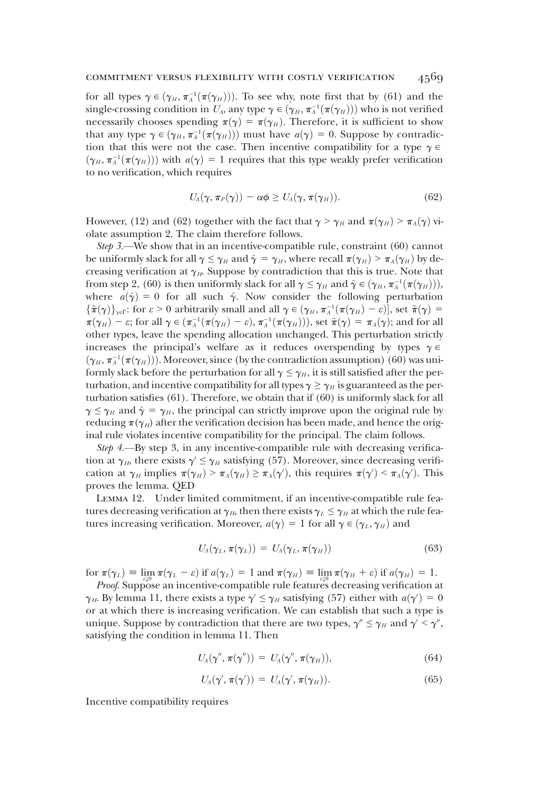### commitment versus flexibility with costly verification 4569

for all types  $\gamma \in (\gamma_H, \pi_A^{-1}(\pi(\gamma_H)))$ . To see why, note first that by (61) and the single-crossing condition in  $U$ , any type  $\gamma \in (\gamma_H, \pi^{-1}(\pi(\gamma_H)))$  who is not verified single-crossing condition in  $U_A$ , any type  $\gamma \in (\gamma_H, \pi_A^{-1}(\pi(\gamma_H)))$  who is not verified<br>pecessarily chooses spending  $\pi(\gamma) = \pi(\gamma_{\gamma})$ . Therefore, it is sufficient to show necessarily chooses spending  $\pi(\gamma) = \pi(\gamma_H)$ . Therefore, it is sufficient to show that any type  $\gamma \in (\gamma_H, \pi_A^{-1}(\pi(\gamma_H)))$  must have  $a(\gamma) = 0$ . Suppose by contradic-<br>tion that this were not the case. Then incentive compatibility for a type  $\gamma \in$ tion that this were not the case. Then incentive compatibility for a type  $\gamma \in$  $(\gamma_H, \pi_A^{-1}(\pi(\gamma_H)))$  with  $a(\gamma) = 1$  requires that this type weakly prefer verification<br>to no verification which requires to no verification, which requires

$$
U_A(\gamma, \pi_P(\gamma)) - \alpha \phi \ge U_A(\gamma, \pi(\gamma_H)). \tag{62}
$$

However, (12) and (62) together with the fact that  $\gamma > \gamma_H$  and  $\pi(\gamma_H) > \pi_A(\gamma)$  violate assumption 2. The claim therefore follows.

Step 3.—We show that in an incentive-compatible rule, constraint (60) cannot be uniformly slack for all  $\gamma \leq \gamma_H$  and  $\hat{\gamma} = \gamma_H$ , where recall  $\pi(\gamma_H) > \pi_A(\gamma_H)$  by decreasing verification at  $\gamma_H$ . Suppose by contradiction that this is true. Note that from step 2, (60) is then uniformly slack for all  $\gamma \leq \gamma_H$  and  $\hat{\gamma} \in (\gamma_H, \pi_A^{-1}(\pi(\gamma_H)))$ ,<br>where  $g(\hat{\gamma}) = 0$  for all such  $\hat{\gamma}$ . Now consider the following perturbation where  $a(\hat{\gamma}) = 0$  for all such  $\hat{\gamma}$ . Now consider the following perturbation  ${\{\tilde{\pi}(\gamma)\}}_{\gamma\in\Gamma}$ : for  $\varepsilon > 0$  arbitrarily small and all  $\gamma \in (\gamma_H, \pi_A^{-1}(\pi(\gamma_H) - \varepsilon)]$ , set  $\tilde{\pi}(\gamma) = \pi(\alpha_0) - \varepsilon$ ; for all  $\alpha \in (\pi^{-1}(\pi(\alpha_0) - \varepsilon), \pi^{-1}(\pi(\alpha_0)))$ , set  $\tilde{\pi}(\alpha) = \pi(\alpha)$ ; and for all  $\pi(\gamma_H) - \varepsilon$ ; for all  $\gamma \in (\pi_A^{-1}(\pi(\gamma_H) - \varepsilon), \pi_A^{-1}(\pi(\gamma_H)))$ , set  $\tilde{\pi}(\gamma) = \pi_A(\gamma)$ ; and for all<br>other types, leave the spending allocation unchanged. This perturbation strictly other types, leave the spending allocation unchanged. This perturbation strictly increases the principal's welfare as it reduces overspending by types  $\gamma \in$  $(\gamma_H, \pi_A^{-1}(\pi(\gamma_H)))$ . Moreover, since (by the contradiction assumption) (60) was uni-<br>formly slack before the perturbation for all  $\alpha \leq \alpha_{\text{c}}$ , it is still satisfied after the performly slack before the perturbation for all  $\gamma \leq \gamma_H$ , it is still satisfied after the perturbation, and incentive compatibility for all types  $\gamma \geq \gamma_H$  is guaranteed as the perturbation satisfies (61). Therefore, we obtain that if (60) is uniformly slack for all  $\gamma \leq \gamma_H$  and  $\hat{\gamma} = \gamma_H$ , the principal can strictly improve upon the original rule by reducing  $\pi(\gamma_H)$  after the verification decision has been made, and hence the original rule violates incentive compatibility for the principal. The claim follows.

Step 4.—By step 3, in any incentive-compatible rule with decreasing verification at  $\gamma_H$ , there exists  $\gamma \leq \gamma_H$  satisfying (57). Moreover, since decreasing verification at  $\gamma_H$  implies  $\pi(\gamma_H) > \pi_A(\gamma_H) \ge \pi_A(\gamma')$ , this requires  $\pi(\gamma') < \pi_A(\gamma')$ . This proves the lemma. QED

Lemma 12. Under limited commitment, if an incentive-compatible rule features decreasing verification at  $\gamma_H$ , then there exists  $\gamma_L \leq \gamma_H$  at which the rule features increasing verification. Moreover,  $a(\gamma) = 1$  for all  $\gamma \in (\gamma_L, \gamma_H)$  and

$$
U_A(\gamma_L, \pi(\gamma_L)) = U_A(\gamma_L, \pi(\gamma_H)) \tag{63}
$$

for  $\pi(\gamma_L) \equiv \lim_{\Omega} \pi(\gamma_L - \varepsilon)$  if  $a(\gamma_L) = 1$  and  $\pi(\gamma_H) \equiv \lim_{\Omega} \pi(\gamma_H + \varepsilon)$  if  $a(\gamma_H) = 1$ .

Proof. Suppose an incentive-compatible rule features decreasing verification at  $\gamma_H$ . By lemma 11, there exists a type  $\gamma' \leq \gamma_H$  satisfying (57) either with  $a(\gamma') = 0$ <br>or at which there is increasing verification. We can establish that such a type is or at which there is increasing verification. We can establish that such a type is unique. Suppose by contradiction that there are two types,  $\gamma'' \leq \gamma_H$  and  $\gamma' \leq \gamma''$ , satisfying the condition in lemma 11. Then

$$
U_A(\gamma'', \pi(\gamma'')) = U_A(\gamma'', \pi(\gamma_H)), \qquad (64)
$$

$$
U_A(\gamma', \pi(\gamma')) = U_A(\gamma', \pi(\gamma_H)). \tag{65}
$$

Incentive compatibility requires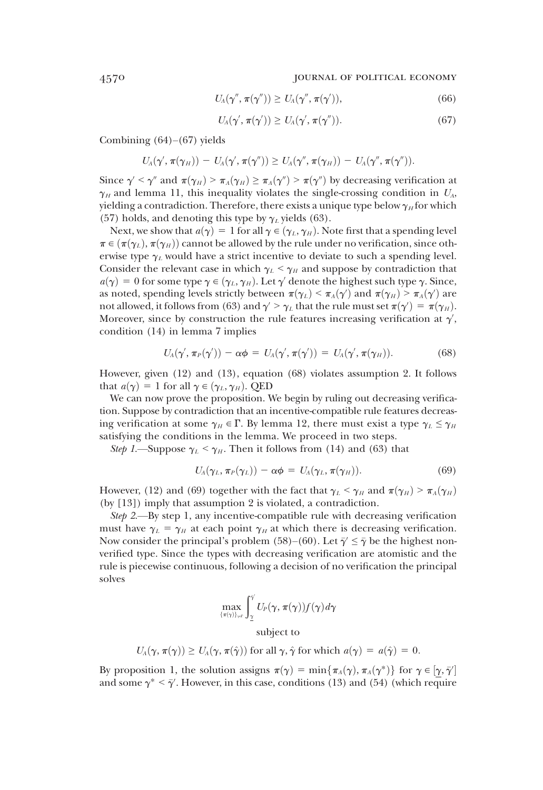4570 journal of political economy

$$
U_A(\gamma'', \pi(\gamma'')) \geq U_A(\gamma'', \pi(\gamma')), \qquad (66)
$$

$$
U_A(\gamma', \pi(\gamma')) \ge U_A(\gamma', \pi(\gamma'')). \tag{67}
$$

Combining  $(64)–(67)$  yields

$$
U_A(\gamma',\pi(\gamma_H)) - U_A(\gamma',\pi(\gamma'')) \geq U_A(\gamma'',\pi(\gamma_H)) - U_A(\gamma'',\pi(\gamma'')).
$$

Since  $\gamma' < \gamma''$  and  $\pi(\gamma_H) > \pi_A(\gamma_H) \geq \pi_A(\gamma'') > \pi(\gamma'')$  by decreasing verification at  $\gamma_H$  and lemma 11, this inequality violates the single-crossing condition in  $U_A$ , yielding a contradiction. Therefore, there exists a unique type below  $\gamma_H$  for which (57) holds, and denoting this type by  $\gamma_L$  yields (63).

Next, we show that  $a(\gamma) = 1$  for all  $\gamma \in (\gamma_L, \gamma_H)$ . Note first that a spending level  $\pi \in (\pi(\gamma_L), \pi(\gamma_H))$  cannot be allowed by the rule under no verification, since otherwise type  $\gamma_L$  would have a strict incentive to deviate to such a spending level. Consider the relevant case in which  $\gamma_L < \gamma_H$  and suppose by contradiction that  $a(\gamma) = 0$  for some type  $\gamma \in (\gamma_L, \gamma_H)$ . Let  $\gamma'$  denote the highest such type  $\gamma$ . Since, as noted, spending levels strictly between  $\pi(\gamma_L) \leq \pi_A(\gamma')$  and  $\pi(\gamma_H) \geq \pi_A(\gamma')$  are<br>not allowed it follows from (63) and  $\gamma' \geq \gamma$ , that the rule must set  $\pi(\gamma') = \pi(\gamma_H)$ not allowed, it follows from (63) and  $\gamma' > \gamma_L$  that the rule must set  $\pi(\gamma') = \pi(\gamma_H)$ .<br>Moreover, since by construction the rule features increasing verification at  $\gamma'$ . Moreover, since by construction the rule features increasing verification at  $\gamma'$ , condition (14) in lemma 7 implies condition (14) in lemma 7 implies

$$
U_A(\gamma', \pi_P(\gamma')) - \alpha \phi = U_A(\gamma', \pi(\gamma')) = U_A(\gamma', \pi(\gamma_H)). \tag{68}
$$

However, given (12) and (13), equation (68) violates assumption 2. It follows that  $a(\gamma) = 1$  for all  $\gamma \in (\gamma_L, \gamma_H)$ . QED

We can now prove the proposition. We begin by ruling out decreasing verification. Suppose by contradiction that an incentive-compatible rule features decreasing verification at some  $\gamma_H \in \Gamma$ . By lemma 12, there must exist a type  $\gamma_L \leq \gamma_H$ satisfying the conditions in the lemma. We proceed in two steps.

Step 1.—Suppose  $\gamma_L < \gamma_H$ . Then it follows from (14) and (63) that

$$
U_A(\gamma_L, \pi_P(\gamma_L)) - \alpha \phi = U_A(\gamma_L, \pi(\gamma_H)). \tag{69}
$$

However, (12) and (69) together with the fact that  $\gamma_L < \gamma_H$  and  $\pi(\gamma_H) > \pi_A(\gamma_H)$ (by [13]) imply that assumption 2 is violated, a contradiction.

Step 2.—By step 1, any incentive-compatible rule with decreasing verification must have  $\gamma_L = \gamma_H$  at each point  $\gamma_H$  at which there is decreasing verification. Now consider the principal's problem (58)–(60). Let  $\bar{\gamma}' \leq \bar{\gamma}$  be the highest nonverified type. Since the types with decreasing verification are atomistic and the rule is piecewise continuous, following a decision of no verification the principal solves

$$
\max_{\{\pi(\gamma)\}_{\gamma\in\Gamma}} \int_{\gamma}^{\gamma} U_P(\gamma, \pi(\gamma)) f(\gamma) d\gamma
$$
subject to

 $U_A(\gamma, \pi(\gamma)) \ge U_A(\gamma, \pi(\hat{\gamma}))$  for all  $\gamma, \hat{\gamma}$  for which  $a(\gamma) = a(\hat{\gamma}) = 0$ .

By proposition 1, the solution assigns  $\pi(\gamma) = \min{\pi_A(\gamma), \pi_A(\gamma^*)}$  for  $\gamma \in [\gamma, \bar{\gamma}]$ <br>and some  $\gamma^* \leq \bar{\gamma}'$ . However in this case, conditions (13) and (54) (which require and some  $\gamma^* < \bar{\gamma}'$ . However, in this case, conditions (13) and (54) (which require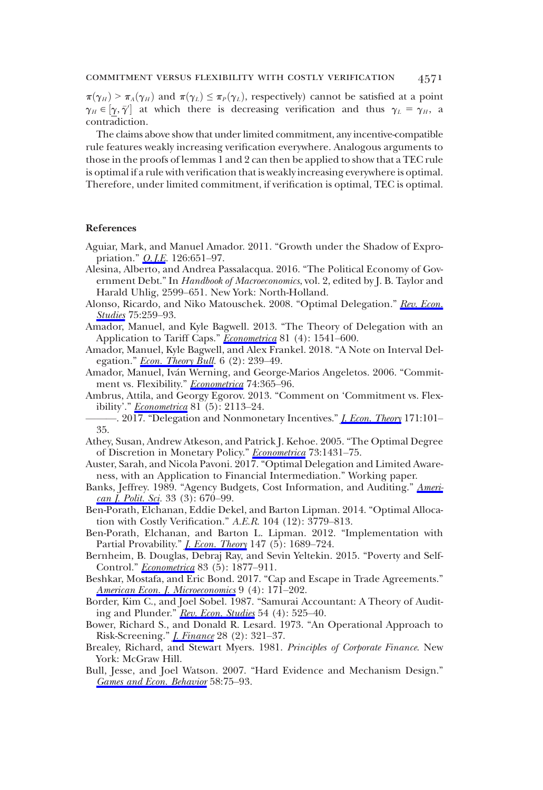$\pi(\gamma_H) > \pi_A(\gamma_H)$  and  $\pi(\gamma_L) \leq \pi_P(\gamma_L)$ , respectively) cannot be satisfied at a point  $\gamma_H \in [\gamma, \bar{\gamma}']$  at which there is decreasing verification and thus  $\gamma_L = \gamma_H$ , a contradiction  $\frac{P}{T}$  contradiction.

The claims above show that under limited commitment, any incentive-compatible rule features weakly increasing verification everywhere. Analogous arguments to those in the proofs of lemmas 1 and 2 can then be applied to show that a TEC rule is optimal if a rule with verification that is weakly increasing everywhere is optimal. Therefore, under limited commitment, if verification is optimal, TEC is optimal.

#### References

- Aguiar, Mark, and Manuel Amador. 2011. "Growth under the Shadow of Expropriation." *O. J.E.* 126:651-97.
- Alesina, Alberto, and Andrea Passalacqua. 2016. "The Political Economy of Government Debt." In Handbook of Macroeconomics, vol. 2, edited by J. B. Taylor and Harald Uhlig, 2599–651. New York: North-Holland.
- Alonso, Ricardo, and Niko Matouschek. 2008. "Optimal Delegation." [Rev. Econ.](https://www.journals.uchicago.edu/action/showLinks?crossref=10.1111%2Fj.1467-937X.2007.00471.x&citationId=p_40) [Studies](https://www.journals.uchicago.edu/action/showLinks?crossref=10.1111%2Fj.1467-937X.2007.00471.x&citationId=p_40) 75:259-93.
- Amador, Manuel, and Kyle Bagwell. 2013. "The Theory of Delegation with an Application to Tariff Caps." [Econometrica](https://www.journals.uchicago.edu/action/showLinks?crossref=10.3982%2FECTA9288&citationId=p_41) 81 (4): 1541-600.
- Amador, Manuel, Kyle Bagwell, and Alex Frankel. 2018. "A Note on Interval Delegation." **Econ.** Theory Bull.  $6(2)$ : 239–49.
- Amador, Manuel, Iván Werning, and George-Marios Angeletos. 2006. "Commitment vs. Flexibility." *[Econometrica](https://www.journals.uchicago.edu/action/showLinks?crossref=10.1111%2Fj.1468-0262.2006.00666.x&citationId=p_43)* 74:365-96.
- Ambrus, Attila, and Georgy Egorov. 2013. "Comment on 'Commitment vs. Flexibility'." *[Econometrica](https://www.journals.uchicago.edu/action/showLinks?crossref=10.3982%2FECTA10739&citationId=p_44)* 81 (5): 2113-24.
- . 2017. "Delegation and Nonmonetary Incentives." *[J. Econ. Theory](https://www.journals.uchicago.edu/action/showLinks?crossref=10.1016%2Fj.jet.2017.06.002&citationId=p_45)* 171:101– 35.
- Athey, Susan, Andrew Atkeson, and Patrick J. Kehoe. 2005. "The Optimal Degree of Discretion in Monetary Policy." [Econometrica](https://www.journals.uchicago.edu/action/showLinks?crossref=10.1111%2Fj.1468-0262.2005.00626.x&citationId=p_46) 73:1431–75.
- Auster, Sarah, and Nicola Pavoni. 2017. "Optimal Delegation and Limited Awareness, with an Application to Financial Intermediation." Working paper.
- Banks, Jeffrey. 1989. "Agency Budgets, Cost Information, and Auditing." [Ameri](https://www.journals.uchicago.edu/action/showLinks?crossref=10.2307%2F2111068&citationId=p_48)[can J. Polit. Sci](https://www.journals.uchicago.edu/action/showLinks?crossref=10.2307%2F2111068&citationId=p_48). 33 (3): 670–99.
- Ben-Porath, Elchanan, Eddie Dekel, and Barton Lipman. 2014. "Optimal Allocation with Costly Verification." A.E.R. 104 (12): 3779–813.
- Ben-Porath, Elchanan, and Barton L. Lipman. 2012. "Implementation with Partial Provability." *[J. Econ. Theory](https://www.journals.uchicago.edu/action/showLinks?crossref=10.1016%2Fj.jet.2012.01.017&citationId=p_50)* 147 (5): 1689–724.
- Bernheim, B. Douglas, Debraj Ray, and Sevin Yeltekin. 2015. "Poverty and Self-Control." **[Econometrica](https://www.journals.uchicago.edu/action/showLinks?crossref=10.3982%2FECTA11374&citationId=p_51)** 83 (5): 1877-911.
- Beshkar, Mostafa, and Eric Bond. 2017. "Cap and Escape in Trade Agreements." [American Econ. J. Microeconomics](https://www.journals.uchicago.edu/action/showLinks?crossref=10.1257%2Fmic.20160218&citationId=p_52) 9 (4): 171–202.
- Border, Kim C., and Joel Sobel. 1987. "Samurai Accountant: A Theory of Audit-ing and Plunder." [Rev. Econ. Studies](https://www.journals.uchicago.edu/action/showLinks?crossref=10.2307%2F2297481&citationId=p_53)  $54$  (4):  $525-40$ .
- Bower, Richard S., and Donald R. Lesard. 1973. "An Operational Approach to Risk-Screening." *[J. Finance](https://www.journals.uchicago.edu/action/showLinks?crossref=10.2307%2F2978305&citationId=p_54)* 28 (2): 321-37.
- Brealey, Richard, and Stewart Myers. 1981. Principles of Corporate Finance. New York: McGraw Hill.
- Bull, Jesse, and Joel Watson. 2007. "Hard Evidence and Mechanism Design." [Games and Econ. Behavior](https://www.journals.uchicago.edu/action/showLinks?crossref=10.1016%2Fj.geb.2006.03.003&citationId=p_56) 58:75–93.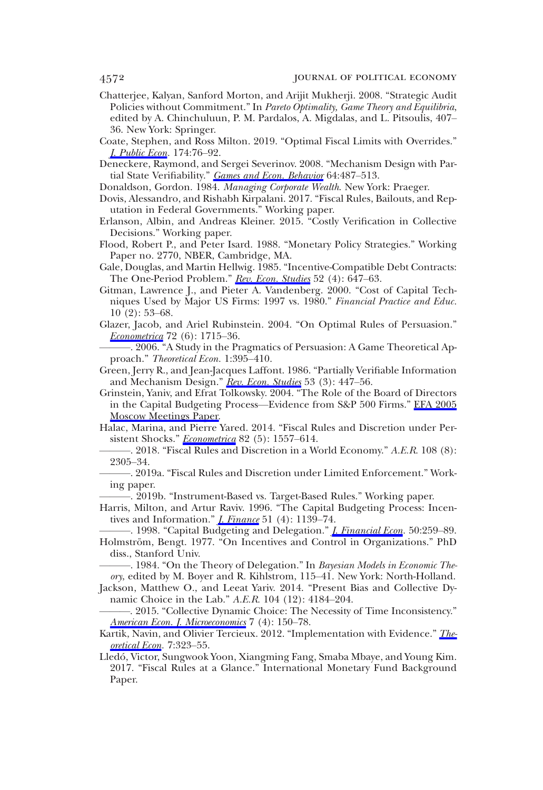- Chatterjee, Kalyan, Sanford Morton, and Arijit Mukherji. 2008. "Strategic Audit Policies without Commitment." In Pareto Optimality, Game Theory and Equilibria, edited by A. Chinchuluun, P. M. Pardalos, A. Migdalas, and L. Pitsoulis, 407– 36. New York: Springer.
- Coate, Stephen, and Ross Milton. 2019. "Optimal Fiscal Limits with Overrides." [J. Public Econ.](https://www.journals.uchicago.edu/action/showLinks?crossref=10.1016%2Fj.jpubeco.2019.04.001&citationId=p_58) 174:76–92.
- Deneckere, Raymond, and Sergei Severinov. 2008. "Mechanism Design with Par-tial State Verifiability." [Games and Econ. Behavior](https://www.journals.uchicago.edu/action/showLinks?crossref=10.1016%2Fj.geb.2007.12.006&citationId=p_59) 64:487-513.
- Donaldson, Gordon. 1984. Managing Corporate Wealth. New York: Praeger.
- Dovis, Alessandro, and Rishabh Kirpalani. 2017. "Fiscal Rules, Bailouts, and Reputation in Federal Governments." Working paper.
- Erlanson, Albin, and Andreas Kleiner. 2015. "Costly Verification in Collective Decisions." Working paper.
- Flood, Robert P., and Peter Isard. 1988. "Monetary Policy Strategies." Working Paper no. 2770, NBER, Cambridge, MA.
- Gale, Douglas, and Martin Hellwig. 1985. "Incentive-Compatible Debt Contracts: The One-Period Problem." [Rev. Econ. Studies](https://www.journals.uchicago.edu/action/showLinks?crossref=10.2307%2F2297737&citationId=p_64) 52 (4): 647-63.
- Gitman, Lawrence J., and Pieter A. Vandenberg. 2000. "Cost of Capital Techniques Used by Major US Firms: 1997 vs. 1980." Financial Practice and Educ. 10 (2): 53–68.
- Glazer, Jacob, and Ariel Rubinstein. 2004. "On Optimal Rules of Persuasion." *[Econometrica](https://www.journals.uchicago.edu/action/showLinks?crossref=10.1111%2Fj.1468-0262.2004.00551.x&citationId=p_66)* 72 (6): 1715–36.

-. 2006. "A Study in the Pragmatics of Persuasion: A Game Theoretical Approach." Theoretical Econ. 1:395–410.

- Green, Jerry R., and Jean-Jacques Laffont. 1986. "Partially Verifiable Information and Mechanism Design." [Rev. Econ. Studies](https://www.journals.uchicago.edu/action/showLinks?crossref=10.2307%2F2297639&citationId=p_68) 53 (3): 447-56.
- Grinstein, Yaniv, and Efrat Tolkowsky. 2004. "The Role of the Board of Directors in the Capital Budgeting Process—Evidence from S&P 500 Firms." [EFA 2005](https://www.journals.uchicago.edu/action/showLinks?crossref=10.2139%2Fssrn.625141&citationId=p_69) [Moscow Meetings Paper.](https://www.journals.uchicago.edu/action/showLinks?crossref=10.2139%2Fssrn.625141&citationId=p_69)
- Halac, Marina, and Pierre Yared. 2014. "Fiscal Rules and Discretion under Persistent Shocks." *[Econometrica](https://www.journals.uchicago.edu/action/showLinks?crossref=10.3982%2FECTA11207&citationId=p_70)* 82 (5): 1557–614.
- -, 2018. "Fiscal Rules and Discretion in a World Economy." A.E.R. 108 (8): 2305–34.
- ———. 2019a. "Fiscal Rules and Discretion under Limited Enforcement." Working paper.

———. 2019b. "Instrument-Based vs. Target-Based Rules." Working paper.

Harris, Milton, and Artur Raviv. 1996. "The Capital Budgeting Process: Incentives and Information." *[J. Finance](https://www.journals.uchicago.edu/action/showLinks?crossref=10.1111%2Fj.1540-6261.1996.tb04065.x&citationId=p_74)* 51 (4):  $1139-74$ .

. 1998. "Capital Budgeting and Delegation." *J. Financial Econ*. 50:259-89. Holmström, Bengt. 1977. "On Incentives and Control in Organizations." PhD diss., Stanford Univ.

-. 1984. "On the Theory of Delegation." In Bayesian Models in Economic Theory, edited by M. Boyer and R. Kihlstrom, 115–41. New York: North-Holland.

Jackson, Matthew O., and Leeat Yariv. 2014. "Present Bias and Collective Dynamic Choice in the Lab." A.E.R. 104 (12): 4184–204.

- -. 2015. "Collective Dynamic Choice: The Necessity of Time Inconsistency." [American Econ. J. Microeconomics](https://www.journals.uchicago.edu/action/showLinks?crossref=10.1257%2Fmic.20140161&citationId=p_79) 7 (4): 150-78.
- Kartik, Navin, and Olivier Tercieux. 2012. "Implementation with Evidence." *The*[oretical Econ.](https://www.journals.uchicago.edu/action/showLinks?crossref=10.3982%2FTE723&citationId=p_80) 7:323–55.
- Lledó, Victor, Sungwook Yoon, Xiangming Fang, Smaba Mbaye, and Young Kim. 2017. "Fiscal Rules at a Glance." International Monetary Fund Background Paper.